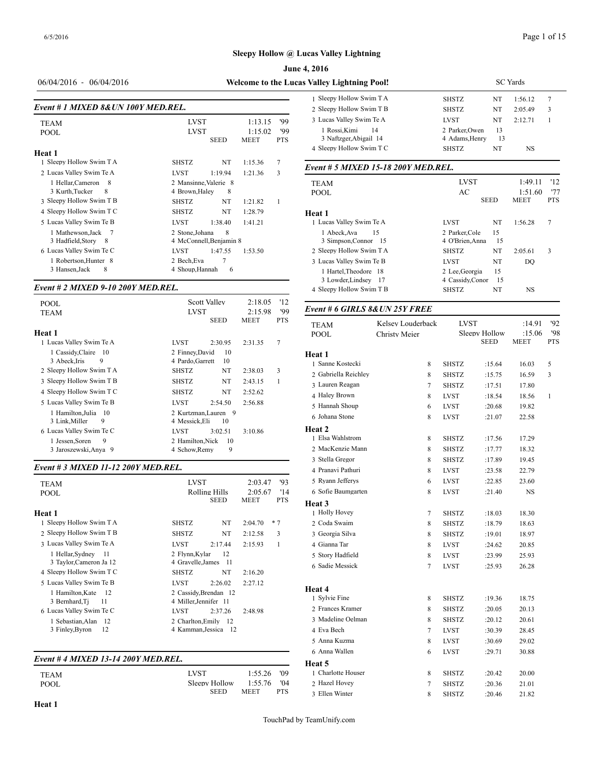| <b>June 4, 2016</b> |  |
|---------------------|--|
|---------------------|--|

#### 06/04/2016 - 06/04/2016 **Welcome to the Lucas**

| Event # 1 MIXED 8& UN 100Y MED.REL.                                            |                                               |                                        |                                   |                          | $1$ DIVCP $\gamma$ LIDIIO $\gamma$<br>2 Sleepy Hollow S                    |
|--------------------------------------------------------------------------------|-----------------------------------------------|----------------------------------------|-----------------------------------|--------------------------|----------------------------------------------------------------------------|
| <b>TEAM</b><br><b>POOL</b><br>Heat 1                                           | <b>LVST</b><br><b>LVST</b>                    | <b>SEED</b>                            | 1:13.15<br>1:15.02<br><b>MEET</b> | '99<br>'99<br><b>PTS</b> | 3 Lucas Valley Sw<br>1 Rossi, Kimi<br>3 Naftzger, Abi<br>4 Sleepy Hollow S |
| 1 Sleepy Hollow Swim T A                                                       | <b>SHSTZ</b>                                  | NT                                     | 1:15.36                           | 7                        |                                                                            |
| 2 Lucas Valley Swim Te A                                                       | <b>LVST</b>                                   | 1:19.94                                | 1:21.36                           | 3                        | Event # 5 MIXE                                                             |
| 1 Hellar, Cameron<br>-8<br>3 Kurth, Tucker<br>8<br>3 Sleepy Hollow Swim T B    | 4 Brown, Haley<br><b>SHSTZ</b>                | 2 Mansinne, Valerie 8<br>8<br>NT       | 1:21.82                           | 1                        | TEAM<br><b>POOL</b>                                                        |
| 4 Sleepy Hollow Swim T C                                                       | <b>SHSTZ</b>                                  | NT                                     | 1:28.79                           |                          | Heat 1                                                                     |
| 5 Lucas Valley Swim Te B<br>1 Mathewson, Jack<br>7<br>3 Hadfield, Story<br>- 8 | <b>LVST</b><br>2 Stone, Johana                | 1:38.40<br>8<br>4 McConnell Benjamin 8 | 1:41.21                           |                          | 1 Lucas Valley Sw<br>1 Abeck, Ava<br>3 Simpson, Cor                        |
| 6 Lucas Valley Swim Te C<br>1 Robertson, Hunter 8<br>8<br>3 Hansen, Jack       | <b>LVST</b><br>2 Bech, Eva<br>4 Shoup, Hannah | 1:47.55<br>7<br>6                      | 1:53.50                           |                          | 2 Sleepy Hollow S<br>3 Lucas Valley Sw<br>1 Hartel, Theod                  |

#### *Event # 2 MIXED 9-10 200Y MED.REL.*

| <b>POOL</b><br><b>TEAM</b>                                                | <b>Scott Valley</b><br><b>LVST</b>                                      | 2:18.05<br>2:15.98     | '12<br>99       | Event # 6 GIRLS 8& UN 25Y FREE                 |                                           |                              |                              |                                 |
|---------------------------------------------------------------------------|-------------------------------------------------------------------------|------------------------|-----------------|------------------------------------------------|-------------------------------------------|------------------------------|------------------------------|---------------------------------|
| Heat 1<br>Lucas Valley Swim Te A                                          | <b>SEED</b><br><b>LVST</b><br>2:30.95                                   | <b>MEET</b><br>2:31.35 | <b>PTS</b><br>7 | <b>TEAM</b><br><b>POOL</b>                     | Kelsey Louderback<br><b>Christy Meier</b> | <b>LVST</b>                  | Sleepy Hollow<br><b>SEED</b> | :14.91<br>:15.06<br><b>MEET</b> |
| 1 Cassidy, Claire 10<br>3 Abeck.Iris<br>9                                 | 10<br>2 Finney, David<br>4 Pardo, Garrett<br>10                         |                        |                 | Heat 1<br>1 Sanne Kostecki                     | 8                                         | <b>SHSTZ</b>                 | :15.64                       | 16.03                           |
| 2 Sleepy Hollow Swim T A<br>3 Sleepy Hollow Swim T B                      | <b>SHSTZ</b><br>NT<br>NT<br><b>SHSTZ</b>                                | 2:38.03<br>2:43.15     | 3               | 2 Gabriella Reichlev<br>3 Lauren Reagan        | 8<br>7                                    | <b>SHSTZ</b><br><b>SHSTZ</b> | :15.75<br>:17.51             | 16.59<br>17.80                  |
| 4 Sleepy Hollow Swim T C<br>5 Lucas Valley Swim Te B                      | <b>SHSTZ</b><br>NT<br><b>LVST</b><br>2:54.50                            | 2:52.62<br>2:56.88     |                 | 4 Haley Brown                                  | 8                                         | <b>LVST</b>                  | :18.54                       | 18.56                           |
| 1 Hamilton.Julia 10<br>9<br>3 Link, Miller                                | 2 Kurtzman, Lauren 9<br>4 Messick.Eli<br>10                             |                        |                 | 5 Hannah Shoup<br>6 Johana Stone               | 6<br>8                                    | <b>LVST</b><br><b>LVST</b>   | :20.68<br>:21.07             | 19.82<br>22.58                  |
| 6 Lucas Valley Swim Te C<br>9<br>1 Jessen, Soren<br>3 Jaroszewski, Anya 9 | <b>LVST</b><br>3:02.51<br>2 Hamilton, Nick<br>-10<br>9<br>4 Schow, Remy | 3:10.86                |                 | Heat 2<br>1 Elsa Wahlstrom<br>2 MacKenzie Mann | 8<br>8                                    | <b>SHSTZ</b><br><b>SHSTZ</b> | :17.56<br>:17.77             | 17.29<br>18.32                  |
|                                                                           |                                                                         |                        |                 |                                                |                                           |                              |                              |                                 |

#### *Event # 3 MIXED 11-12 200Y MED.REL.*

| <b>TEAM</b>               | 93<br><b>LVST</b><br>2:03.47           | 5 Ryann Jefferys  |
|---------------------------|----------------------------------------|-------------------|
| <b>POOL</b>               | '14<br>Rolling Hills<br>2:05.67        | 6 Sofie Baumgarte |
|                           | <b>PTS</b><br>SEED<br>MEET             | Heat 3            |
| Heat 1                    |                                        | 1 Holly Hovey     |
| 1 Sleepy Hollow Swim T A  | NT<br>$*7$<br><b>SHSTZ</b><br>2:04.70  | 2 Coda Swaim      |
| 2 Sleepy Hollow Swim T B  | NT<br>3<br><b>SHSTZ</b><br>2:12.58     | 3 Georgia Silva   |
| 3 Lucas Valley Swim Te A  | 1<br><b>LVST</b><br>2:17.44<br>2:15.93 | 4 Gianna Tar      |
| 1 Hellar, Sydney<br>-11   | 12<br>2 Flynn, Kylar                   | 5 Story Hadfield  |
| 3 Taylor, Cameron Ja 12   | 4 Gravelle, James 11                   | 6 Sadie Messick   |
| 4 Sleepy Hollow Swim T C  | <b>SHSTZ</b><br>NT<br>2:16.20          |                   |
| 5 Lucas Valley Swim Te B  | LVST<br>2:26.02<br>2:27.12             |                   |
| 1 Hamilton, Kate<br>- 12  | 2 Cassidy, Brendan 12                  | Heat 4            |
| 3 Bernhard, Ti<br>11      | 4 Miller, Jennifer 11                  | 1 Sylvie Fine     |
| 6 Lucas Valley Swim Te C  | <b>LVST</b><br>2:37.26<br>2:48.98      | 2 Frances Kramer  |
| 1 Sebastian, Alan<br>- 12 | 2 Charlton.Emily 12                    | 3 Madeline Oelma  |
| 3 Finley, Byron<br>12     | 4 Kamman, Jessica 12                   | 4 Eva Bech        |
|                           |                                        | $-1$ $\mathbf{r}$ |

#### *Event # 4 MIXED 13-14 200Y MED.REL.*

|             |               |             |       | noac J            |
|-------------|---------------|-------------|-------|-------------------|
| <b>TEAM</b> | LVST          | 1:55.26     | - '09 | 1 Charlotte House |
| POOL        | Sleepy Hollow | 1:55.76     | '04   | 2 Hazel Hovev     |
|             | <b>SEED</b>   | <b>MEET</b> | PTS   | 3 Ellen Winter    |

| <b>Valley Lightning Pool!</b> | <b>SC</b> Yards |    |         |   |  |  |  |
|-------------------------------|-----------------|----|---------|---|--|--|--|
| 1 Sleepy Hollow Swim T A      | <b>SHSTZ</b>    | NT | 1:56.12 |   |  |  |  |
| 2 Sleepy Hollow Swim T B      | <b>SHSTZ</b>    | NT | 2:05.49 | 3 |  |  |  |
| 3 Lucas Valley Swim Te A      | <b>LVST</b>     | NT | 2.12.71 |   |  |  |  |
| 1 Rossi.Kimi<br>14            | 2 Parker.Owen   | 13 |         |   |  |  |  |
| 3 Naftzger, Abigail 14        | 4 Adams.Henry   | 13 |         |   |  |  |  |
| 4 Sleepy Hollow Swim T C      | <b>SHSTZ</b>    | NT | NS      |   |  |  |  |

#### *Event # 5 MIXED 15-18 200Y MED.REL.*

| <b>TEAM</b>              | <b>LVST</b>      |     |             |            |  |
|--------------------------|------------------|-----|-------------|------------|--|
| <b>POOL</b>              | AC               |     | 1:51.60     | '77        |  |
|                          | <b>SEED</b>      |     | <b>MEET</b> | <b>PTS</b> |  |
| Heat 1                   |                  |     |             |            |  |
| 1 Lucas Valley Swim Te A | <b>LVST</b>      | NT  | 1:56.28     | 7          |  |
| 15<br>1 Abeck, Ava       | 2 Parker, Cole   | 15  |             |            |  |
| 3 Simpson, Connor 15     | 4 O'Brien.Anna   | 15  |             |            |  |
| 2 Sleepy Hollow Swim T A | <b>SHSTZ</b>     | NT  | 2:05.61     | 3          |  |
| 3 Lucas Valley Swim Te B | <b>LVST</b>      | NT  | DO          |            |  |
| 1 Hartel, Theodore 18    | 2 Lee, Georgia   | 15  |             |            |  |
| 3 Lowder, Lindsey<br>-17 | 4 Cassidy, Conor | -15 |             |            |  |
| 4 Sleepy Hollow Swim T B | <b>SHSTZ</b>     | NT  | NS          |            |  |
|                          |                  |     |             |            |  |

| <b>TEAM</b>          | Kelsey Louderback | <b>LVST</b>  |                              | :14.91                | 92                |  |
|----------------------|-------------------|--------------|------------------------------|-----------------------|-------------------|--|
| <b>POOL</b>          | Christy Meier     |              | Sleepy Hollow<br><b>SEED</b> | :15.06<br><b>MEET</b> | '98<br><b>PTS</b> |  |
| Heat 1               |                   |              |                              |                       |                   |  |
| 1 Sanne Kostecki     | 8                 | <b>SHSTZ</b> | :15.64                       | 16.03                 | 5                 |  |
| 2 Gabriella Reichley | 8                 | <b>SHSTZ</b> | :15.75                       | 16.59                 | 3                 |  |
| 3 Lauren Reagan      | $\overline{7}$    | <b>SHSTZ</b> | :17.51                       | 17.80                 |                   |  |
| 4 Haley Brown        | 8                 | <b>LVST</b>  | :18.54                       | 18.56                 | $\mathbf{1}$      |  |
| 5 Hannah Shoup       | 6                 | <b>LVST</b>  | :20.68                       | 19.82                 |                   |  |
| 6 Johana Stone       | 8                 | <b>LVST</b>  | :21.07                       | 22.58                 |                   |  |
| Heat 2               |                   |              |                              |                       |                   |  |
| 1 Elsa Wahlstrom     | 8                 | <b>SHSTZ</b> | :17.56                       | 17.29                 |                   |  |
| 2 MacKenzie Mann     | 8                 | <b>SHSTZ</b> | :17.77                       | 18.32                 |                   |  |
| 3 Stella Gregor      | 8                 | <b>SHSTZ</b> | :17.89                       | 19.45                 |                   |  |
| 4 Pranavi Pathuri    | 8                 | <b>LVST</b>  | :23.58                       | 22.79                 |                   |  |
| 5 Ryann Jefferys     | 6                 | <b>LVST</b>  | :22.85                       | 23.60                 |                   |  |
| 6 Sofie Baumgarten   | 8                 | <b>LVST</b>  | :21.40                       | NS                    |                   |  |
| Heat 3               |                   |              |                              |                       |                   |  |
| 1 Holly Hovey        | 7                 | <b>SHSTZ</b> | :18.03                       | 18.30                 |                   |  |
| 2 Coda Swaim         | 8                 | <b>SHSTZ</b> | :18.79                       | 18.63                 |                   |  |
| 3 Georgia Silva      | 8                 | <b>SHSTZ</b> | :19.01                       | 18.97                 |                   |  |
| 4 Gianna Tar         | 8                 | <b>LVST</b>  | :24.62                       | 20.85                 |                   |  |
| 5 Story Hadfield     | 8                 | <b>LVST</b>  | :23.99                       | 25.93                 |                   |  |
| 6 Sadie Messick      | $\overline{7}$    | <b>LVST</b>  | :25.93                       | 26.28                 |                   |  |
| Heat 4               |                   |              |                              |                       |                   |  |
| 1 Sylvie Fine        | 8                 | <b>SHSTZ</b> | :19.36                       | 18.75                 |                   |  |
| 2 Frances Kramer     | 8                 | <b>SHSTZ</b> | :20.05                       | 20.13                 |                   |  |
| 3 Madeline Oelman    | 8                 | <b>SHSTZ</b> | :20.12                       | 20.61                 |                   |  |
| 4 Eva Bech           | $\tau$            | <b>LVST</b>  | :30.39                       | 28.45                 |                   |  |
| 5 Anna Kuzma         | 8                 | <b>LVST</b>  | :30.69                       | 29.02                 |                   |  |
| 6 Anna Wallen        | 6                 | <b>LVST</b>  | :29.71                       | 30.88                 |                   |  |
| Heat 5               |                   |              |                              |                       |                   |  |
| 1 Charlotte Houser   | 8                 | <b>SHSTZ</b> | :20.42                       | 20.00                 |                   |  |
| 2 Hazel Hovey        | $\tau$            | <b>SHSTZ</b> | :20.36                       | 21.01                 |                   |  |
| 3 Ellen Winter       | 8                 | <b>SHSTZ</b> | :20.46                       | 21.82                 |                   |  |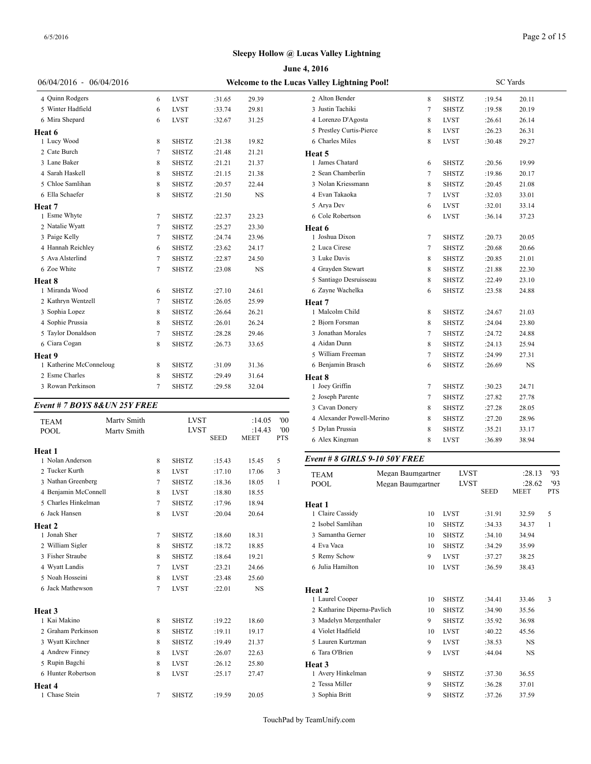|                              |        |              |             |        |            | <b>June 4, 2016</b>                         |
|------------------------------|--------|--------------|-------------|--------|------------|---------------------------------------------|
| 06/04/2016 - 06/04/2016      |        |              |             |        |            | <b>Welcome to the Lucas Valley Lightnin</b> |
| 4 Quinn Rodgers              | 6      | <b>LVST</b>  | :31.65      | 29.39  |            | 2 Alton Bender                              |
| 5 Winter Hadfield            | 6      | <b>LVST</b>  | :33.74      | 29.81  |            | 3 Justin Tachiki                            |
| 6 Mira Shepard               | 6      | <b>LVST</b>  | :32.67      | 31.25  |            | 4 Lorenzo D'Agos                            |
| Heat 6                       |        |              |             |        |            | 5 Prestley Curtis-I                         |
| 1 Lucy Wood                  | 8      | SHSTZ        | :21.38      | 19.82  |            | 6 Charles Miles                             |
| 2 Cate Burch                 | 7      | <b>SHSTZ</b> | :21.48      | 21.21  |            | Heat 5                                      |
| 3 Lane Baker                 | 8      | <b>SHSTZ</b> | :21.21      | 21.37  |            | 1 James Chatard                             |
| 4 Sarah Haskell              | 8      | <b>SHSTZ</b> | :21.15      | 21.38  |            | 2 Sean Chamberli                            |
| 5 Chloe Samlihan             | 8      | <b>SHSTZ</b> | :20.57      | 22.44  |            | 3 Nolan Kriessma                            |
| 6 Ella Schaefer              | 8      | SHSTZ        | :21.50      | NS     |            | 4 Evan Takaoka                              |
| Heat 7                       |        |              |             |        |            | 5 Arya Dev                                  |
| 1 Esme Whyte                 | 7      | <b>SHSTZ</b> | :22.37      | 23.23  |            | 6 Cole Robertson                            |
| 2 Natalie Wyatt              | 7      | SHSTZ        | :25.27      | 23.30  |            | Heat 6                                      |
| 3 Paige Kelly                | 7      | <b>SHSTZ</b> | :24.74      | 23.96  |            | 1 Joshua Dixon                              |
| 4 Hannah Reichley            | 6      | <b>SHSTZ</b> | :23.62      | 24.17  |            | 2 Luca Cirese                               |
| 5 Ava Alsterlind             | 7      | SHSTZ        | :22.87      | 24.50  |            | 3 Luke Davis                                |
| 6 Zoe White                  | 7      | <b>SHSTZ</b> | :23.08      | NS     |            | 4 Grayden Stewar                            |
| Heat 8                       |        |              |             |        |            | 5 Santiago Desrui                           |
| 1 Miranda Wood               | 6      | SHSTZ        | :27.10      | 24.61  |            | 6 Zayne Wachelka                            |
| 2 Kathryn Wentzell           | 7      | SHSTZ        | :26.05      | 25.99  |            | Heat 7                                      |
| 3 Sophia Lopez               | 8      | <b>SHSTZ</b> | :26.64      | 26.21  |            | 1 Malcolm Child                             |
| 4 Sophie Prussia             | 8      | <b>SHSTZ</b> | :26.01      | 26.24  |            | 2 Bjorn Forsman                             |
| 5 Taylor Donaldson           | $\tau$ | <b>SHSTZ</b> | :28.28      | 29.46  |            | 3 Jonathan Morale                           |
| 6 Ciara Cogan                | 8      | <b>SHSTZ</b> | :26.73      | 33.65  |            | 4 Aidan Dunn                                |
| Heat 9                       |        |              |             |        |            | 5 William Freema                            |
| 1 Katherine McConneloug      | 8      | SHSTZ        | :31.09      | 31.36  |            | 6 Benjamin Brasc                            |
| 2 Esme Charles               | 8      | <b>SHSTZ</b> | :29.49      | 31.64  |            | Heat 8                                      |
| 3 Rowan Perkinson            | 7      | <b>SHSTZ</b> | :29.58      | 32.04  |            | 1 Joey Griffin                              |
|                              |        |              |             |        |            | 2 Joseph Parente                            |
| Event # 7 BOYS 8&UN 25Y FREE |        |              |             |        |            | 3 Cavan Donery                              |
| Marty Smith<br>TEAM          |        | <b>LVST</b>  |             | :14.05 | '00        | 4 Alexander Powe                            |
| <b>POOL</b><br>Marty Smith   |        | <b>LVST</b>  |             | :14.43 | 00'        | 5 Dylan Prussia                             |
|                              |        |              | <b>SEED</b> | MEET   | <b>PTS</b> | 6 Alex Kingman                              |
| Heat 1                       |        |              |             |        |            |                                             |
| 1 Nolan Anderson             | 8      | SHSTZ        | :15.43      | 15.45  | 5          | Event # 8 GIRL.                             |
| 2 Tucker Kurth               | 8      | <b>LVST</b>  | :17.10      | 17.06  | 3          | <b>TEAM</b>                                 |
| 3 Nathan Greenberg           | 7      | <b>SHSTZ</b> | :18.36      | 18.05  | 1          | <b>POOL</b>                                 |
| 4 Benjamin McConnell         | 8      | <b>LVST</b>  | :18.80      | 18.55  |            |                                             |
| 5 Charles Hinkelman          | $\tau$ | <b>SHSTZ</b> | :17.96      | 18.94  |            | Heat 1                                      |
| 6 Jack Hansen                | 8      | <b>LVST</b>  | :20.04      | 20.64  |            | 1 Claire Cassidy                            |
| Heat 2                       |        |              |             |        |            | 2 Isobel Samlihan                           |
| 1 Jonah Sher                 | 7      | SHSTZ        | :18.60      | 18.31  |            | 3 Samantha Gerne                            |
| 2 William Sigler             | 8      | SHSTZ        | :18.72      | 18.85  |            | 4 Eva Vaca                                  |
| 3 Fisher Straube             | 8      | SHSTZ        | :18.64      | 19.21  |            | 5 Remy Schow                                |
| 4 Wyatt Landis               | 7      | <b>LVST</b>  | :23.21      | 24.66  |            | 6 Julia Hamilton                            |
| 5 Noah Hosseini              | 8      | LVST         | :23.48      | 25.60  |            |                                             |
| 6 Jack Mathewson             | 7      | LVST         | :22.01      | NS     |            | Heat 2                                      |
|                              |        |              |             |        |            | 1 Laurel Cooper                             |
| Heat 3                       |        |              |             |        |            | 2 Katharine Diper                           |
| 1 Kai Makino                 | 8      | <b>SHSTZ</b> | :19.22      | 18.60  |            | 3 Madelyn Merger                            |
| 2 Graham Perkinson           | 8      | SHSTZ        | :19.11      | 19.17  |            | 4 Violet Hadfield                           |
| 3 Wyatt Kirchner             | 8      | <b>SHSTZ</b> | :19.49      | 21.37  |            | 5 Lauren Kurtzma                            |
| 4 Andrew Finney              | 8      | <b>LVST</b>  | :26.07      | 22.63  |            | 6 Tara O'Brien                              |
| 5 Rupin Bagchi               | 8      | LVST         | :26.12      | 25.80  |            | Heat 3                                      |
| 6 Hunter Robertson           | 8      | LVST         | :25.17      | 27.47  |            | 1 Avery Hinkelma                            |
| Heat 4                       |        |              |             |        |            | 2 Tessa Miller                              |
| 1 Chase Stein                | 7      | SHSTZ        | :19.59      | 20.05  |            | 3 Sophia Britt                              |

| <b>Valley Lightning Pool!</b> |                   |              | <b>SC</b> Yards |        |    |
|-------------------------------|-------------------|--------------|-----------------|--------|----|
| 2 Alton Bender                | 8                 | <b>SHSTZ</b> | :19.54          | 20.11  |    |
| 3 Justin Tachiki              | 7                 | <b>SHSTZ</b> | :19.58          | 20.19  |    |
| 4 Lorenzo D'Agosta            | 8                 | <b>LVST</b>  | :26.61          | 26.14  |    |
| 5 Prestley Curtis-Pierce      | 8                 | <b>LVST</b>  | :26.23          | 26.31  |    |
| 6 Charles Miles               | 8                 | <b>LVST</b>  | :30.48          | 29.27  |    |
| <b>Heat 5</b>                 |                   |              |                 |        |    |
| 1 James Chatard               | 6                 | <b>SHSTZ</b> | :20.56          | 19.99  |    |
| 2 Sean Chamberlin             | 7                 | <b>SHSTZ</b> | :19.86          | 20.17  |    |
| 3 Nolan Kriessmann            | 8                 | <b>SHSTZ</b> | :20.45          | 21.08  |    |
| 4 Evan Takaoka                | 7                 | <b>LVST</b>  | :32.03          | 33.01  |    |
| 5 Arya Dev                    | 6                 | <b>LVST</b>  | :32.01          | 33.14  |    |
| 6 Cole Robertson              | 6                 | <b>LVST</b>  | :36.14          | 37.23  |    |
| Heat 6                        |                   |              |                 |        |    |
| 1 Joshua Dixon                | 7                 | <b>SHSTZ</b> | :20.73          | 20.05  |    |
| 2 Luca Cirese                 | 7                 | <b>SHSTZ</b> | :20.68          | 20.66  |    |
| 3 Luke Davis                  | 8                 | <b>SHSTZ</b> | :20.85          | 21.01  |    |
| 4 Grayden Stewart             | 8                 | <b>SHSTZ</b> | :21.88          | 22.30  |    |
| 5 Santiago Desruisseau        | 8                 | <b>SHSTZ</b> | :22.49          | 23.10  |    |
| 6 Zayne Wachelka              | 6                 | <b>SHSTZ</b> | :23.58          | 24.88  |    |
| Heat 7                        |                   |              |                 |        |    |
| 1 Malcolm Child               | 8                 | <b>SHSTZ</b> | :24.67          | 21.03  |    |
| 2 Bjorn Forsman               | 8                 | <b>SHSTZ</b> | :24.04          | 23.80  |    |
| 3 Jonathan Morales            | 7                 | SHSTZ        | :24.72          | 24.88  |    |
| 4 Aidan Dunn                  | 8                 | <b>SHSTZ</b> | :24.13          | 25.94  |    |
| 5 William Freeman             | 7                 | SHSTZ        | :24.99          | 27.31  |    |
| 6 Benjamin Brasch             | 6                 | <b>SHSTZ</b> | :26.69          | NS     |    |
| Heat 8                        |                   |              |                 |        |    |
| 1 Joey Griffin                | 7                 | <b>SHSTZ</b> | :30.23          | 24.71  |    |
| 2 Joseph Parente              | 7                 | <b>SHSTZ</b> | :27.82          | 27.78  |    |
| 3 Cavan Donery                | 8                 | <b>SHSTZ</b> | :27.28          | 28.05  |    |
| 4 Alexander Powell-Merino     | 8                 | <b>SHSTZ</b> | :27.20          | 28.96  |    |
| 5 Dylan Prussia               | 8                 | <b>SHSTZ</b> | :35.21          | 33.17  |    |
| 6 Alex Kingman                | 8                 | <b>LVST</b>  | :36.89          | 38.94  |    |
| Event # 8 GIRLS 9-10 50Y FREE |                   |              |                 |        |    |
| <b>TEAM</b>                   | Megan Baumgartner | LVST         |                 | :28.13 | 93 |

| TEAM                        | Megan Baumgartner |              | <b>LVST</b>                | :28.13                | 93                |
|-----------------------------|-------------------|--------------|----------------------------|-----------------------|-------------------|
| <b>POOL</b>                 | Megan Baumgartner |              | <b>LVST</b><br><b>SEED</b> | :28.62<br><b>MEET</b> | '93<br><b>PTS</b> |
| Heat 1                      |                   |              |                            |                       |                   |
| 1 Claire Cassidy            | 10                | <b>LVST</b>  | :31.91                     | 32.59                 | 5                 |
| 2 Isobel Samlihan           | 10                | <b>SHSTZ</b> | :34.33                     | 34.37                 | 1                 |
| 3 Samantha Gerner           | 10                | <b>SHSTZ</b> | :34.10                     | 34.94                 |                   |
| 4 Eva Vaca                  | 10                | <b>SHSTZ</b> | :34.29                     | 35.99                 |                   |
| 5 Remy Schow                | 9                 | <b>LVST</b>  | :37.27                     | 38.25                 |                   |
| 6 Julia Hamilton            | 10                | <b>LVST</b>  | :36.59                     | 38.43                 |                   |
| Heat 2                      |                   |              |                            |                       |                   |
| 1 Laurel Cooper             | 10                | <b>SHSTZ</b> | :34.41                     | 33.46                 | 3                 |
| 2 Katharine Diperna-Pavlich | 10                | <b>SHSTZ</b> | :34.90                     | 35.56                 |                   |
| 3 Madelyn Mergenthaler      | 9                 | <b>SHSTZ</b> | :35.92                     | 36.98                 |                   |
| 4 Violet Hadfield           | 10                | <b>LVST</b>  | :40.22                     | 45.56                 |                   |
| 5 Lauren Kurtzman           | 9                 | <b>LVST</b>  | :38.53                     | NS                    |                   |
| 6 Tara O'Brien              | 9                 | <b>LVST</b>  | :44.04                     | <b>NS</b>             |                   |
| <b>Heat 3</b>               |                   |              |                            |                       |                   |
| 1 Avery Hinkelman           | 9                 | <b>SHSTZ</b> | :37.30                     | 36.55                 |                   |
| 2 Tessa Miller              | 9                 | <b>SHSTZ</b> | :36.28                     | 37.01                 |                   |
| 3 Sophia Britt              | 9                 | <b>SHSTZ</b> | :37.26                     | 37.59                 |                   |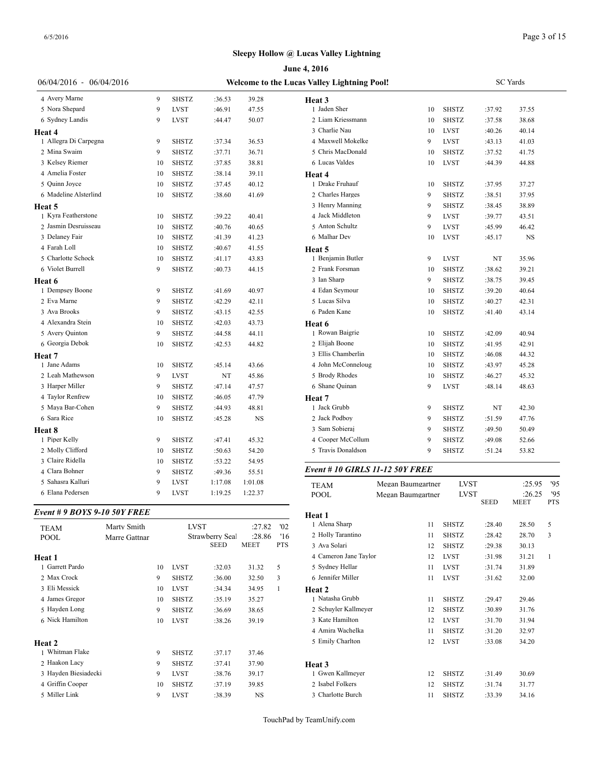|                              |               |    |              |                 |             |              | June 4, 2016                                |                   |              |                            |                  |                |
|------------------------------|---------------|----|--------------|-----------------|-------------|--------------|---------------------------------------------|-------------------|--------------|----------------------------|------------------|----------------|
| $06/04/2016 - 06/04/2016$    |               |    |              |                 |             |              | Welcome to the Lucas Valley Lightning Pool! |                   |              |                            | <b>SC</b> Yards  |                |
| 4 Avery Marne                |               | 9  | <b>SHSTZ</b> | :36.53          | 39.28       |              | Heat 3                                      |                   |              |                            |                  |                |
| 5 Nora Shepard               |               | 9  | <b>LVST</b>  | :46.91          | 47.55       |              | 1 Jaden Sher                                | 10                | <b>SHSTZ</b> | :37.92                     | 37.55            |                |
| 6 Sydney Landis              |               | 9  | <b>LVST</b>  | :44.47          | 50.07       |              | 2 Liam Kriessmann                           | 10                | <b>SHSTZ</b> | :37.58                     | 38.68            |                |
| Heat 4                       |               |    |              |                 |             |              | 3 Charlie Nau                               | 10                | <b>LVST</b>  | :40.26                     | 40.14            |                |
| 1 Allegra Di Carpegna        |               | 9  | <b>SHSTZ</b> | :37.34          | 36.53       |              | 4 Maxwell Mokelke                           | 9                 | <b>LVST</b>  | :43.13                     | 41.03            |                |
| 2 Mina Swaim                 |               | 9  | <b>SHSTZ</b> | :37.71          | 36.71       |              | 5 Chris MacDonald                           | 10                | <b>SHSTZ</b> | :37.52                     | 41.75            |                |
| 3 Kelsey Riemer              |               | 10 | <b>SHSTZ</b> | :37.85          | 38.81       |              | 6 Lucas Valdes                              | 10                | <b>LVST</b>  | :44.39                     | 44.88            |                |
| 4 Amelia Foster              |               | 10 | <b>SHSTZ</b> | :38.14          | 39.11       |              | Heat 4                                      |                   |              |                            |                  |                |
| 5 Quinn Joyce                |               | 10 | <b>SHSTZ</b> | :37.45          | 40.12       |              | 1 Drake Fruhauf                             | 10                | <b>SHSTZ</b> | :37.95                     | 37.27            |                |
| 6 Madeline Alsterlind        |               | 10 | <b>SHSTZ</b> | :38.60          | 41.69       |              | 2 Charles Harges                            | 9                 | <b>SHSTZ</b> | :38.51                     | 37.95            |                |
| Heat 5                       |               |    |              |                 |             |              | 3 Henry Manning                             | 9                 | <b>SHSTZ</b> | :38.45                     | 38.89            |                |
| 1 Kyra Featherstone          |               | 10 | <b>SHSTZ</b> | :39.22          | 40.41       |              | 4 Jack Middleton                            | 9                 | <b>LVST</b>  | :39.77                     | 43.51            |                |
| 2 Jasmin Desruisseau         |               | 10 | <b>SHSTZ</b> | :40.76          | 40.65       |              | 5 Anton Schultz                             | 9                 | <b>LVST</b>  | :45.99                     | 46.42            |                |
| 3 Delaney Fair               |               | 10 | <b>SHSTZ</b> | :41.39          | 41.23       |              | 6 Malhar Dev                                | 10                | <b>LVST</b>  | :45.17                     | NS               |                |
| 4 Farah Loll                 |               | 10 | <b>SHSTZ</b> | :40.67          | 41.55       |              | Heat 5                                      |                   |              |                            |                  |                |
| 5 Charlotte Schock           |               | 10 | <b>SHSTZ</b> | :41.17          | 43.83       |              | 1 Benjamin Butler                           | 9                 | <b>LVST</b>  | NT                         | 35.96            |                |
| 6 Violet Burrell             |               | 9  | <b>SHSTZ</b> | :40.73          | 44.15       |              | 2 Frank Forsman                             | 10                | <b>SHSTZ</b> | :38.62                     | 39.21            |                |
| Heat 6                       |               |    |              |                 |             |              | 3 Ian Sharp                                 | 9                 | <b>SHSTZ</b> | :38.75                     | 39.45            |                |
| 1 Dempsey Boone              |               | 9  | SHSTZ        | :41.69          | 40.97       |              | 4 Edan Seymour                              | 10                | <b>SHSTZ</b> | :39.20                     | 40.64            |                |
| 2 Eva Marne                  |               | 9  | <b>SHSTZ</b> | :42.29          | 42.11       |              | 5 Lucas Silva                               | 10                | <b>SHSTZ</b> | :40.27                     | 42.31            |                |
| 3 Ava Brooks                 |               | 9  | SHSTZ        | :43.15          | 42.55       |              | 6 Paden Kane                                | 10                | <b>SHSTZ</b> | :41.40                     | 43.14            |                |
| 4 Alexandra Stein            |               | 10 | <b>SHSTZ</b> | :42.03          | 43.73       |              | Heat 6                                      |                   |              |                            |                  |                |
| 5 Avery Quinton              |               | 9  | SHSTZ        | :44.58          | 44.11       |              | 1 Rowan Baigrie                             | 10                | <b>SHSTZ</b> | :42.09                     | 40.94            |                |
| 6 Georgia Debok              |               | 10 | <b>SHSTZ</b> | :42.53          | 44.82       |              | 2 Elijah Boone                              | 10                | <b>SHSTZ</b> | :41.95                     | 42.91            |                |
| Heat 7                       |               |    |              |                 |             |              | 3 Ellis Chamberlin                          | 10                | <b>SHSTZ</b> | :46.08                     | 44.32            |                |
| 1 Jane Adams                 |               | 10 | <b>SHSTZ</b> | :45.14          | 43.66       |              | 4 John McConneloug                          | 10                | <b>SHSTZ</b> | :43.97                     | 45.28            |                |
| 2 Leah Mathewson             |               | 9  | <b>LVST</b>  | NT              | 45.86       |              | 5 Brody Rhodes                              | 10                | <b>SHSTZ</b> | :46.27                     | 45.32            |                |
| 3 Harper Miller              |               | 9  | <b>SHSTZ</b> | :47.14          | 47.57       |              | 6 Shane Quinan                              | 9                 | <b>LVST</b>  | :48.14                     | 48.63            |                |
| 4 Taylor Renfrew             |               | 10 | SHSTZ        | :46.05          | 47.79       |              | Heat 7                                      |                   |              |                            |                  |                |
| 5 Maya Bar-Cohen             |               | 9  | <b>SHSTZ</b> | :44.93          | 48.81       |              | 1 Jack Grubb                                | 9                 | <b>SHSTZ</b> | NT                         | 42.30            |                |
| 6 Sara Rice                  |               | 10 | <b>SHSTZ</b> | :45.28          | $_{\rm NS}$ |              | 2 Jack Podboy                               | 9                 | <b>SHSTZ</b> | :51.59                     | 47.76            |                |
| Heat 8                       |               |    |              |                 |             |              | 3 Sam Sobieraj                              | 9                 | <b>SHSTZ</b> | :49.50                     | 50.49            |                |
| 1 Piper Kelly                |               | 9  | <b>SHSTZ</b> | :47.41          | 45.32       |              | 4 Cooper McCollum                           | 9                 | <b>SHSTZ</b> | :49.08                     | 52.66            |                |
| 2 Molly Clifford             |               | 10 | <b>SHSTZ</b> | :50.63          | 54.20       |              | 5 Travis Donaldson                          | 9                 | <b>SHSTZ</b> | :51.24                     | 53.82            |                |
| 3 Claire Ridella             |               | 10 | SHSTZ        | :53.22          | 54.95       |              |                                             |                   |              |                            |                  |                |
| 4 Clara Bohner               |               | 9  | <b>SHSTZ</b> | :49.36          | 55.51       |              | Event # 10 GIRLS 11-12 50Y FREE             |                   |              |                            |                  |                |
| 5 Sahasra Kalluri            |               | 9  | <b>LVST</b>  | 1:17.08         | 1:01.08     |              |                                             |                   |              |                            |                  |                |
| 6 Elana Pedersen             |               | 9  | <b>LVST</b>  | 1:19.25         | 1:22.37     |              | <b>TEAM</b>                                 | Megan Baumgartner |              | <b>LVST</b><br><b>LVST</b> | :25.95<br>:26.25 | 95<br>95       |
|                              |               |    |              |                 |             |              | POOL                                        | Megan Baumgartner |              | <b>SEED</b>                | <b>MEET</b>      | <b>PTS</b>     |
| Event # 9 BOYS 9-10 50Y FREE |               |    |              |                 |             |              | Heat 1                                      |                   |              |                            |                  |                |
| <b>TEAM</b>                  | Marty Smith   |    | <b>LVST</b>  |                 | :27.82      | '02          | 1 Alena Sharp                               | 11                | <b>SHSTZ</b> | :28.40                     | 28.50            | 5              |
| POOL                         | Marre Gattnar |    |              | Strawberry Seal | :28.86      | '16          | 2 Holly Tarantino                           | 11                | <b>SHSTZ</b> | :28.42                     | 28.70            | 3              |
|                              |               |    |              | <b>SEED</b>     | <b>MEET</b> | <b>PTS</b>   | 3 Ava Solari                                | 12                | <b>SHSTZ</b> | :29.38                     | 30.13            |                |
| Heat 1                       |               |    |              |                 |             |              | 4 Cameron Jane Taylor                       | 12                | <b>LVST</b>  | :31.98                     | 31.21            | $\overline{1}$ |
| 1 Garrett Pardo              |               | 10 | <b>LVST</b>  | :32.03          | 31.32       | 5            | 5 Sydney Hellar                             | 11                | <b>LVST</b>  | :31.74                     | 31.89            |                |
| 2 Max Crock                  |               | 9  | <b>SHSTZ</b> | :36.00          | 32.50       | $\mathbf{3}$ | 6 Jennifer Miller                           | 11                | <b>LVST</b>  | :31.62                     | 32.00            |                |
| 3 Eli Messick                |               | 10 | <b>LVST</b>  | :34.34          | 34.95       | $\mathbf{1}$ | Heat 2                                      |                   |              |                            |                  |                |
| 4 James Gregor               |               | 10 | <b>SHSTZ</b> | :35.19          | 35.27       |              | 1 Natasha Grubb                             | 11                | <b>SHSTZ</b> | :29.47                     | 29.46            |                |
| 5 Hayden Long                |               | 9  | SHSTZ        | :36.69          | 38.65       |              | 2 Schuyler Kallmeyer                        | 12                | <b>SHSTZ</b> | :30.89                     | 31.76            |                |
| 6 Nick Hamilton              |               | 10 | LVST         | :38.26          | 39.19       |              | 3 Kate Hamilton                             | 12                | <b>LVST</b>  | :31.70                     | 31.94            |                |
|                              |               |    |              |                 |             |              | 4 Amira Wachelka                            | 11                | <b>SHSTZ</b> | :31.20                     | 32.97            |                |
| Heat 2                       |               |    |              |                 |             |              | 5 Emily Charlton                            | 12                | <b>LVST</b>  | :33.08                     | 34.20            |                |
| 1 Whitman Flake              |               | 9  | SHSTZ        | :37.17          | 37.46       |              |                                             |                   |              |                            |                  |                |
| 2 Haakon Lacy                |               | 9  | SHSTZ        | :37.41          | 37.90       |              | Heat 3                                      |                   |              |                            |                  |                |
| 3 Hayden Biesiadecki         |               | 9  | <b>LVST</b>  | :38.76          | 39.17       |              | 1 Gwen Kallmeyer                            | 12                | <b>SHSTZ</b> | :31.49                     | 30.69            |                |
| 4 Griffin Cooper             |               | 10 | <b>SHSTZ</b> | :37.19          | 39.85       |              | 2 Isabel Folkers                            | 12                | <b>SHSTZ</b> | :31.74                     | 31.77            |                |
| 5 Miller Link                |               | 9  | <b>LVST</b>  | :38.39          | NS          |              | 3 Charlotte Burch                           |                   | 11 SHSTZ     | :33.39                     | 34.16            |                |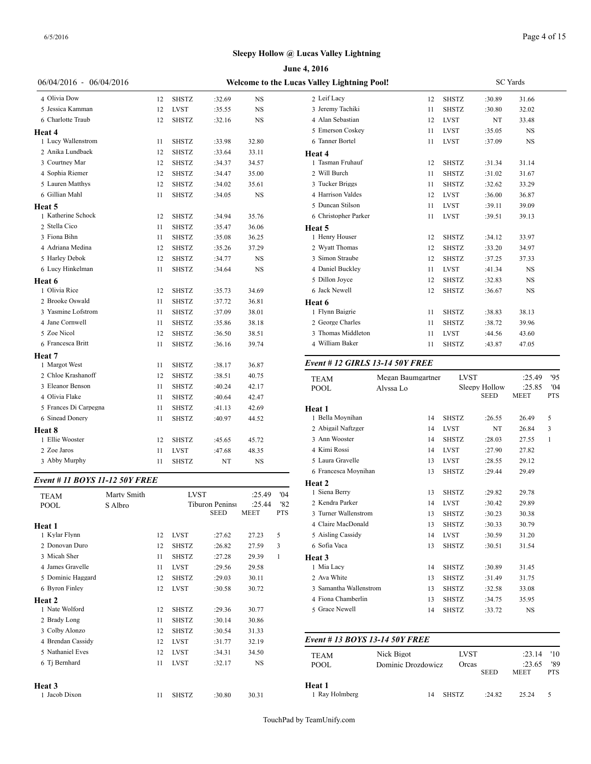|                         |    | June 4, 2016                                |        |           |                                        |                   |  |  |  |  |  |  |  |
|-------------------------|----|---------------------------------------------|--------|-----------|----------------------------------------|-------------------|--|--|--|--|--|--|--|
| 06/04/2016 - 06/04/2016 |    | Welcome to the Lucas Valley Lightning Pool! |        |           |                                        |                   |  |  |  |  |  |  |  |
| 4 Olivia Dow            | 12 | <b>SHSTZ</b>                                | :32.69 | <b>NS</b> | 2 Leif Lacy                            | 12                |  |  |  |  |  |  |  |
| 5 Jessica Kamman        | 12 | <b>LVST</b>                                 | :35.55 | <b>NS</b> | 3 Jeremy Tachiki                       | 11                |  |  |  |  |  |  |  |
| 6 Charlotte Traub       | 12 | <b>SHSTZ</b>                                | :32.16 | <b>NS</b> | 4 Alan Sebastian                       | 12                |  |  |  |  |  |  |  |
| Heat 4                  |    |                                             |        |           | 5 Emerson Coskey                       | 11                |  |  |  |  |  |  |  |
| 1 Lucy Wallenstrom      | 11 | <b>SHSTZ</b>                                | :33.98 | 32.80     | 6 Tanner Bortel                        | 11                |  |  |  |  |  |  |  |
| 2 Anika Lundbaek        | 12 | <b>SHSTZ</b>                                | :33.64 | 33.11     | Heat 4                                 |                   |  |  |  |  |  |  |  |
| 3 Courtney Mar          | 12 | <b>SHSTZ</b>                                | :34.37 | 34.57     | 1 Tasman Fruhauf                       | 12                |  |  |  |  |  |  |  |
| 4 Sophia Riemer         | 12 | <b>SHSTZ</b>                                | :34.47 | 35.00     | 2 Will Burch                           | 11                |  |  |  |  |  |  |  |
| 5 Lauren Matthys        | 12 | <b>SHSTZ</b>                                | :34.02 | 35.61     | 3 Tucker Briggs                        | 11                |  |  |  |  |  |  |  |
| 6 Gillian Mahl          | 11 | <b>SHSTZ</b>                                | :34.05 | <b>NS</b> | 4 Harrison Valdes                      | 12                |  |  |  |  |  |  |  |
| Heat 5                  |    |                                             |        |           | 5 Duncan Stilson                       | 11                |  |  |  |  |  |  |  |
| 1 Katherine Schock      | 12 | <b>SHSTZ</b>                                | :34.94 | 35.76     | 6 Christopher Parker                   | 11                |  |  |  |  |  |  |  |
| 2 Stella Cico           | 11 | <b>SHSTZ</b>                                | :35.47 | 36.06     | Heat 5                                 |                   |  |  |  |  |  |  |  |
| 3 Fiona Bihn            | 11 | <b>SHSTZ</b>                                | :35.08 | 36.25     | 1 Henry Houser                         | 12                |  |  |  |  |  |  |  |
| 4 Adriana Medina        | 12 | <b>SHSTZ</b>                                | :35.26 | 37.29     | 2 Wyatt Thomas                         | 12                |  |  |  |  |  |  |  |
| 5 Harley Debok          | 12 | <b>SHSTZ</b>                                | :34.77 | <b>NS</b> | 3 Simon Straube                        | 12                |  |  |  |  |  |  |  |
| 6 Lucy Hinkelman        | 11 | <b>SHSTZ</b>                                | :34.64 | NS        | 4 Daniel Buckley                       | 11                |  |  |  |  |  |  |  |
| Heat 6                  |    |                                             |        |           | 5 Dillon Joyce                         | 12                |  |  |  |  |  |  |  |
| 1 Olivia Rice           | 12 | <b>SHSTZ</b>                                | :35.73 | 34.69     | 6 Jack Newell                          | 12                |  |  |  |  |  |  |  |
| 2 Brooke Oswald         | 11 | <b>SHSTZ</b>                                | :37.72 | 36.81     | Heat 6                                 |                   |  |  |  |  |  |  |  |
| 3 Yasmine Lofstrom      | 11 | <b>SHSTZ</b>                                | :37.09 | 38.01     | 1 Flynn Baigrie                        | 11                |  |  |  |  |  |  |  |
| 4 Jane Cornwell         | 11 | <b>SHSTZ</b>                                | :35.86 | 38.18     | 2 George Charles                       | 11                |  |  |  |  |  |  |  |
| 5 Zoe Nicol             | 12 | <b>SHSTZ</b>                                | :36.50 | 38.51     | 3 Thomas Middleton                     | 11                |  |  |  |  |  |  |  |
| 6 Francesca Britt       | 11 | <b>SHSTZ</b>                                | :36.16 | 39.74     | 4 William Baker                        | 11                |  |  |  |  |  |  |  |
| <b>Heat 7</b>           |    |                                             |        |           |                                        |                   |  |  |  |  |  |  |  |
| 1 Margot West           | 11 | <b>SHSTZ</b>                                | :38.17 | 36.87     | <b>Event # 12 GIRLS 13-14 50Y FREE</b> |                   |  |  |  |  |  |  |  |
| 2 Chloe Krashanoff      | 12 | <b>SHSTZ</b>                                | :38.51 | 40.75     | <b>TEAM</b>                            | Megan Baumgartner |  |  |  |  |  |  |  |
| 3 Eleanor Benson        | 11 | <b>SHSTZ</b>                                | :40.24 | 42.17     | <b>POOL</b>                            | Alyssa Lo         |  |  |  |  |  |  |  |
| 4 Olivia Flake          | 11 | <b>SHSTZ</b>                                | :40.64 | 42.47     |                                        |                   |  |  |  |  |  |  |  |
| 5 Frances Di Carpegna   | 11 | <b>SHSTZ</b>                                | :41.13 | 42.69     | Heat 1                                 |                   |  |  |  |  |  |  |  |
| 6 Sinead Donery         | 11 | SHSTZ                                       | :40.97 | 44.52     | 1 Bella Moynihan                       | 14                |  |  |  |  |  |  |  |
| Heat 8                  |    |                                             |        |           | 2 Abigail Naftzger                     | 14                |  |  |  |  |  |  |  |
| 1 Ellie Wooster         | 12 | <b>SHSTZ</b>                                | :45.65 | 45.72     | 3 Ann Wooster                          | 14                |  |  |  |  |  |  |  |
| 2 Zoe Jaros             | 11 | <b>LVST</b>                                 | :47.68 | 48.35     | 4 Kimi Rossi                           | 14                |  |  |  |  |  |  |  |
| 3 Abby Murphy           | 11 | <b>SHSTZ</b>                                | NT     | <b>NS</b> | 5 Laura Gravelle                       | 13                |  |  |  |  |  |  |  |
|                         |    |                                             |        |           | 6 Francesca Movnihan                   | 12                |  |  |  |  |  |  |  |

#### *Event # 11 BOYS 11-12 50Y FREE*

| <b>TEAM</b>       | Marty Smith |    | <b>LVST</b>  |                        | :25.49 | '04        | 1 Siena Berry     |
|-------------------|-------------|----|--------------|------------------------|--------|------------|-------------------|
| <b>POOL</b>       | S Albro     |    |              | <b>Tiburon Peninsi</b> | :25.44 | '82        | 2 Kendra Parker   |
|                   |             |    |              | <b>SEED</b>            | MEET   | <b>PTS</b> | 3 Turner Wallenst |
| Heat 1            |             |    |              |                        |        |            | 4 Claire MacDona  |
| 1 Kylar Flynn     |             | 12 | <b>LVST</b>  | :27.62                 | 27.23  | 5          | 5 Aisling Cassidy |
| 2 Donovan Duro    |             | 12 | <b>SHSTZ</b> | :26.82                 | 27.59  | 3          | 6 Sofia Vaca      |
| 3 Micah Sher      |             | 11 | <b>SHSTZ</b> | :27.28                 | 29.39  | 1          | Heat 3            |
| 4 James Gravelle  |             | 11 | <b>LVST</b>  | :29.56                 | 29.58  |            | 1 Mia Lacy        |
| 5 Dominic Haggard |             | 12 | <b>SHSTZ</b> | :29.03                 | 30.11  |            | 2 Ava White       |
| 6 Byron Finley    |             | 12 | <b>LVST</b>  | :30.58                 | 30.72  |            | 3 Samantha Walle  |
| <b>Heat 2</b>     |             |    |              |                        |        |            | 4 Fiona Chamberl  |
| 1 Nate Wolford    |             | 12 | <b>SHSTZ</b> | :29.36                 | 30.77  |            | 5 Grace Newell    |
| 2 Brady Long      |             | 11 | <b>SHSTZ</b> | :30.14                 | 30.86  |            |                   |
| 3 Colby Alonzo    |             | 12 | <b>SHSTZ</b> | :30.54                 | 31.33  |            |                   |
| 4 Brendan Cassidy |             | 12 | <b>LVST</b>  | :31.77                 | 32.19  |            | Event # 13 $BOY$  |
| 5 Nathaniel Eves  |             | 12 | <b>LVST</b>  | :34.31                 | 34.50  |            | <b>TEAM</b>       |
| 6 Tj Bernhard     |             | 11 | <b>LVST</b>  | :32.17                 | NS     |            | <b>POOL</b>       |
| Heat 3            |             |    |              |                        |        |            | Heat 1            |
| 1 Jacob Dixon     |             | 11 | <b>SHSTZ</b> | :30.80                 | 30.31  |            | 1 Ray Holmberg    |

| s Valley Lightning Pool! |    | <b>SC</b> Yards |        |           |  |  |  |  |
|--------------------------|----|-----------------|--------|-----------|--|--|--|--|
| 2 Leif Lacy              | 12 | <b>SHSTZ</b>    | :30.89 | 31.66     |  |  |  |  |
| 3 Jeremy Tachiki         | 11 | <b>SHSTZ</b>    | :30.80 | 32.02     |  |  |  |  |
| 4 Alan Sebastian         | 12 | <b>LVST</b>     | NT     | 33.48     |  |  |  |  |
| 5 Emerson Coskey         | 11 | <b>LVST</b>     | :35.05 | <b>NS</b> |  |  |  |  |
| 6 Tanner Bortel          | 11 | <b>LVST</b>     | :37.09 | <b>NS</b> |  |  |  |  |
| Heat 4                   |    |                 |        |           |  |  |  |  |
| 1 Tasman Fruhauf         | 12 | <b>SHSTZ</b>    | :31.34 | 31.14     |  |  |  |  |
| 2 Will Burch             | 11 | <b>SHSTZ</b>    | :31.02 | 31.67     |  |  |  |  |
| 3 Tucker Briggs          | 11 | <b>SHSTZ</b>    | :32.62 | 33.29     |  |  |  |  |
| 4 Harrison Valdes        | 12 | <b>LVST</b>     | :36.00 | 36.87     |  |  |  |  |
| 5 Duncan Stilson         | 11 | <b>LVST</b>     | :39.11 | 39.09     |  |  |  |  |
| 6 Christopher Parker     | 11 | <b>LVST</b>     | :39.51 | 39.13     |  |  |  |  |
| Heat 5                   |    |                 |        |           |  |  |  |  |
| 1 Henry Houser           | 12 | <b>SHSTZ</b>    | :34.12 | 33.97     |  |  |  |  |
| 2 Wyatt Thomas           | 12 | <b>SHSTZ</b>    | :33.20 | 34.97     |  |  |  |  |
| 3 Simon Straube          | 12 | <b>SHSTZ</b>    | :37.25 | 37.33     |  |  |  |  |
| 4 Daniel Buckley         | 11 | <b>LVST</b>     | :41.34 | <b>NS</b> |  |  |  |  |
| 5 Dillon Joyce           | 12 | <b>SHSTZ</b>    | :32.83 | <b>NS</b> |  |  |  |  |
| 6 Jack Newell            | 12 | <b>SHSTZ</b>    | :36.67 | <b>NS</b> |  |  |  |  |
| Heat 6                   |    |                 |        |           |  |  |  |  |
| 1 Flynn Baigrie          | 11 | <b>SHSTZ</b>    | :38.83 | 38.13     |  |  |  |  |
| 2 George Charles         | 11 | <b>SHSTZ</b>    | :38.72 | 39.96     |  |  |  |  |
| 3 Thomas Middleton       | 11 | <b>LVST</b>     | :44.56 | 43.60     |  |  |  |  |
| 4 William Baker          | 11 | <b>SHSTZ</b>    | :43.87 | 47.05     |  |  |  |  |
|                          |    |                 |        |           |  |  |  |  |

### *Event # 12 GIRLS 13-14 50Y FREE*

| <b>TEAM</b>            | Megan Baumgartner | <b>LVST</b>  |                              | :25.49                | 95                |
|------------------------|-------------------|--------------|------------------------------|-----------------------|-------------------|
| POOL                   | Alvssa Lo         |              | Sleepy Hollow<br><b>SEED</b> | :25.85<br><b>MEET</b> | '04<br><b>PTS</b> |
| Heat 1                 |                   |              |                              |                       |                   |
| 1 Bella Movnihan       | 14                | <b>SHSTZ</b> | :26.55                       | 26.49                 | 5                 |
| 2 Abigail Naftzger     | 14                | <b>LVST</b>  | NT                           | 26.84                 | 3                 |
| 3 Ann Wooster          | 14                | <b>SHSTZ</b> | :28.03                       | 27.55                 | 1                 |
| 4 Kimi Rossi           | 14                | <b>LVST</b>  | :27.90                       | 27.82                 |                   |
| 5 Laura Gravelle       | 13                | <b>LVST</b>  | :28.55                       | 29.12                 |                   |
| 6 Francesca Moynihan   | 13                | <b>SHSTZ</b> | :29.44                       | 29.49                 |                   |
| Heat 2                 |                   |              |                              |                       |                   |
| 1 Siena Berry          | 13                | <b>SHSTZ</b> | :29.82                       | 29.78                 |                   |
| 2 Kendra Parker        | 14                | <b>LVST</b>  | :30.42                       | 29.89                 |                   |
| 3 Turner Wallenstrom   | 13                | <b>SHSTZ</b> | :30.23                       | 30.38                 |                   |
| 4 Claire MacDonald     | 13                | <b>SHSTZ</b> | :30.33                       | 30.79                 |                   |
| 5 Aisling Cassidy      | 14                | <b>LVST</b>  | :30.59                       | 31.20                 |                   |
| 6 Sofia Vaca           | 13                | <b>SHSTZ</b> | :30.51                       | 31.54                 |                   |
| Heat 3                 |                   |              |                              |                       |                   |
| 1 Mia Lacy             | 14                | <b>SHSTZ</b> | :30.89                       | 31.45                 |                   |
| 2 Ava White            | 13                | <b>SHSTZ</b> | :31.49                       | 31.75                 |                   |
| 3 Samantha Wallenstrom | 13                | <b>SHSTZ</b> | :32.58                       | 33.08                 |                   |
| 4 Fiona Chamberlin     | 13                | <b>SHSTZ</b> | :34.75                       | 35.95                 |                   |
| 5 Grace Newell         | 14                | <b>SHSTZ</b> | :33.72                       | <b>NS</b>             |                   |

# *Event # 13 BOYS 13-14 50Y FREE* TEAM Nick Bigot LVST :23.14 '10

| POOL                     | Dominic Drozdowicz | Orcas        | <b>SEED</b> | :23.65<br><b>MEET</b> | '89<br><b>PTS</b> |  |
|--------------------------|--------------------|--------------|-------------|-----------------------|-------------------|--|
| Heat 1<br>1 Ray Holmberg | 14                 | <b>SHSTZ</b> | :24.82      | 25.24                 |                   |  |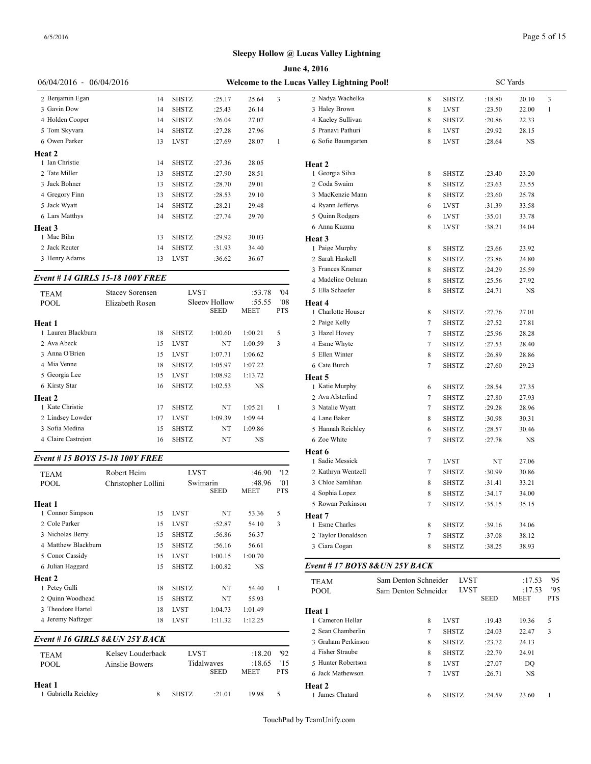|                                |                                                                                                                                              |                                                                                                                                                                                                                                                                                                        |                                                                                                                                                                                                                                                       |                                                                                                                                                                                                   | June 4, 2016                                   |                                                                                                                                                                                                                                                                                                                                                                                                                |
|--------------------------------|----------------------------------------------------------------------------------------------------------------------------------------------|--------------------------------------------------------------------------------------------------------------------------------------------------------------------------------------------------------------------------------------------------------------------------------------------------------|-------------------------------------------------------------------------------------------------------------------------------------------------------------------------------------------------------------------------------------------------------|---------------------------------------------------------------------------------------------------------------------------------------------------------------------------------------------------|------------------------------------------------|----------------------------------------------------------------------------------------------------------------------------------------------------------------------------------------------------------------------------------------------------------------------------------------------------------------------------------------------------------------------------------------------------------------|
| 06/04/2016 - 06/04/2016        |                                                                                                                                              |                                                                                                                                                                                                                                                                                                        |                                                                                                                                                                                                                                                       |                                                                                                                                                                                                   |                                                |                                                                                                                                                                                                                                                                                                                                                                                                                |
|                                |                                                                                                                                              |                                                                                                                                                                                                                                                                                                        |                                                                                                                                                                                                                                                       |                                                                                                                                                                                                   |                                                | 8                                                                                                                                                                                                                                                                                                                                                                                                              |
|                                |                                                                                                                                              |                                                                                                                                                                                                                                                                                                        |                                                                                                                                                                                                                                                       |                                                                                                                                                                                                   |                                                | 8                                                                                                                                                                                                                                                                                                                                                                                                              |
|                                |                                                                                                                                              |                                                                                                                                                                                                                                                                                                        |                                                                                                                                                                                                                                                       |                                                                                                                                                                                                   |                                                | 8                                                                                                                                                                                                                                                                                                                                                                                                              |
| 14                             |                                                                                                                                              |                                                                                                                                                                                                                                                                                                        |                                                                                                                                                                                                                                                       |                                                                                                                                                                                                   | 5 Pranavi Pathuri                              | 8                                                                                                                                                                                                                                                                                                                                                                                                              |
| 13                             | <b>LVST</b>                                                                                                                                  | :27.69                                                                                                                                                                                                                                                                                                 | 28.07                                                                                                                                                                                                                                                 | 1                                                                                                                                                                                                 | 6 Sofie Baumgarten                             | 8                                                                                                                                                                                                                                                                                                                                                                                                              |
|                                |                                                                                                                                              |                                                                                                                                                                                                                                                                                                        |                                                                                                                                                                                                                                                       |                                                                                                                                                                                                   |                                                |                                                                                                                                                                                                                                                                                                                                                                                                                |
| 14                             | <b>SHSTZ</b>                                                                                                                                 | :27.36                                                                                                                                                                                                                                                                                                 | 28.05                                                                                                                                                                                                                                                 |                                                                                                                                                                                                   | Heat 2                                         |                                                                                                                                                                                                                                                                                                                                                                                                                |
| 13                             | <b>SHSTZ</b>                                                                                                                                 | :27.90                                                                                                                                                                                                                                                                                                 | 28.51                                                                                                                                                                                                                                                 |                                                                                                                                                                                                   | 1 Georgia Silva                                | 8                                                                                                                                                                                                                                                                                                                                                                                                              |
| 13                             | <b>SHSTZ</b>                                                                                                                                 | :28.70                                                                                                                                                                                                                                                                                                 | 29.01                                                                                                                                                                                                                                                 |                                                                                                                                                                                                   | 2 Coda Swaim                                   | 8                                                                                                                                                                                                                                                                                                                                                                                                              |
| 13                             | <b>SHSTZ</b>                                                                                                                                 | :28.53                                                                                                                                                                                                                                                                                                 | 29.10                                                                                                                                                                                                                                                 |                                                                                                                                                                                                   | 3 MacKenzie Mann                               | 8                                                                                                                                                                                                                                                                                                                                                                                                              |
| 14                             | <b>SHSTZ</b>                                                                                                                                 | :28.21                                                                                                                                                                                                                                                                                                 | 29.48                                                                                                                                                                                                                                                 |                                                                                                                                                                                                   | 4 Ryann Jefferys                               | 6                                                                                                                                                                                                                                                                                                                                                                                                              |
| 14                             | <b>SHSTZ</b>                                                                                                                                 | :27.74                                                                                                                                                                                                                                                                                                 | 29.70                                                                                                                                                                                                                                                 |                                                                                                                                                                                                   | 5 Quinn Rodgers                                | 6                                                                                                                                                                                                                                                                                                                                                                                                              |
|                                |                                                                                                                                              |                                                                                                                                                                                                                                                                                                        |                                                                                                                                                                                                                                                       |                                                                                                                                                                                                   | 6 Anna Kuzma                                   | 8                                                                                                                                                                                                                                                                                                                                                                                                              |
| 13                             | <b>SHSTZ</b>                                                                                                                                 | :29.92                                                                                                                                                                                                                                                                                                 | 30.03                                                                                                                                                                                                                                                 |                                                                                                                                                                                                   | Heat 3                                         |                                                                                                                                                                                                                                                                                                                                                                                                                |
| 14                             | <b>SHSTZ</b>                                                                                                                                 | :31.93                                                                                                                                                                                                                                                                                                 | 34.40                                                                                                                                                                                                                                                 |                                                                                                                                                                                                   | 1 Paige Murphy                                 | 8                                                                                                                                                                                                                                                                                                                                                                                                              |
| 13                             | <b>LVST</b>                                                                                                                                  | :36.62                                                                                                                                                                                                                                                                                                 | 36.67                                                                                                                                                                                                                                                 |                                                                                                                                                                                                   | 2 Sarah Haskell                                | 8                                                                                                                                                                                                                                                                                                                                                                                                              |
|                                |                                                                                                                                              |                                                                                                                                                                                                                                                                                                        |                                                                                                                                                                                                                                                       |                                                                                                                                                                                                   | 3 Frances Kramer                               | 8                                                                                                                                                                                                                                                                                                                                                                                                              |
|                                |                                                                                                                                              |                                                                                                                                                                                                                                                                                                        |                                                                                                                                                                                                                                                       |                                                                                                                                                                                                   | 4 Madeline Oelman                              | 8                                                                                                                                                                                                                                                                                                                                                                                                              |
| <b>Stacey Sorensen</b>         |                                                                                                                                              |                                                                                                                                                                                                                                                                                                        | :53.78                                                                                                                                                                                                                                                | 04                                                                                                                                                                                                |                                                | 8                                                                                                                                                                                                                                                                                                                                                                                                              |
| Elizabeth Rosen                |                                                                                                                                              |                                                                                                                                                                                                                                                                                                        | :55.55                                                                                                                                                                                                                                                | '08                                                                                                                                                                                               | <b>Heat 4</b>                                  |                                                                                                                                                                                                                                                                                                                                                                                                                |
|                                |                                                                                                                                              |                                                                                                                                                                                                                                                                                                        |                                                                                                                                                                                                                                                       |                                                                                                                                                                                                   |                                                | 8                                                                                                                                                                                                                                                                                                                                                                                                              |
|                                |                                                                                                                                              |                                                                                                                                                                                                                                                                                                        |                                                                                                                                                                                                                                                       |                                                                                                                                                                                                   |                                                | 7                                                                                                                                                                                                                                                                                                                                                                                                              |
|                                |                                                                                                                                              |                                                                                                                                                                                                                                                                                                        |                                                                                                                                                                                                                                                       |                                                                                                                                                                                                   |                                                | 7                                                                                                                                                                                                                                                                                                                                                                                                              |
|                                |                                                                                                                                              |                                                                                                                                                                                                                                                                                                        |                                                                                                                                                                                                                                                       |                                                                                                                                                                                                   |                                                | 7                                                                                                                                                                                                                                                                                                                                                                                                              |
|                                |                                                                                                                                              |                                                                                                                                                                                                                                                                                                        |                                                                                                                                                                                                                                                       |                                                                                                                                                                                                   |                                                | 8                                                                                                                                                                                                                                                                                                                                                                                                              |
|                                |                                                                                                                                              |                                                                                                                                                                                                                                                                                                        |                                                                                                                                                                                                                                                       |                                                                                                                                                                                                   |                                                | $\boldsymbol{7}$                                                                                                                                                                                                                                                                                                                                                                                               |
|                                |                                                                                                                                              |                                                                                                                                                                                                                                                                                                        |                                                                                                                                                                                                                                                       |                                                                                                                                                                                                   |                                                |                                                                                                                                                                                                                                                                                                                                                                                                                |
|                                |                                                                                                                                              |                                                                                                                                                                                                                                                                                                        |                                                                                                                                                                                                                                                       |                                                                                                                                                                                                   |                                                | 6                                                                                                                                                                                                                                                                                                                                                                                                              |
|                                |                                                                                                                                              |                                                                                                                                                                                                                                                                                                        |                                                                                                                                                                                                                                                       |                                                                                                                                                                                                   |                                                | 7<br>7                                                                                                                                                                                                                                                                                                                                                                                                         |
|                                |                                                                                                                                              |                                                                                                                                                                                                                                                                                                        |                                                                                                                                                                                                                                                       |                                                                                                                                                                                                   |                                                | 8                                                                                                                                                                                                                                                                                                                                                                                                              |
|                                |                                                                                                                                              |                                                                                                                                                                                                                                                                                                        |                                                                                                                                                                                                                                                       |                                                                                                                                                                                                   |                                                | 6                                                                                                                                                                                                                                                                                                                                                                                                              |
|                                |                                                                                                                                              |                                                                                                                                                                                                                                                                                                        |                                                                                                                                                                                                                                                       |                                                                                                                                                                                                   |                                                | 7                                                                                                                                                                                                                                                                                                                                                                                                              |
|                                |                                                                                                                                              |                                                                                                                                                                                                                                                                                                        |                                                                                                                                                                                                                                                       |                                                                                                                                                                                                   |                                                |                                                                                                                                                                                                                                                                                                                                                                                                                |
| Event #15 BOYS 15-18 100Y FREE |                                                                                                                                              |                                                                                                                                                                                                                                                                                                        |                                                                                                                                                                                                                                                       |                                                                                                                                                                                                   | 1 Sadie Messick                                | 7                                                                                                                                                                                                                                                                                                                                                                                                              |
| Robert Heim                    |                                                                                                                                              |                                                                                                                                                                                                                                                                                                        | :46.90                                                                                                                                                                                                                                                | '12                                                                                                                                                                                               | 2 Kathryn Wentzell                             | 7                                                                                                                                                                                                                                                                                                                                                                                                              |
| Christopher Lollini            |                                                                                                                                              |                                                                                                                                                                                                                                                                                                        | :48.96                                                                                                                                                                                                                                                | '01                                                                                                                                                                                               | 3 Chloe Samlihan                               | 8                                                                                                                                                                                                                                                                                                                                                                                                              |
|                                |                                                                                                                                              | SEED                                                                                                                                                                                                                                                                                                   | MEET                                                                                                                                                                                                                                                  | <b>PTS</b>                                                                                                                                                                                        | 4 Sophia Lopez                                 | 8                                                                                                                                                                                                                                                                                                                                                                                                              |
|                                |                                                                                                                                              |                                                                                                                                                                                                                                                                                                        |                                                                                                                                                                                                                                                       |                                                                                                                                                                                                   | 5 Rowan Perkinson                              | 7                                                                                                                                                                                                                                                                                                                                                                                                              |
| 15                             | LVST                                                                                                                                         | NT                                                                                                                                                                                                                                                                                                     | 53.36                                                                                                                                                                                                                                                 | 5                                                                                                                                                                                                 | Heat 7                                         |                                                                                                                                                                                                                                                                                                                                                                                                                |
| 15                             | LVST                                                                                                                                         | :52.87                                                                                                                                                                                                                                                                                                 | 54.10                                                                                                                                                                                                                                                 | 3                                                                                                                                                                                                 | 1 Esme Charles                                 | 8                                                                                                                                                                                                                                                                                                                                                                                                              |
| 15                             | <b>SHSTZ</b>                                                                                                                                 | :56.86                                                                                                                                                                                                                                                                                                 | 56.37                                                                                                                                                                                                                                                 |                                                                                                                                                                                                   | 2 Taylor Donaldson                             | 7                                                                                                                                                                                                                                                                                                                                                                                                              |
| 15                             | <b>SHSTZ</b>                                                                                                                                 | :56.16                                                                                                                                                                                                                                                                                                 | 56.61                                                                                                                                                                                                                                                 |                                                                                                                                                                                                   | 3 Ciara Cogan                                  | 8                                                                                                                                                                                                                                                                                                                                                                                                              |
|                                |                                                                                                                                              |                                                                                                                                                                                                                                                                                                        |                                                                                                                                                                                                                                                       |                                                                                                                                                                                                   |                                                |                                                                                                                                                                                                                                                                                                                                                                                                                |
|                                |                                                                                                                                              |                                                                                                                                                                                                                                                                                                        |                                                                                                                                                                                                                                                       |                                                                                                                                                                                                   |                                                |                                                                                                                                                                                                                                                                                                                                                                                                                |
|                                |                                                                                                                                              |                                                                                                                                                                                                                                                                                                        |                                                                                                                                                                                                                                                       |                                                                                                                                                                                                   | TEAM                                           | Sam Denton Schneid                                                                                                                                                                                                                                                                                                                                                                                             |
|                                |                                                                                                                                              |                                                                                                                                                                                                                                                                                                        |                                                                                                                                                                                                                                                       |                                                                                                                                                                                                   | POOL                                           | Sam Denton Schneid                                                                                                                                                                                                                                                                                                                                                                                             |
|                                |                                                                                                                                              |                                                                                                                                                                                                                                                                                                        |                                                                                                                                                                                                                                                       |                                                                                                                                                                                                   |                                                |                                                                                                                                                                                                                                                                                                                                                                                                                |
|                                |                                                                                                                                              |                                                                                                                                                                                                                                                                                                        |                                                                                                                                                                                                                                                       |                                                                                                                                                                                                   |                                                |                                                                                                                                                                                                                                                                                                                                                                                                                |
| 18                             | <b>LVST</b>                                                                                                                                  | 1:11.32                                                                                                                                                                                                                                                                                                | 1:12.25                                                                                                                                                                                                                                               |                                                                                                                                                                                                   | 1 Cameron Hellar                               | 8                                                                                                                                                                                                                                                                                                                                                                                                              |
|                                |                                                                                                                                              |                                                                                                                                                                                                                                                                                                        |                                                                                                                                                                                                                                                       |                                                                                                                                                                                                   | 2 Sean Chamberlin<br>3 Graham Perkinson        | 7<br>8                                                                                                                                                                                                                                                                                                                                                                                                         |
|                                |                                                                                                                                              |                                                                                                                                                                                                                                                                                                        |                                                                                                                                                                                                                                                       |                                                                                                                                                                                                   |                                                |                                                                                                                                                                                                                                                                                                                                                                                                                |
| Event #16 GIRLS 8& UN 25Y BACK |                                                                                                                                              |                                                                                                                                                                                                                                                                                                        |                                                                                                                                                                                                                                                       |                                                                                                                                                                                                   |                                                |                                                                                                                                                                                                                                                                                                                                                                                                                |
| Kelsey Louderback              | <b>LVST</b>                                                                                                                                  |                                                                                                                                                                                                                                                                                                        | :18.20                                                                                                                                                                                                                                                | '92                                                                                                                                                                                               | 4 Fisher Straube                               | 8                                                                                                                                                                                                                                                                                                                                                                                                              |
| Ainslie Bowers                 |                                                                                                                                              | Tidalwaves<br>SEED                                                                                                                                                                                                                                                                                     | :18.65<br>MEET                                                                                                                                                                                                                                        | '15<br><b>PTS</b>                                                                                                                                                                                 | 5 Hunter Robertson                             | 8                                                                                                                                                                                                                                                                                                                                                                                                              |
|                                |                                                                                                                                              |                                                                                                                                                                                                                                                                                                        |                                                                                                                                                                                                                                                       |                                                                                                                                                                                                   | 6 Jack Mathewson                               | 7                                                                                                                                                                                                                                                                                                                                                                                                              |
| 8                              | <b>SHSTZ</b>                                                                                                                                 | :21.01                                                                                                                                                                                                                                                                                                 | 19.98                                                                                                                                                                                                                                                 | 5                                                                                                                                                                                                 | Heat 2<br>1 James Chatard                      | 6                                                                                                                                                                                                                                                                                                                                                                                                              |
|                                | 14<br>14<br>14<br>Event # 14 GIRLS 15-18 100Y FREE<br>18<br>15<br>15<br>18<br>15<br>16<br>17<br>17<br>15<br>16<br>15<br>15<br>18<br>15<br>18 | <b>SHSTZ</b><br><b>SHSTZ</b><br><b>SHSTZ</b><br><b>SHSTZ</b><br><b>SHSTZ</b><br><b>LVST</b><br><b>LVST</b><br><b>SHSTZ</b><br><b>LVST</b><br><b>SHSTZ</b><br><b>SHSTZ</b><br><b>LVST</b><br><b>SHSTZ</b><br><b>SHSTZ</b><br><b>LVST</b><br><b>SHSTZ</b><br><b>SHSTZ</b><br><b>SHSTZ</b><br><b>LVST</b> | :25.17<br>:25.43<br>:26.04<br>:27.28<br><b>LVST</b><br>Sleepy Hollow<br><b>SEED</b><br>1:00.60<br>NT<br>1:07.71<br>1:05.97<br>1:08.92<br>1:02.53<br>NT<br>1:09.39<br>NT<br>NT<br><b>LVST</b><br>Swimarin<br>1:00.15<br>1:00.82<br>NT<br>NT<br>1:04.73 | 25.64<br>26.14<br>27.07<br>27.96<br><b>MEET</b><br>1:00.21<br>1:00.59<br>1:06.62<br>1:07.22<br>1:13.72<br>NS<br>1:05.21<br>1:09.44<br>1:09.86<br>NS<br>1:00.70<br>NS<br>54.40<br>55.93<br>1:01.49 | 3<br><b>PTS</b><br>5<br>3<br>1<br>$\mathbf{1}$ | Welcome to the Lucas Valley Lightning Pool!<br>2 Nadya Wachelka<br>3 Haley Brown<br>4 Kaeley Sullivan<br>5 Ella Schaefer<br>1 Charlotte Houser<br>2 Paige Kelly<br>3 Hazel Hovey<br>4 Esme Whyte<br>5 Ellen Winter<br>6 Cate Burch<br>Heat 5<br>1 Katie Murphy<br>2 Ava Alsterlind<br>3 Natalie Wyatt<br>4 Lane Baker<br>5 Hannah Reichley<br>6 Zoe White<br>Heat 6<br>Event # 17 BOYS 8&UN 25Y BACK<br>Heat 1 |

| s Valley Lightning Pool!       |                      | <b>SC</b> Yards |             |             |            |  |  |  |
|--------------------------------|----------------------|-----------------|-------------|-------------|------------|--|--|--|
| 2 Nadya Wachelka               | 8                    | SHSTZ           | :18.80      | 20.10       | 3          |  |  |  |
| 3 Haley Brown                  | 8                    | <b>LVST</b>     | :23.50      | 22.00       | 1          |  |  |  |
| 4 Kaeley Sullivan              | 8                    | SHSTZ           | :20.86      | 22.33       |            |  |  |  |
| 5 Pranavi Pathuri              | 8                    | <b>LVST</b>     | :29.92      | 28.15       |            |  |  |  |
| 6 Sofie Baumgarten             | 8                    | LVST            | :28.64      | NS          |            |  |  |  |
| Heat 2                         |                      |                 |             |             |            |  |  |  |
| 1 Georgia Silva                | 8                    | SHSTZ           | :23.40      | 23.20       |            |  |  |  |
| 2 Coda Swaim                   | 8                    | SHSTZ           | :23.63      | 23.55       |            |  |  |  |
| 3 MacKenzie Mann               | 8                    | <b>SHSTZ</b>    | :23.60      | 25.78       |            |  |  |  |
| 4 Ryann Jefferys               | 6                    | LVST            | :31.39      | 33.58       |            |  |  |  |
| 5 Quinn Rodgers                | 6                    | LVST            | :35.01      | 33.78       |            |  |  |  |
| 6 Anna Kuzma                   | 8                    | LVST            | :38.21      | 34.04       |            |  |  |  |
| Heat 3                         |                      |                 |             |             |            |  |  |  |
| 1 Paige Murphy                 | 8                    | SHSTZ           | :23.66      | 23.92       |            |  |  |  |
| 2 Sarah Haskell                | 8                    | <b>SHSTZ</b>    | :23.86      | 24.80       |            |  |  |  |
| 3 Frances Kramer               | 8                    | <b>SHSTZ</b>    | :24.29      | 25.59       |            |  |  |  |
| 4 Madeline Oelman              | 8                    | <b>SHSTZ</b>    | :25.56      | 27.92       |            |  |  |  |
| 5 Ella Schaefer                | 8                    | SHSTZ           | :24.71      | NS          |            |  |  |  |
| Heat 4                         |                      |                 |             |             |            |  |  |  |
| 1 Charlotte Houser             | 8                    | SHSTZ           | :27.76      | 27.01       |            |  |  |  |
| 2 Paige Kelly                  | 7                    | <b>SHSTZ</b>    | :27.52      | 27.81       |            |  |  |  |
| 3 Hazel Hovey                  | 7                    | <b>SHSTZ</b>    | :25.96      | 28.28       |            |  |  |  |
| 4 Esme Whyte                   | 7                    | SHSTZ           | :27.53      | 28.40       |            |  |  |  |
| 5 Ellen Winter                 | 8                    | SHSTZ           | :26.89      | 28.86       |            |  |  |  |
| 6 Cate Burch                   | 7                    | SHSTZ           | :27.60      | 29.23       |            |  |  |  |
| Heat 5                         |                      |                 |             |             |            |  |  |  |
| 1 Katie Murphy                 | 6                    | SHSTZ           | :28.54      | 27.35       |            |  |  |  |
| 2 Ava Alsterlind               | 7                    | SHSTZ           | :27.80      | 27.93       |            |  |  |  |
| 3 Natalie Wyatt                | 7                    | SHSTZ           | :29.28      | 28.96       |            |  |  |  |
| 4 Lane Baker                   | 8                    | SHSTZ           | :30.98      | 30.31       |            |  |  |  |
| 5 Hannah Reichley              | 6                    | SHSTZ           | :28.57      | 30.46       |            |  |  |  |
| 6 Zoe White                    | 7                    | SHSTZ           | :27.78      | NS          |            |  |  |  |
| Heat 6                         |                      |                 |             |             |            |  |  |  |
| 1 Sadie Messick                | 7                    | LVST            | NT          | 27.06       |            |  |  |  |
| 2 Kathryn Wentzell             | 7                    | SHSTZ           | :30.99      | 30.86       |            |  |  |  |
| 3 Chloe Samlihan               | 8                    | SHSTZ           | :31.41      | 33.21       |            |  |  |  |
| 4 Sophia Lopez                 | 8                    | SHSTZ           | :34.17      | 34.00       |            |  |  |  |
| 5 Rowan Perkinson              | 7                    | SHSTZ           | :35.15      | 35.15       |            |  |  |  |
| Heat 7                         |                      |                 |             |             |            |  |  |  |
| 1 Esme Charles                 | 8                    | SHSTZ           | :39.16      | 34.06       |            |  |  |  |
| 2 Taylor Donaldson             | 7                    | SHSTZ           | :37.08      | 38.12       |            |  |  |  |
| 3 Ciara Cogan                  | 8                    | SHSTZ           | :38.25      | 38.93       |            |  |  |  |
| Event # 17 BOYS 8& UN 25Y BACK |                      |                 |             |             |            |  |  |  |
| TEAM                           | Sam Denton Schneider | <b>LVST</b>     |             | :17.53      | '95        |  |  |  |
| POOL                           | Sam Denton Schneider | <b>LVST</b>     |             | :17.53      | 95         |  |  |  |
|                                |                      |                 | <b>SEED</b> | <b>MEET</b> | <b>DTC</b> |  |  |  |

| <b>POOL</b>        | Sam Denton Schneider | <b>LVST</b>  |             | :17.53      | 95         |  |
|--------------------|----------------------|--------------|-------------|-------------|------------|--|
|                    |                      |              | <b>SEED</b> | <b>MEET</b> | <b>PTS</b> |  |
| Heat 1             |                      |              |             |             |            |  |
| 1 Cameron Hellar   | 8                    | <b>LVST</b>  | :19.43      | 19.36       | 5          |  |
| 2 Sean Chamberlin  | 7                    | <b>SHSTZ</b> | :24.03      | 22.47       | 3          |  |
| 3 Graham Perkinson | 8                    | <b>SHSTZ</b> | :23.72      | 24.13       |            |  |
| 4 Fisher Straube   | 8                    | <b>SHSTZ</b> | :22.79      | 24.91       |            |  |
| 5 Hunter Robertson | 8                    | <b>LVST</b>  | :27.07      | DQ          |            |  |
| 6 Jack Mathewson   | $\tau$               | <b>LVST</b>  | :26.71      | NS.         |            |  |
| Heat 2             |                      |              |             |             |            |  |
| 1 James Chatard    | 6                    | <b>SHSTZ</b> | :24.59      | 23.60       |            |  |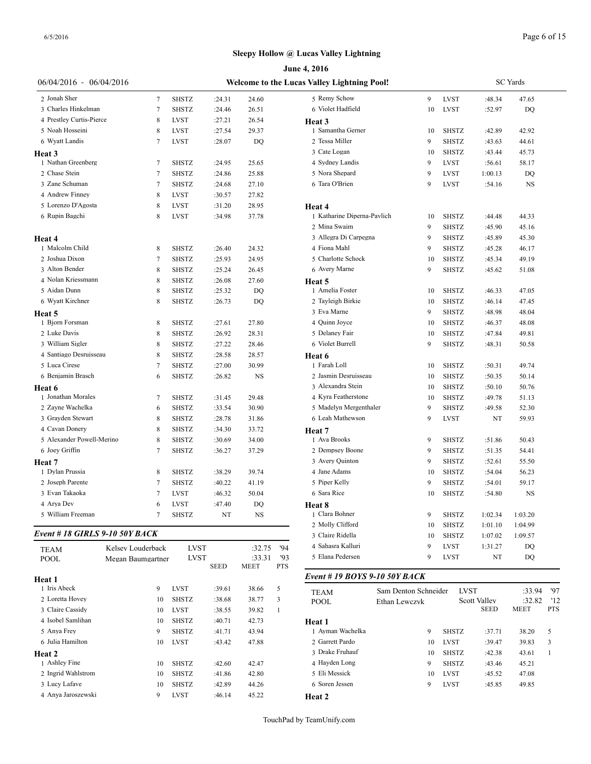|                                |                   |              |             |             |              | June 4, 2016                                |                      |    |              |                             |                 |                   |
|--------------------------------|-------------------|--------------|-------------|-------------|--------------|---------------------------------------------|----------------------|----|--------------|-----------------------------|-----------------|-------------------|
| 06/04/2016 - 06/04/2016        |                   |              |             |             |              | Welcome to the Lucas Valley Lightning Pool! |                      |    |              |                             | <b>SC</b> Yards |                   |
| 2 Jonah Sher                   | 7                 | <b>SHSTZ</b> | :24.31      | 24.60       |              | 5 Remy Schow                                |                      | 9  | <b>LVST</b>  | :48.34                      | 47.65           |                   |
| 3 Charles Hinkelman            | 7                 | SHSTZ        | :24.46      | 26.51       |              | 6 Violet Hadfield                           |                      | 10 | LVST         | :52.97                      | DQ              |                   |
| 4 Prestley Curtis-Pierce       | 8                 | <b>LVST</b>  | :27.21      | 26.54       |              | Heat 3                                      |                      |    |              |                             |                 |                   |
| 5 Noah Hosseini                | 8                 | <b>LVST</b>  | :27.54      | 29.37       |              | 1 Samantha Gerner                           |                      | 10 | <b>SHSTZ</b> | :42.89                      | 42.92           |                   |
| 6 Wyatt Landis                 | 7                 | <b>LVST</b>  | :28.07      | DQ          |              | 2 Tessa Miller                              |                      | 9  | <b>SHSTZ</b> | :43.63                      | 44.61           |                   |
| Heat 3                         |                   |              |             |             |              | 3 Cate Logan                                |                      | 10 | <b>SHSTZ</b> | :43.44                      | 45.73           |                   |
| 1 Nathan Greenberg             | 7                 | <b>SHSTZ</b> | :24.95      | 25.65       |              | 4 Sydney Landis                             |                      | 9  | <b>LVST</b>  | :56.61                      | 58.17           |                   |
| 2 Chase Stein                  | 7                 | SHSTZ        | :24.86      | 25.88       |              | 5 Nora Shepard                              |                      | 9  | <b>LVST</b>  | 1:00.13                     | DQ              |                   |
| 3 Zane Schuman                 | 7                 | SHSTZ        | :24.68      | 27.10       |              | 6 Tara O'Brien                              |                      | 9  | <b>LVST</b>  | :54.16                      | $_{\rm NS}$     |                   |
| 4 Andrew Finney                | 8                 | <b>LVST</b>  |             |             |              |                                             |                      |    |              |                             |                 |                   |
|                                |                   |              | :30.57      | 27.82       |              |                                             |                      |    |              |                             |                 |                   |
| 5 Lorenzo D'Agosta             | 8                 | <b>LVST</b>  | :31.20      | 28.95       |              | Heat 4                                      |                      |    |              |                             |                 |                   |
| 6 Rupin Bagchi                 | 8                 | <b>LVST</b>  | :34.98      | 37.78       |              | 1 Katharine Diperna-Pavlich                 |                      | 10 | <b>SHSTZ</b> | :44.48                      | 44.33           |                   |
|                                |                   |              |             |             |              | 2 Mina Swaim                                |                      | 9  | <b>SHSTZ</b> | :45.90                      | 45.16           |                   |
| Heat 4                         |                   |              |             |             |              | 3 Allegra Di Carpegna                       |                      | 9  | <b>SHSTZ</b> | :45.89                      | 45.30           |                   |
| 1 Malcolm Child                | 8                 | SHSTZ        | :26.40      | 24.32       |              | 4 Fiona Mahl                                |                      | 9  | SHSTZ        | :45.28                      | 46.17           |                   |
| 2 Joshua Dixon                 | 7                 | <b>SHSTZ</b> | :25.93      | 24.95       |              | 5 Charlotte Schock                          |                      | 10 | <b>SHSTZ</b> | :45.34                      | 49.19           |                   |
| 3 Alton Bender                 | 8                 | <b>SHSTZ</b> | :25.24      | 26.45       |              | 6 Avery Marne                               |                      | 9  | <b>SHSTZ</b> | :45.62                      | 51.08           |                   |
| 4 Nolan Kriessmann             | 8                 | SHSTZ        | :26.08      | 27.60       |              | Heat 5                                      |                      |    |              |                             |                 |                   |
| 5 Aidan Dunn                   | 8                 | <b>SHSTZ</b> | :25.32      | DQ          |              | 1 Amelia Foster                             |                      | 10 | <b>SHSTZ</b> | :46.33                      | 47.05           |                   |
| 6 Wyatt Kirchner               | 8                 | <b>SHSTZ</b> | :26.73      | DQ          |              | 2 Tayleigh Birkie                           |                      | 10 | <b>SHSTZ</b> | :46.14                      | 47.45           |                   |
| Heat 5                         |                   |              |             |             |              | 3 Eva Marne                                 |                      | 9  | <b>SHSTZ</b> | :48.98                      | 48.04           |                   |
| 1 Bjorn Forsman                | 8                 | <b>SHSTZ</b> | :27.61      | 27.80       |              | 4 Quinn Joyce                               |                      | 10 | <b>SHSTZ</b> | :46.37                      | 48.08           |                   |
| 2 Luke Davis                   | 8                 | <b>SHSTZ</b> | :26.92      | 28.31       |              | 5 Delaney Fair                              |                      | 10 | <b>SHSTZ</b> | :47.84                      | 49.81           |                   |
| 3 William Sigler               | 8                 | <b>SHSTZ</b> | :27.22      | 28.46       |              | 6 Violet Burrell                            |                      | 9  | <b>SHSTZ</b> | :48.31                      | 50.58           |                   |
| 4 Santiago Desruisseau         | 8                 | <b>SHSTZ</b> |             |             |              |                                             |                      |    |              |                             |                 |                   |
| 5 Luca Cirese                  |                   |              | :28.58      | 28.57       |              | Heat 6<br>1 Farah Loll                      |                      |    |              |                             |                 |                   |
|                                | 7                 | <b>SHSTZ</b> | :27.00      | 30.99       |              |                                             |                      | 10 | SHSTZ        | :50.31                      | 49.74           |                   |
| 6 Benjamin Brasch              | 6                 | <b>SHSTZ</b> | :26.82      | <b>NS</b>   |              | 2 Jasmin Desruisseau                        |                      | 10 | <b>SHSTZ</b> | :50.35                      | 50.14           |                   |
| <b>Heat 6</b>                  |                   |              |             |             |              | 3 Alexandra Stein                           |                      | 10 | <b>SHSTZ</b> | :50.10                      | 50.76           |                   |
| 1 Jonathan Morales             | 7                 | <b>SHSTZ</b> | :31.45      | 29.48       |              | 4 Kyra Featherstone                         |                      | 10 | <b>SHSTZ</b> | :49.78                      | 51.13           |                   |
| 2 Zayne Wachelka               | 6                 | <b>SHSTZ</b> | :33.54      | 30.90       |              | 5 Madelyn Mergenthaler                      |                      | 9  | <b>SHSTZ</b> | :49.58                      | 52.30           |                   |
| 3 Grayden Stewart              | 8                 | <b>SHSTZ</b> | :28.78      | 31.86       |              | 6 Leah Mathewson                            |                      | 9  | <b>LVST</b>  | NT                          | 59.93           |                   |
| 4 Cavan Donery                 | 8                 | <b>SHSTZ</b> | :34.30      | 33.72       |              | Heat 7                                      |                      |    |              |                             |                 |                   |
| 5 Alexander Powell-Merino      | 8                 | <b>SHSTZ</b> | :30.69      | 34.00       |              | 1 Ava Brooks                                |                      | 9  | <b>SHSTZ</b> | :51.86                      | 50.43           |                   |
| 6 Joey Griffin                 | 7                 | SHSTZ        | :36.27      | 37.29       |              | 2 Dempsey Boone                             |                      | 9  | <b>SHSTZ</b> | :51.35                      | 54.41           |                   |
| Heat 7                         |                   |              |             |             |              | 3 Avery Quinton                             |                      | 9  | <b>SHSTZ</b> | :52.61                      | 55.50           |                   |
| 1 Dylan Prussia                | 8                 | SHSTZ        | :38.29      | 39.74       |              | 4 Jane Adams                                |                      | 10 | <b>SHSTZ</b> | :54.04                      | 56.23           |                   |
| 2 Joseph Parente               | 7                 | <b>SHSTZ</b> | :40.22      | 41.19       |              | 5 Piper Kelly                               |                      | 9  | <b>SHSTZ</b> | :54.01                      | 59.17           |                   |
| 3 Evan Takaoka                 |                   | <b>LVST</b>  | :46.32      | 50.04       |              | 6 Sara Rice                                 |                      | 10 | <b>SHSTZ</b> | :54.80                      | <b>NS</b>       |                   |
| 4 Arya Dev                     | 6                 | <b>LVST</b>  | :47.40      | DQ          |              | Heat 8                                      |                      |    |              |                             |                 |                   |
| 5 William Freeman              | 7                 | <b>SHSTZ</b> | NT          | $_{\rm NS}$ |              | 1 Clara Bohner                              |                      | 9  | SHSTZ        | 1:02.34                     | 1:03.20         |                   |
|                                |                   |              |             |             |              | 2 Molly Clifford                            |                      |    | <b>SHSTZ</b> |                             |                 |                   |
| Event # 18 GIRLS 9-10 50Y BACK |                   |              |             |             |              | 3 Claire Ridella                            |                      | 10 |              | 1:01.10                     | 1:04.99         |                   |
|                                |                   |              |             |             |              |                                             |                      | 10 | <b>SHSTZ</b> | 1:07.02                     | 1:09.57         |                   |
| <b>TEAM</b>                    | Kelsey Louderback | <b>LVST</b>  |             | :32.75      | '94          | 4 Sahasra Kalluri                           |                      | 9  | <b>LVST</b>  | 1:31.27                     | DQ              |                   |
| <b>POOL</b>                    | Megan Baumgartner | <b>LVST</b>  |             | :33.31      | 93           | 5 Elana Pedersen                            |                      | 9  | <b>LVST</b>  | NT                          | DQ              |                   |
| Heat 1                         |                   |              | <b>SEED</b> | MEET        | <b>PTS</b>   | Event # 19 BOYS 9-10 50Y BACK               |                      |    |              |                             |                 |                   |
| 1 Iris Abeck                   | 9                 | LVST         | :39.61      | 38.66       | 5            |                                             |                      |    |              |                             |                 |                   |
| 2 Loretta Hovey                | 10                | <b>SHSTZ</b> |             | 38.77       | 3            | <b>TEAM</b>                                 | Sam Denton Schneider |    | <b>LVST</b>  |                             | :33.94          | '97               |
| 3 Claire Cassidy               |                   |              | :38.68      |             |              | <b>POOL</b>                                 | Ethan Lewczyk        |    |              | Scott Valley<br><b>SEED</b> | :32.82<br>MEET  | '12<br><b>PTS</b> |
|                                | 10                | LVST         | :38.55      | 39.82       | $\mathbf{1}$ |                                             |                      |    |              |                             |                 |                   |
| 4 Isobel Samlihan              | 10                | <b>SHSTZ</b> | :40.71      | 42.73       |              | Heat 1                                      |                      |    |              |                             |                 |                   |
| 5 Anya Frey                    | 9                 | <b>SHSTZ</b> | :41.71      | 43.94       |              | 1 Ayman Wachelka                            |                      | 9  | <b>SHSTZ</b> | :37.71                      | 38.20           | 5                 |
| 6 Julia Hamilton               | 10                | LVST         | :43.42      | 47.88       |              | 2 Garrett Pardo                             |                      | 10 | <b>LVST</b>  | :39.47                      | 39.83           | 3                 |
| Heat 2                         |                   |              |             |             |              | 3 Drake Fruhauf                             |                      | 10 | <b>SHSTZ</b> | :42.38                      | 43.61           | 1                 |
| 1 Ashley Fine                  | 10                | <b>SHSTZ</b> | :42.60      | 42.47       |              | 4 Hayden Long                               |                      | 9  | <b>SHSTZ</b> | :43.46                      | 45.21           |                   |
| 2 Ingrid Wahlstrom             | 10                | <b>SHSTZ</b> | :41.86      | 42.80       |              | 5 Eli Messick                               |                      | 10 | <b>LVST</b>  | :45.52                      | 47.08           |                   |
| 3 Lucy Lafave                  | 10                | <b>SHSTZ</b> | :42.89      | 44.26       |              | 6 Soren Jessen                              |                      | 9  | <b>LVST</b>  | :45.85                      | 49.85           |                   |
| 4 Anya Jaroszewski             | 9                 | <b>LVST</b>  | :46.14      | 45.22       |              | Heat 2                                      |                      |    |              |                             |                 |                   |
|                                |                   |              |             |             |              |                                             |                      |    |              |                             |                 |                   |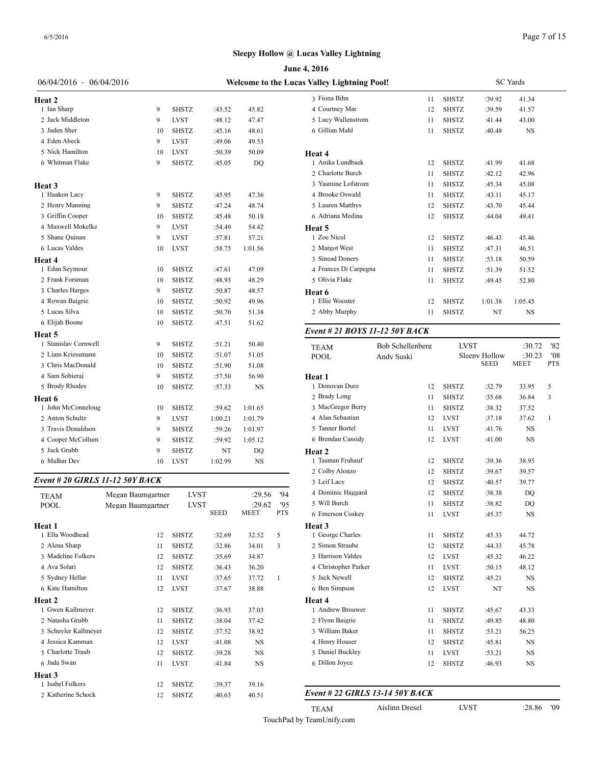|                                 |                                             |              |             |         |              | June 4, 2016                   |                  |  |  |  |  |
|---------------------------------|---------------------------------------------|--------------|-------------|---------|--------------|--------------------------------|------------------|--|--|--|--|
| 06/04/2016 - 06/04/2016         | Welcome to the Lucas Valley Lightning Pool! |              |             |         |              |                                |                  |  |  |  |  |
| Heat 2                          |                                             |              |             |         |              | 3 Fiona Bihn                   | 11               |  |  |  |  |
| 1 Ian Sharp                     | 9                                           | <b>SHSTZ</b> | :43.52      | 45.82   |              | 4 Courtney Mar                 | 12               |  |  |  |  |
| 2 Jack Middleton                | 9                                           | <b>LVST</b>  | :48.12      | 47.47   |              | 5 Lucy Wallenstrom             | 11               |  |  |  |  |
| 3 Jaden Sher                    | 10                                          | <b>SHSTZ</b> | :45.16      | 48.61   |              | 6 Gillian Mahl                 | 11               |  |  |  |  |
| 4 Eden Abeck                    | 9                                           | <b>LVST</b>  | :49.06      | 49.53   |              |                                |                  |  |  |  |  |
| 5 Nick Hamilton                 | 10                                          | <b>LVST</b>  | :50.39      | 50.09   |              | <b>Heat 4</b>                  |                  |  |  |  |  |
| 6 Whitman Flake                 | 9                                           | <b>SHSTZ</b> | :45.05      | DQ      |              | 1 Anika Lundbaek               | 12               |  |  |  |  |
|                                 |                                             |              |             |         |              | 2 Charlotte Burch              | 11               |  |  |  |  |
| Heat 3                          |                                             |              |             |         |              | 3 Yasmine Lofstrom             | 11               |  |  |  |  |
| 1 Haakon Lacy                   | 9                                           | <b>SHSTZ</b> | :45.95      | 47.36   |              | 4 Brooke Oswald                | 11               |  |  |  |  |
| 2 Henry Manning                 | 9                                           | <b>SHSTZ</b> | :47.24      | 48.74   |              | 5 Lauren Matthys               | 12               |  |  |  |  |
| 3 Griffin Cooper                | 10                                          | <b>SHSTZ</b> | :45.48      | 50.18   |              | 6 Adriana Medina               | 12               |  |  |  |  |
| 4 Maxwell Mokelke               | 9                                           | <b>LVST</b>  | :54.49      | 54.42   |              | Heat 5                         |                  |  |  |  |  |
| 5 Shane Quinan                  | 9                                           | <b>LVST</b>  | :57.81      | 57.21   |              | 1 Zoe Nicol                    | 12               |  |  |  |  |
| 6 Lucas Valdes                  | 10                                          | <b>LVST</b>  | :58.75      | 1:01.56 |              | 2 Margot West                  | 11               |  |  |  |  |
| Heat 4                          |                                             |              |             |         |              | 3 Sinead Donery                | 11               |  |  |  |  |
| 1 Edan Seymour                  | 10                                          | <b>SHSTZ</b> | :47.61      | 47.09   |              | 4 Frances Di Carpegna          | 11               |  |  |  |  |
| 2 Frank Forsman                 | 10                                          | <b>SHSTZ</b> | :48.93      | 48.29   |              | 5 Olivia Flake                 | 11               |  |  |  |  |
| 3 Charles Harges                | 9                                           | <b>SHSTZ</b> | :50.87      | 48.57   |              | Heat 6                         |                  |  |  |  |  |
| 4 Rowan Baigrie                 | 10                                          | <b>SHSTZ</b> | :50.92      | 49.96   |              | 1 Ellie Wooster                | 12               |  |  |  |  |
| 5 Lucas Silva                   | 10                                          | <b>SHSTZ</b> | :50.70      | 51.38   |              | 2 Abby Murphy                  | 11               |  |  |  |  |
| 6 Elijah Boone                  | 10                                          | <b>SHSTZ</b> | :47.51      | 51.62   |              |                                |                  |  |  |  |  |
| Heat 5                          |                                             |              |             |         |              | Event # 21 BOYS 11-12 50Y BACK |                  |  |  |  |  |
| 1 Stanislav Cornwell            | 9                                           | <b>SHSTZ</b> | :51.21      | 50.40   |              | <b>TEAM</b>                    | Bob Schellenberg |  |  |  |  |
| 2 Liam Kriessmann               | 10                                          | <b>SHSTZ</b> | :51.07      | 51.05   |              | POOL                           | Andy Suski       |  |  |  |  |
| 3 Chris MacDonald               | 10                                          | <b>SHSTZ</b> | :51.90      | 51.08   |              |                                |                  |  |  |  |  |
| 4 Sam Sobieraj                  | 9                                           | <b>SHSTZ</b> | :57.50      | 56.90   |              | Heat 1                         |                  |  |  |  |  |
| 5 Brody Rhodes                  | 10                                          | <b>SHSTZ</b> | :57.33      | NS      |              | 1 Donovan Duro                 | 12               |  |  |  |  |
| Heat 6                          |                                             |              |             |         |              | 2 Brady Long                   | 11               |  |  |  |  |
| 1 John McConneloug              | 10                                          | <b>SHSTZ</b> | :59.62      | 1:01.65 |              | 3 MacGregor Berry              | 11               |  |  |  |  |
| 2 Anton Schultz                 | 9                                           | <b>LVST</b>  | 1:00.21     | 1:01.79 |              | 4 Alan Sebastian               | 12               |  |  |  |  |
| 3 Travis Donaldson              | 9                                           | <b>SHSTZ</b> | :59.26      | 1:01.97 |              | 5 Tanner Bortel                | 11               |  |  |  |  |
| 4 Cooper McCollum               | 9                                           | <b>SHSTZ</b> | :59.92      | 1:05.12 |              | 6 Brendan Cassidy              | 12               |  |  |  |  |
| 5 Jack Grubb                    | 9                                           | <b>SHSTZ</b> | NT          | DQ      |              | <b>Heat 2</b>                  |                  |  |  |  |  |
| 6 Malhar Dev                    | 10                                          | <b>LVST</b>  | 1:02.99     | NS      |              | 1 Tasman Fruhauf               | 12               |  |  |  |  |
|                                 |                                             |              |             |         |              | 2 Colby Alonzo                 | 12               |  |  |  |  |
| Event # 20 GIRLS 11-12 50Y BACK |                                             |              |             |         |              | 3 Leif Lacy                    | 12               |  |  |  |  |
| <b>TEAM</b>                     | Megan Baumgartner                           | LVST         |             | :29.56  | 94           | 4 Dominic Haggard              | 12               |  |  |  |  |
| <b>POOL</b>                     | Megan Baumgartner                           | <b>LVST</b>  |             | :29.62  | 95           | 5 Will Burch                   | 11               |  |  |  |  |
|                                 |                                             |              | <b>SEED</b> | MEET    | <b>PTS</b>   | 6 Emerson Coskey               | 11               |  |  |  |  |
| Heat 1                          |                                             |              |             |         |              | Heat 3                         |                  |  |  |  |  |
| 1 Ella Woodhead                 | 12                                          | <b>SHSTZ</b> | :32.69      | 32.52   | 5            | 1 George Charles               | 11               |  |  |  |  |
| 2 Alena Sharp                   | 11                                          | SHSTZ        | :32.86      | 34.01   | 3            | 2 Simon Straube                | 12               |  |  |  |  |
| 3 Madeline Folkers              | 12                                          | <b>SHSTZ</b> | :35.69      | 34.87   |              | 3 Harrison Valdes              | 12               |  |  |  |  |
| 4 Ava Solari                    | 12                                          | <b>SHSTZ</b> | :36.43      | 36.20   |              | 4 Christopher Parker           | 11               |  |  |  |  |
| 5 Sydney Hellar                 | 11                                          | LVST         | :37.65      | 37.72   | $\mathbf{1}$ | 5 Jack Newell                  | 12               |  |  |  |  |
| 6 Kate Hamilton                 | 12                                          | <b>LVST</b>  | :37.67      | 38.88   |              | 6 Ben Simpson                  | 12               |  |  |  |  |
| Heat 2                          |                                             |              |             |         |              | Heat 4                         |                  |  |  |  |  |
| 1 Gwen Kallmeyer                | 12                                          | <b>SHSTZ</b> | :36.93      | 37.03   |              | 1 Andrew Brouwer               | 11               |  |  |  |  |

**Heat 3**

| 06/04/2016 - 06/04/2016        |                   |              |             |           |            | Welcome to the Lucas Valley Lightning Pool! |                  |              |                              | <b>SC</b> Yards       |                   |
|--------------------------------|-------------------|--------------|-------------|-----------|------------|---------------------------------------------|------------------|--------------|------------------------------|-----------------------|-------------------|
| eat 2                          |                   |              |             |           |            | 3 Fiona Bihn                                | 11               | <b>SHSTZ</b> | :39.92                       | 41.34                 |                   |
| 1 Ian Sharp                    | 9                 | <b>SHSTZ</b> | :43.52      | 45.82     |            | 4 Courtney Mar                              | 12               | <b>SHSTZ</b> | :39.59                       | 41.57                 |                   |
| 2 Jack Middleton               | 9                 | <b>LVST</b>  | :48.12      | 47.47     |            | 5 Lucy Wallenstrom                          | 11               | <b>SHSTZ</b> | :41.44                       | 43.00                 |                   |
| 3 Jaden Sher                   | 10                | <b>SHSTZ</b> | :45.16      | 48.61     |            | 6 Gillian Mahl                              | 11               | <b>SHSTZ</b> | :40.48                       | NS                    |                   |
| 4 Eden Abeck                   | 9                 | <b>LVST</b>  | :49.06      | 49.53     |            |                                             |                  |              |                              |                       |                   |
| 5 Nick Hamilton                | 10                | <b>LVST</b>  | :50.39      | 50.09     |            | Heat 4                                      |                  |              |                              |                       |                   |
| 6 Whitman Flake                | 9                 | <b>SHSTZ</b> | :45.05      | DQ        |            | 1 Anika Lundbaek                            | 12               | <b>SHSTZ</b> | :41.99                       | 41.68                 |                   |
|                                |                   |              |             |           |            | 2 Charlotte Burch                           | 11               | <b>SHSTZ</b> | :42.12                       | 42.96                 |                   |
| eat 3                          |                   |              |             |           |            | 3 Yasmine Lofstrom                          | 11               | <b>SHSTZ</b> | :45.34                       | 45.08                 |                   |
| 1 Haakon Lacy                  | 9                 | <b>SHSTZ</b> | :45.95      | 47.36     |            | 4 Brooke Oswald                             | 11               | <b>SHSTZ</b> | :43.11                       | 45.17                 |                   |
| 2 Henry Manning                | 9                 | <b>SHSTZ</b> | :47.24      | 48.74     |            | 5 Lauren Matthys                            | 12               | <b>SHSTZ</b> | :43.70                       | 45.44                 |                   |
| 3 Griffin Cooper               | 10                | <b>SHSTZ</b> | :45.48      | 50.18     |            | 6 Adriana Medina                            | 12               | <b>SHSTZ</b> | :44.04                       | 49.41                 |                   |
| 4 Maxwell Mokelke              | 9                 | <b>LVST</b>  | :54.49      | 54.42     |            | Heat 5                                      |                  |              |                              |                       |                   |
| 5 Shane Quinan                 | 9                 | <b>LVST</b>  | :57.81      | 57.21     |            | 1 Zoe Nicol                                 | 12               | SHSTZ        | :46.43                       | 45.46                 |                   |
| 6 Lucas Valdes                 | 10                | <b>LVST</b>  | :58.75      | 1:01.56   |            | 2 Margot West                               | 11               | <b>SHSTZ</b> | :47.31                       | 46.51                 |                   |
| eat 4                          |                   |              |             |           |            | 3 Sinead Donery                             | 11               | <b>SHSTZ</b> | :53.18                       | 50.59                 |                   |
| 1 Edan Seymour                 | 10                | <b>SHSTZ</b> | :47.61      | 47.09     |            | 4 Frances Di Carpegna                       | 11               | <b>SHSTZ</b> | :51.39                       | 51.52                 |                   |
| 2 Frank Forsman                | 10                | <b>SHSTZ</b> | :48.93      | 48.29     |            | 5 Olivia Flake                              | 11               | <b>SHSTZ</b> | :49.45                       | 52.80                 |                   |
| 3 Charles Harges               | 9                 | <b>SHSTZ</b> | :50.87      | 48.57     |            |                                             |                  |              |                              |                       |                   |
| 4 Rowan Baigrie                | 10                | <b>SHSTZ</b> | :50.92      | 49.96     |            | Heat 6<br>1 Ellie Wooster                   | 12               | <b>SHSTZ</b> | 1:01.38                      | 1:05.45               |                   |
| 5 Lucas Silva                  | 10                | <b>SHSTZ</b> | :50.70      | 51.38     |            | 2 Abby Murphy                               | 11               | <b>SHSTZ</b> | NT                           | <b>NS</b>             |                   |
| 6 Elijah Boone                 | 10                | <b>SHSTZ</b> | :47.51      | 51.62     |            |                                             |                  |              |                              |                       |                   |
|                                |                   |              |             |           |            | Event # 21 BOYS 11-12 50Y BACK              |                  |              |                              |                       |                   |
| eat 5<br>1 Stanislav Cornwell  | 9                 | <b>SHSTZ</b> | :51.21      | 50.40     |            |                                             |                  |              |                              |                       |                   |
| 2 Liam Kriessmann              | 10                | <b>SHSTZ</b> | :51.07      | 51.05     |            | <b>TEAM</b>                                 | Bob Schellenberg | <b>LVST</b>  |                              | :30.72                | '82               |
| 3 Chris MacDonald              | 10                | <b>SHSTZ</b> | :51.90      | 51.08     |            | POOL                                        | Andy Suski       |              | Sleepy Hollow<br><b>SEED</b> | :30.23<br><b>MEET</b> | '08<br><b>PTS</b> |
| 4 Sam Sobieraj                 | 9                 | <b>SHSTZ</b> | :57.50      | 56.90     |            |                                             |                  |              |                              |                       |                   |
| 5 Brody Rhodes                 | 10                | <b>SHSTZ</b> | :57.33      | NS        |            | Heat 1<br>1 Donovan Duro                    | 12               | SHSTZ        | :32.79                       | 33.95                 | 5                 |
|                                |                   |              |             |           |            | 2 Brady Long                                | 11               | <b>SHSTZ</b> | :35.68                       | 36.84                 | 3                 |
| eat 6<br>1 John McConneloug    |                   | <b>SHSTZ</b> |             |           |            | 3 MacGregor Berry                           | 11               | <b>SHSTZ</b> | :38.32                       | 37.52                 |                   |
| 2 Anton Schultz                | 10<br>9           |              | :59.62      | 1:01.65   |            | 4 Alan Sebastian                            | 12               | <b>LVST</b>  | :37.18                       | 37.62                 | 1                 |
| 3 Travis Donaldson             |                   | <b>LVST</b>  | 1:00.21     | 1:01.79   |            | 5 Tanner Bortel                             | 11               | <b>LVST</b>  | :41.76                       | NS                    |                   |
| 4 Cooper McCollum              | 9                 | <b>SHSTZ</b> | :59.26      | 1:01.97   |            | 6 Brendan Cassidy                           |                  | LVST         |                              | <b>NS</b>             |                   |
| 5 Jack Grubb                   | 9                 | <b>SHSTZ</b> | :59.92      | 1:05.12   |            |                                             | 12               |              | :41.00                       |                       |                   |
| 6 Malhar Dev                   | g                 | <b>SHSTZ</b> | NT          | DQ        |            | Heat 2<br>1 Tasman Fruhauf                  |                  |              |                              |                       |                   |
|                                | 10                | <b>LVST</b>  | 1:02.99     | NS        |            |                                             | 12               | <b>SHSTZ</b> | :39.36                       | 38.95                 |                   |
| vent # 20 GIRLS 11-12 50Y BACK |                   |              |             |           |            | 2 Colby Alonzo                              | 12               | <b>SHSTZ</b> | :39.67                       | 39.57                 |                   |
|                                |                   |              |             |           |            | 3 Leif Lacy<br>4 Dominic Haggard            | 12               | <b>SHSTZ</b> | :40.57                       | 39.77                 |                   |
| TEAM                           | Megan Baumgartner | <b>LVST</b>  |             | :29.56    | '94        |                                             | 12               | <b>SHSTZ</b> | :38.38                       | DQ                    |                   |
| POOL                           | Megan Baumgartner | <b>LVST</b>  |             | :29.62    | '95        | 5 Will Burch                                | 11               | SHSTZ        | :38.82                       | DO                    |                   |
|                                |                   |              | <b>SEED</b> | MEET      | <b>PTS</b> | 6 Emerson Coskey                            | 11               | LVST         | :45.37                       | NS                    |                   |
| eat 1                          |                   |              |             |           |            | Heat 3                                      |                  |              |                              |                       |                   |
| 1 Ella Woodhead                | 12                | SHSTZ        | :32.69      | 32.52     | 5          | 1 George Charles                            | 11               | <b>SHSTZ</b> | :45.33                       | 44.72                 |                   |
| 2 Alena Sharp                  | 11                | <b>SHSTZ</b> | :32.86      | 34.01     | 3          | 2 Simon Straube                             | 12               | <b>SHSTZ</b> | :44.33                       | 45.78                 |                   |
| 3 Madeline Folkers             | 12                | <b>SHSTZ</b> | :35.69      | 34.87     |            | 3 Harrison Valdes                           | 12               | <b>LVST</b>  | :45.32                       | 46.22                 |                   |
| 4 Ava Solari                   | 12                | SHSTZ        | :36.43      | 36.20     |            | 4 Christopher Parker                        | 11               | <b>LVST</b>  | :50.15                       | 48.12                 |                   |
| 5 Sydney Hellar                | 11                | <b>LVST</b>  | :37.65      | 37.72     | -1         | 5 Jack Newell                               | 12               | <b>SHSTZ</b> | :45.21                       | NS                    |                   |
| 6 Kate Hamilton                | 12                | <b>LVST</b>  | :37.67      | 38.88     |            | 6 Ben Simpson                               | 12               | LVST         | NT                           | NS                    |                   |
| eat 2                          |                   |              |             |           |            | Heat 4                                      |                  |              |                              |                       |                   |
| 1 Gwen Kallmeyer               | 12                | <b>SHSTZ</b> | :36.93      | 37.03     |            | 1 Andrew Brouwer                            | 11               | <b>SHSTZ</b> | :45.67                       | 43.33                 |                   |
| 2 Natasha Grubb                | 11                | <b>SHSTZ</b> | :38.04      | 37.42     |            | 2 Flynn Baigrie                             | 11               | <b>SHSTZ</b> | :49.85                       | 48.80                 |                   |
| 3 Schuyler Kallmeyer           | 12                | SHSTZ        | :37.52      | 38.92     |            | 3 William Baker                             | 11               | SHSTZ        | :53.21                       | 56.25                 |                   |
| 4 Jessica Kamman               | 12                | <b>LVST</b>  | :41.08      | NS        |            | 4 Henry Houser                              | 12               | SHSTZ        | :45.81                       | NS                    |                   |
| 5 Charlotte Traub              | 12                | <b>SHSTZ</b> | :39.28      | NS        |            | 5 Daniel Buckley                            | 11               | <b>LVST</b>  | :53.21                       | NS                    |                   |
| 6 Jada Swan                    | 11                | <b>LVST</b>  | :41.84      | <b>NS</b> |            | 6 Dillon Joyce                              | 12               | <b>SHSTZ</b> | :46.93                       | NS                    |                   |
| eat 3                          |                   |              |             |           |            |                                             |                  |              |                              |                       |                   |
| 1 Isabel Folkers               | 12                | SHSTZ        | :39.37      | 39.16     |            |                                             |                  |              |                              |                       |                   |
| 2 Katherine Schock             | 12                | SHSTZ        | :40.63      | 40.51     |            | Event # 22 GIRLS 13-14 50Y BACK             |                  |              |                              |                       |                   |
|                                |                   |              |             |           |            | <b>TEAM</b>                                 | Aislinn Dresel   | <b>LVST</b>  |                              | :28.86                | '09               |
|                                |                   |              |             |           |            |                                             |                  |              |                              |                       |                   |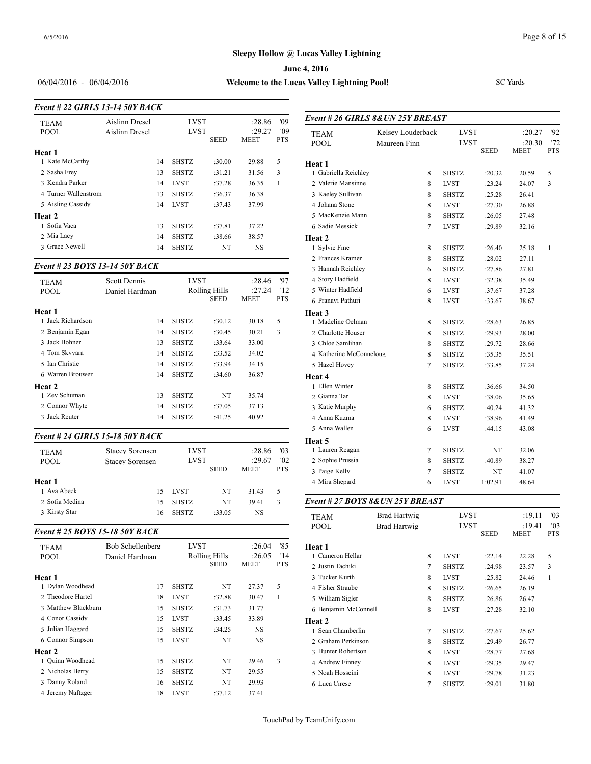**June 4, 2016**

06/04/2016 - 06/04/2016 **Welcome to the Lucas Valley Lightning Pool!**

*Event # 26 GIRLS 8&UN 25Y BREAST*

SC Yards

| Event # 22 GIRLS 13-14 50Y BACK |                |    |              |             |                       |                   |                     |
|---------------------------------|----------------|----|--------------|-------------|-----------------------|-------------------|---------------------|
| <b>TEAM</b>                     | Aislinn Dresel |    | <b>LVST</b>  |             | :28.86                | '09               | Event # 26 GIRI     |
| POOL                            | Aislinn Dresel |    | <b>LVST</b>  | <b>SEED</b> | :29.27<br><b>MEET</b> | '09<br><b>PTS</b> | <b>TEAM</b><br>POOL |
| Heat 1                          |                |    |              |             |                       |                   |                     |
| 1 Kate McCarthy                 |                | 14 | <b>SHSTZ</b> | :30.00      | 29.88                 | 5                 | Heat 1              |
| 2 Sasha Frey                    |                | 13 | <b>SHSTZ</b> | :31.21      | 31.56                 | 3                 | 1 Gabriella Reichl  |
| 3 Kendra Parker                 |                | 14 | <b>LVST</b>  | :37.28      | 36.35                 | 1                 | 2 Valerie Mansinn   |
| 4 Turner Wallenstrom            |                | 13 | <b>SHSTZ</b> | :36.37      | 36.38                 |                   | 3 Kaeley Sullivan   |
| 5 Aisling Cassidy               |                | 14 | <b>LVST</b>  | :37.43      | 37.99                 |                   | 4 Johana Stone      |
| Heat 2                          |                |    |              |             |                       |                   | 5 MacKenzie Mar     |
| 1 Sofia Vaca                    |                | 13 | <b>SHSTZ</b> | :37.81      | 37.22                 |                   | 6 Sadie Messick     |
| 2 Mia Lacy                      |                | 14 | <b>SHSTZ</b> | :38.66      | 38.57                 |                   | <b>Heat 2</b>       |
| 3 Grace Newell                  |                | 14 | <b>SHSTZ</b> | NT          | NS                    |                   | 1 Sylvie Fine       |

#### *Event # 23 BOYS 13-14 50Y BACK*

| <b>TEAM</b><br><b>POOL</b>  | <b>Scott Dennis</b><br>Daniel Hardman | <b>LVST</b><br>Rolling Hills<br><b>SEED</b> |        | :28.46<br>:27.24<br>MEET | '97<br>'12<br><b>PTS</b> | 4 Story Hadfield<br>5 Winter Hadfield<br>6 Pranavi Pathuri |
|-----------------------------|---------------------------------------|---------------------------------------------|--------|--------------------------|--------------------------|------------------------------------------------------------|
| Heat 1<br>1 Jack Richardson | 14                                    | <b>SHSTZ</b>                                | :30.12 | 30.18                    | 5                        | Heat 3<br>1 Madeline Oelma                                 |
| 2 Benjamin Egan             | 14                                    | <b>SHSTZ</b>                                | :30.45 | 30.21                    | 3                        | 2 Charlotte House                                          |
| 3 Jack Bohner               | 13                                    | <b>SHSTZ</b>                                | :33.64 | 33.00                    |                          | 3 Chloe Samlihan                                           |
| 4 Tom Skvvara               | 14                                    | <b>SHSTZ</b>                                | :33.52 | 34.02                    |                          | 4 Katherine McCo                                           |
| 5 Ian Christie              | 14                                    | <b>SHSTZ</b>                                | :33.94 | 34.15                    |                          | 5 Hazel Hovey                                              |
| 6 Warren Brouwer<br>Heat 2  | 14                                    | <b>SHSTZ</b>                                | :34.60 | 36.87                    |                          | Heat 4<br>1 Ellen Winter                                   |
| 1 Zev Schuman               | 13                                    | <b>SHSTZ</b>                                | NT     | 35.74                    |                          | 2 Gianna Tar                                               |
| 2 Connor Whyte              | 14                                    | <b>SHSTZ</b>                                | :37.05 | 37.13                    |                          | 3 Katie Murphy                                             |
| 3 Jack Reuter               | 14                                    | <b>SHSTZ</b>                                | :41.25 | 40.92                    |                          | 4 Anna Kuzma                                               |

#### *Event # 24 GIRLS 15-18 50Y BACK*

|                |                        |              |             |        |            | пеат э                           |              |              |         |        |
|----------------|------------------------|--------------|-------------|--------|------------|----------------------------------|--------------|--------------|---------|--------|
| <b>TEAM</b>    | <b>Stacey Sorensen</b> | <b>LVST</b>  |             | :28.86 | '03        | Lauren Reagan                    |              | <b>SHSTZ</b> | NT      | 32.06  |
| <b>POOL</b>    | <b>Stacey Sorensen</b> | <b>LVST</b>  |             | :29.67 | '02        | 2 Sophie Prussia                 |              | <b>SHSTZ</b> | :40.89  | 38.27  |
|                |                        |              | <b>SEED</b> | MEET   | <b>PTS</b> | 3 Paige Kelly                    |              | <b>SHSTZ</b> | NT      | 41.07  |
| Heat 1         |                        |              |             |        |            | 4 Mira Shepard                   | 6            | LVST         | 1:02.91 | 48.64  |
| ∣ Ava Abeck    | 15                     | <b>LVST</b>  | NT          | 31.43  |            |                                  |              |              |         |        |
| 2 Sofia Medina | 15                     | <b>SHSTZ</b> | NT          | 39.41  |            | Event # 27 BOYS 8& UN 25Y BREAST |              |              |         |        |
| 3 Kirsty Star  | 16                     | <b>SHSTZ</b> | :33.05      | NS     |            | <b>TEAM</b>                      | Brad Hartwig | <b>LVST</b>  |         | :19.11 |

#### *Event # 25 BOYS 15-18 50Y BACK*

| <b>TEAM</b><br><b>POOL</b> | Bob Schellenberg<br>Daniel Hardman | <b>LVST</b><br>Rolling Hills<br><b>SEED</b> |        | :26.04<br>:26.05<br><b>MEET</b> | '85<br>'14<br><b>PTS</b> | Heat 1<br>1 Cameron Hellar<br>2 Justin Tachiki |
|----------------------------|------------------------------------|---------------------------------------------|--------|---------------------------------|--------------------------|------------------------------------------------|
| Heat 1                     |                                    |                                             |        |                                 |                          | 3 Tucker Kurth                                 |
| 1 Dylan Woodhead           | 17                                 | <b>SHSTZ</b>                                | NT     | 27.37                           | 5                        | 4 Fisher Straube                               |
| 2 Theodore Hartel          | 18                                 | <b>LVST</b>                                 | :32.88 | 30.47                           | 1                        | 5 William Sigler                               |
| 3 Matthew Blackburn        | 15                                 | <b>SHSTZ</b>                                | :31.73 | 31.77                           |                          | 6 Benjamin McCo                                |
| 4 Conor Cassidy            | 15                                 | <b>LVST</b>                                 | :33.45 | 33.89                           |                          | Heat 2                                         |
| 5 Julian Haggard           | 15                                 | <b>SHSTZ</b>                                | :34.25 | <b>NS</b>                       |                          | 1 Sean Chamberli                               |
| 6 Connor Simpson           | 15                                 | <b>LVST</b>                                 | NT     | <b>NS</b>                       |                          | 2 Graham Perkins                               |
| <b>Heat 2</b>              |                                    |                                             |        |                                 |                          | 3 Hunter Robertsc                              |
| 1 Ouinn Woodhead           | 15                                 | <b>SHSTZ</b>                                | NT     | 29.46                           | 3                        | 4 Andrew Finney                                |
| 2 Nicholas Berry           | 15                                 | <b>SHSTZ</b>                                | NT     | 29.55                           |                          | 5 Noah Hosseini                                |
| 3 Danny Roland             | 16                                 | <b>SHSTZ</b>                                | NT     | 29.93                           |                          | 6 Luca Cirese                                  |
| 4 Jeremy Naftzger          | 18                                 | <b>LVST</b>                                 | :37.12 | 37.41                           |                          |                                                |

| <b>TEAM</b>             | Kelsey Louderback | <b>LVST</b>  |             | :20.27      | 92           |
|-------------------------|-------------------|--------------|-------------|-------------|--------------|
| <b>POOL</b>             | Maureen Finn      | <b>LVST</b>  |             | :20.30      | '72          |
|                         |                   |              | <b>SEED</b> | <b>MEET</b> | <b>PTS</b>   |
| Heat 1                  |                   |              |             |             |              |
| 1 Gabriella Reichley    | 8                 | <b>SHSTZ</b> | :20.32      | 20.59       | 5            |
| 2 Valerie Mansinne      | 8                 | <b>LVST</b>  | : 23.24     | 24.07       | 3            |
| 3 Kaeley Sullivan       | 8                 | <b>SHSTZ</b> | :25.28      | 26.41       |              |
| 4 Johana Stone          | 8                 | <b>LVST</b>  | :27.30      | 26.88       |              |
| 5 MacKenzie Mann        | 8                 | <b>SHSTZ</b> | :26.05      | 27.48       |              |
| 6 Sadie Messick         | 7                 | <b>LVST</b>  | :29.89      | 32.16       |              |
| Heat 2                  |                   |              |             |             |              |
| 1 Sylvie Fine           | 8                 | <b>SHSTZ</b> | :26.40      | 25.18       | $\mathbf{1}$ |
| 2 Frances Kramer        | 8                 | <b>SHSTZ</b> | :28.02      | 27.11       |              |
| 3 Hannah Reichley       | 6                 | <b>SHSTZ</b> | :27.86      | 27.81       |              |
| 4 Story Hadfield        | 8                 | <b>LVST</b>  | :32.38      | 35.49       |              |
| 5 Winter Hadfield       | 6                 | LVST         | :37.67      | 37.28       |              |
| 6 Pranavi Pathuri       | 8                 | <b>LVST</b>  | :33.67      | 38.67       |              |
| Heat <sub>3</sub>       |                   |              |             |             |              |
| 1 Madeline Oelman       | 8                 | <b>SHSTZ</b> | :28.63      | 26.85       |              |
| 2 Charlotte Houser      | 8                 | <b>SHSTZ</b> | :29.93      | 28.00       |              |
| 3 Chloe Samlihan        | 8                 | <b>SHSTZ</b> | :29.72      | 28.66       |              |
| 4 Katherine McConneloug | 8                 | <b>SHSTZ</b> | :35.35      | 35.51       |              |
| 5 Hazel Hovey           | 7                 | <b>SHSTZ</b> | :33.85      | 37.24       |              |
| Heat 4                  |                   |              |             |             |              |
| 1 Ellen Winter          | 8                 | <b>SHSTZ</b> | :36.66      | 34.50       |              |
| 2 Gianna Tar            | 8                 | <b>LVST</b>  | :38.06      | 35.65       |              |
| 3 Katie Murphy          | 6                 | <b>SHSTZ</b> | :40.24      | 41.32       |              |
| 4 Anna Kuzma            | 8                 | <b>LVST</b>  | :38.96      | 41.49       |              |
| 5 Anna Wallen           | 6                 | <b>LVST</b>  | :44.15      | 43.08       |              |
| Heat 5                  |                   |              |             |             |              |
| 1 Lauren Reagan         | 7                 | <b>SHSTZ</b> | NT          | 32.06       |              |
| 2 Sophie Prussia        | $\,$ 8 $\,$       | <b>SHSTZ</b> | :40.89      | 38.27       |              |
| 3 Paige Kelly           | 7                 | <b>SHSTZ</b> | NT          | 41.07       |              |
| 4 Mira Shepard          | 6                 | LVST         | 1:02.91     | 48.64       |              |

| <b>TEAM</b>          | <b>Brad Hartwig</b> |                | LVST         |             | :19.11 | '03        |
|----------------------|---------------------|----------------|--------------|-------------|--------|------------|
| <b>POOL</b>          | Brad Hartwig        |                | LVST         |             | :19.41 | '03        |
|                      |                     |                |              | <b>SEED</b> | MEET   | <b>PTS</b> |
| Heat 1               |                     |                |              |             |        |            |
| 1 Cameron Hellar     |                     | 8              | <b>LVST</b>  | :22.14      | 22.28  | 5          |
| 2 Justin Tachiki     |                     | $\overline{7}$ | <b>SHSTZ</b> | :24.98      | 23.57  | 3          |
| 3 Tucker Kurth       |                     | 8              | <b>LVST</b>  | :25.82      | 24.46  | 1          |
| 4 Fisher Straube     |                     | 8              | <b>SHSTZ</b> | :26.65      | 26.19  |            |
| 5 William Sigler     |                     | 8              | <b>SHSTZ</b> | :26.86      | 26.47  |            |
| 6 Benjamin McConnell |                     | 8              | LVST         | :27.28      | 32.10  |            |
| Heat 2               |                     |                |              |             |        |            |
| 1 Sean Chamberlin    |                     | $\overline{7}$ | <b>SHSTZ</b> | :27.67      | 25.62  |            |
| 2 Graham Perkinson   |                     | 8              | <b>SHSTZ</b> | :29.49      | 26.77  |            |
| 3 Hunter Robertson   |                     | 8              | <b>LVST</b>  | :28.77      | 27.68  |            |
| 4 Andrew Finney      |                     | 8              | <b>LVST</b>  | :29.35      | 29.47  |            |
| 5 Noah Hosseini      |                     | 8              | <b>LVST</b>  | :29.78      | 31.23  |            |
| 6 Luca Cirese        |                     | 7              | <b>SHSTZ</b> | :29.01      | 31.80  |            |
|                      |                     |                |              |             |        |            |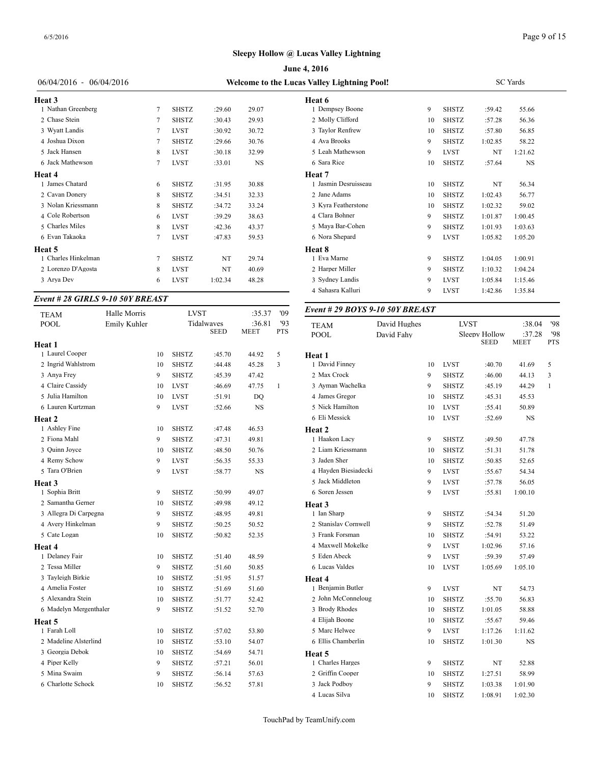|                           | <b>June 4, 2016</b>                         |              |         |       |                      |    |  |  |  |
|---------------------------|---------------------------------------------|--------------|---------|-------|----------------------|----|--|--|--|
| $06/04/2016 - 06/04/2016$ | Welcome to the Lucas Valley Lightning Pool! |              |         |       |                      |    |  |  |  |
| <b>Heat 3</b>             |                                             |              | Heat 6  |       |                      |    |  |  |  |
| 1 Nathan Greenberg        | 7                                           | <b>SHSTZ</b> | :29.60  | 29.07 | 1 Dempsey Boone      | 9  |  |  |  |
| 2 Chase Stein             | 7                                           | <b>SHSTZ</b> | :30.43  | 29.93 | 2 Molly Clifford     | 10 |  |  |  |
| 3 Wyatt Landis            | 7                                           | <b>LVST</b>  | :30.92  | 30.72 | 3 Taylor Renfrew     | 10 |  |  |  |
| 4 Joshua Dixon            | 7                                           | <b>SHSTZ</b> | :29.66  | 30.76 | 4 Ava Brooks         | 9  |  |  |  |
| 5 Jack Hansen             | 8                                           | <b>LVST</b>  | :30.18  | 32.99 | 5 Leah Mathewson     | 9  |  |  |  |
| 6 Jack Mathewson          | 7                                           | <b>LVST</b>  | :33.01  | NS    | 6 Sara Rice          | 10 |  |  |  |
| Heat 4                    |                                             |              |         |       | Heat 7               |    |  |  |  |
| 1 James Chatard           | 6                                           | <b>SHSTZ</b> | :31.95  | 30.88 | 1 Jasmin Desruisseau | 10 |  |  |  |
| 2 Cavan Donery            | 8                                           | <b>SHSTZ</b> | :34.51  | 32.33 | 2 Jane Adams         | 10 |  |  |  |
| 3 Nolan Kriessmann        | 8                                           | <b>SHSTZ</b> | :34.72  | 33.24 | 3 Kyra Featherstone  | 10 |  |  |  |
| 4 Cole Robertson          | 6                                           | <b>LVST</b>  | :39.29  | 38.63 | 4 Clara Bohner       | 9  |  |  |  |
| 5 Charles Miles           | 8                                           | <b>LVST</b>  | :42.36  | 43.37 | 5 Maya Bar-Cohen     | 9  |  |  |  |
| 6 Evan Takaoka            | 7                                           | <b>LVST</b>  | :47.83  | 59.53 | 6 Nora Shepard       | 9  |  |  |  |
| Heat 5                    |                                             |              |         |       | Heat 8               |    |  |  |  |
| 1 Charles Hinkelman       | 7                                           | <b>SHSTZ</b> | NT      | 29.74 | 1 Eva Marne          | 9  |  |  |  |
| 2 Lorenzo D'Agosta        | 8                                           | <b>LVST</b>  | NT      | 40.69 | 2 Harper Miller      | 9  |  |  |  |
| 3 Arya Dev                | 6                                           | <b>LVST</b>  | 1:02.34 | 48.28 | 3 Sydney Landis      | 9  |  |  |  |
|                           |                                             |              |         |       |                      |    |  |  |  |

#### *Event # 28 GIRLS 9-10 50Y BREAST*

| <b>TEAM</b>            | Halle Morris |    | <b>LVST</b>  |                           | :35.37         | '09          | Event # 29 $BOY$    |
|------------------------|--------------|----|--------------|---------------------------|----------------|--------------|---------------------|
| <b>POOL</b>            | Emily Kuhler |    |              | Tidalwaves<br><b>SEED</b> | :36.81<br>MEET | 93<br>PTS    | <b>TEAM</b><br>POOL |
| Heat 1                 |              |    |              |                           |                |              |                     |
| 1 Laurel Cooper        |              | 10 | <b>SHSTZ</b> | :45.70                    | 44.92          | 5            | Heat 1              |
| 2 Ingrid Wahlstrom     |              | 10 | <b>SHSTZ</b> | :44.48                    | 45.28          | 3            | 1 David Finney      |
| 3 Anya Frey            |              | 9  | <b>SHSTZ</b> | :45.39                    | 47.42          |              | 2 Max Crock         |
| 4 Claire Cassidy       |              | 10 | <b>LVST</b>  | :46.69                    | 47.75          | $\mathbf{1}$ | 3 Ayman Wachelk     |
| 5 Julia Hamilton       |              | 10 | <b>LVST</b>  | :51.91                    | DQ             |              | 4 James Gregor      |
| 6 Lauren Kurtzman      |              | 9  | <b>LVST</b>  | :52.66                    | <b>NS</b>      |              | 5 Nick Hamilton     |
| Heat 2                 |              |    |              |                           |                |              | 6 Eli Messick       |
| 1 Ashley Fine          |              | 10 | <b>SHSTZ</b> | :47.48                    | 46.53          |              | Heat 2              |
| 2 Fiona Mahl           |              | 9  | <b>SHSTZ</b> | :47.31                    | 49.81          |              | 1 Haakon Lacy       |
| 3 Quinn Joyce          |              | 10 | <b>SHSTZ</b> | :48.50                    | 50.76          |              | 2 Liam Kriessman    |
| 4 Remy Schow           |              | 9  | <b>LVST</b>  | :56.35                    | 55.33          |              | 3 Jaden Sher        |
| 5 Tara O'Brien         |              | 9  | <b>LVST</b>  | :58.77                    | NS             |              | 4 Hayden Biesiade   |
| Heat 3                 |              |    |              |                           |                |              | 5 Jack Middleton    |
| 1 Sophia Britt         |              | 9  | <b>SHSTZ</b> | :50.99                    | 49.07          |              | 6 Soren Jessen      |
| 2 Samantha Gerner      |              | 10 | <b>SHSTZ</b> | :49.98                    | 49.12          |              | Heat 3              |
| 3 Allegra Di Carpegna  |              | 9  | <b>SHSTZ</b> | :48.95                    | 49.81          |              | 1 Ian Sharp         |
| 4 Avery Hinkelman      |              | 9  | <b>SHSTZ</b> | :50.25                    | 50.52          |              | 2 Stanislav Cornw   |
| 5 Cate Logan           |              | 10 | <b>SHSTZ</b> | :50.82                    | 52.35          |              | 3 Frank Forsman     |
| Heat 4                 |              |    |              |                           |                |              | 4 Maxwell Mokel     |
| 1 Delaney Fair         |              | 10 | <b>SHSTZ</b> | :51.40                    | 48.59          |              | 5 Eden Abeck        |
| 2 Tessa Miller         |              | 9  | <b>SHSTZ</b> | :51.60                    | 50.85          |              | 6 Lucas Valdes      |
| 3 Tayleigh Birkie      |              | 10 | <b>SHSTZ</b> | :51.95                    | 51.57          |              | <b>Heat 4</b>       |
| 4 Amelia Foster        |              | 10 | <b>SHSTZ</b> | :51.69                    | 51.60          |              | 1 Benjamin Butler   |
| 5 Alexandra Stein      |              | 10 | <b>SHSTZ</b> | :51.77                    | 52.42          |              | 2 John McConnel     |
| 6 Madelyn Mergenthaler |              | 9  | <b>SHSTZ</b> | :51.52                    | 52.70          |              | 3 Brody Rhodes      |
| Heat 5                 |              |    |              |                           |                |              | 4 Elijah Boone      |
| 1 Farah Loll           |              | 10 | <b>SHSTZ</b> | :57.02                    | 53.80          |              | 5 Marc Helwee       |
| 2 Madeline Alsterlind  |              | 10 | <b>SHSTZ</b> | :53.10                    | 54.07          |              | 6 Ellis Chamberlin  |
| 3 Georgia Debok        |              | 10 | <b>SHSTZ</b> | :54.69                    | 54.71          |              | Heat 5              |
| 4 Piper Kelly          |              | 9  | <b>SHSTZ</b> | :57.21                    | 56.01          |              | 1 Charles Harges    |
| 5 Mina Swaim           |              | 9  | <b>SHSTZ</b> | :56.14                    | 57.63          |              | 2 Griffin Cooper    |
| 6 Charlotte Schock     |              | 10 | <b>SHSTZ</b> | :56.52                    | 57.81          |              | 3 Jack Podboy       |
|                        |              |    |              |                           |                |              |                     |

| s Valley Lightning Pool! | <b>SC</b> Yards |              |         |           |  |
|--------------------------|-----------------|--------------|---------|-----------|--|
| Heat 6                   |                 |              |         |           |  |
| 1 Dempsey Boone          | 9               | <b>SHSTZ</b> | :59.42  | 55.66     |  |
| 2 Molly Clifford         | 10              | <b>SHSTZ</b> | :57.28  | 56.36     |  |
| 3 Taylor Renfrew         | 10              | <b>SHSTZ</b> | :57.80  | 56.85     |  |
| 4 Ava Brooks             | 9               | <b>SHSTZ</b> | 1:02.85 | 58.22     |  |
| 5 Leah Mathewson         | 9               | <b>LVST</b>  | NT      | 1:21.62   |  |
| 6 Sara Rice              | 10              | <b>SHSTZ</b> | :57.64  | <b>NS</b> |  |
| Heat 7                   |                 |              |         |           |  |
| 1 Jasmin Desruisseau     | 10              | <b>SHSTZ</b> | NT      | 56.34     |  |
| 2 Jane Adams             | 10              | <b>SHSTZ</b> | 1:02.43 | 56.77     |  |
| 3 Kyra Featherstone      | 10              | <b>SHSTZ</b> | 1:02.32 | 59.02     |  |
| 4 Clara Bohner           | 9               | <b>SHSTZ</b> | 1:01.87 | 1:00.45   |  |
| 5 Maya Bar-Cohen         | 9               | <b>SHSTZ</b> | 1:01.93 | 1:03.63   |  |
| 6 Nora Shepard           | 9               | <b>LVST</b>  | 1:05.82 | 1:05.20   |  |
| Heat 8                   |                 |              |         |           |  |
| 1 Eva Marne              | 9               | <b>SHSTZ</b> | 1:04.05 | 1:00.91   |  |
| 2 Harper Miller          | 9               | <b>SHSTZ</b> | 1:10.32 | 1:04.24   |  |
| 3 Sydney Landis          | 9               | <b>LVST</b>  | 1:05.84 | 1:15.46   |  |
| 4 Sahasra Kalluri        | 9               | <b>LVST</b>  | 1:42.86 | 1:35.84   |  |
|                          |                 |              |         |           |  |

#### *Event # 29 BOYS 9-10 50Y BREAST*

| <b>TEAM</b>          | David Hughes |    | <b>LVST</b>  |                              | :38.04                | '98               |
|----------------------|--------------|----|--------------|------------------------------|-----------------------|-------------------|
| <b>POOL</b>          | David Fahy   |    |              | Sleepy Hollow<br><b>SEED</b> | :37.28<br><b>MEET</b> | '98<br><b>PTS</b> |
| Heat 1               |              |    |              |                              |                       |                   |
| 1 David Finney       |              | 10 | <b>LVST</b>  | :40.70                       | 41.69                 | 5                 |
| 2 Max Crock          |              | 9  | <b>SHSTZ</b> | :46.00                       | 44.13                 | 3                 |
| 3 Ayman Wachelka     |              | 9  | <b>SHSTZ</b> | :45.19                       | 44.29                 | $\mathbf{1}$      |
| 4 James Gregor       |              | 10 | <b>SHSTZ</b> | :45.31                       | 45.53                 |                   |
| 5 Nick Hamilton      |              | 10 | <b>LVST</b>  | :55.41                       | 50.89                 |                   |
| 6 Eli Messick        |              | 10 | LVST         | :52.69                       | $_{\rm NS}$           |                   |
| Heat 2               |              |    |              |                              |                       |                   |
| 1 Haakon Lacy        |              | 9  | SHSTZ        | :49.50                       | 47.78                 |                   |
| 2 Liam Kriessmann    |              | 10 | <b>SHSTZ</b> | :51.31                       | 51.78                 |                   |
| 3 Jaden Sher         |              | 10 | <b>SHSTZ</b> | :50.85                       | 52.65                 |                   |
| 4 Hayden Biesiadecki |              | 9  | <b>LVST</b>  | :55.67                       | 54.34                 |                   |
| 5 Jack Middleton     |              | 9  | <b>LVST</b>  | :57.78                       | 56.05                 |                   |
| 6 Soren Jessen       |              | 9  | <b>LVST</b>  | :55.81                       | 1:00.10               |                   |
| Heat 3               |              |    |              |                              |                       |                   |
| 1 Ian Sharp          |              | 9  | <b>SHSTZ</b> | :54.34                       | 51.20                 |                   |
| 2 Stanislav Cornwell |              | 9  | <b>SHSTZ</b> | :52.78                       | 51.49                 |                   |
| 3 Frank Forsman      |              | 10 | <b>SHSTZ</b> | :54.91                       | 53.22                 |                   |
| 4 Maxwell Mokelke    |              | 9  | <b>LVST</b>  | 1:02.96                      | 57.16                 |                   |
| 5 Eden Abeck         |              | 9  | <b>LVST</b>  | :59.39                       | 57.49                 |                   |
| 6 Lucas Valdes       |              | 10 | <b>LVST</b>  | 1:05.69                      | 1:05.10               |                   |
| Heat 4               |              |    |              |                              |                       |                   |
| 1 Benjamin Butler    |              | 9  | <b>LVST</b>  | NT                           | 54.73                 |                   |
| 2 John McConneloug   |              | 10 | <b>SHSTZ</b> | :55.70                       | 56.83                 |                   |
| 3 Brody Rhodes       |              | 10 | <b>SHSTZ</b> | 1:01.05                      | 58.88                 |                   |
| 4 Elijah Boone       |              | 10 | <b>SHSTZ</b> | :55.67                       | 59.46                 |                   |
| 5 Marc Helwee        |              | 9  | <b>LVST</b>  | 1:17.26                      | 1:11.62               |                   |
| 6 Ellis Chamberlin   |              | 10 | <b>SHSTZ</b> | 1:01.30                      | NS                    |                   |
| Heat 5               |              |    |              |                              |                       |                   |
| 1 Charles Harges     |              | 9  | <b>SHSTZ</b> | NT                           | 52.88                 |                   |
| 2 Griffin Cooper     |              | 10 | <b>SHSTZ</b> | 1:27.51                      | 58.99                 |                   |
| 3 Jack Podboy        |              | 9  | <b>SHSTZ</b> | 1:03.38                      | 1:01.90               |                   |
| 4 Lucas Silva        |              | 10 | <b>SHSTZ</b> | 1:08.91                      | 1:02.30               |                   |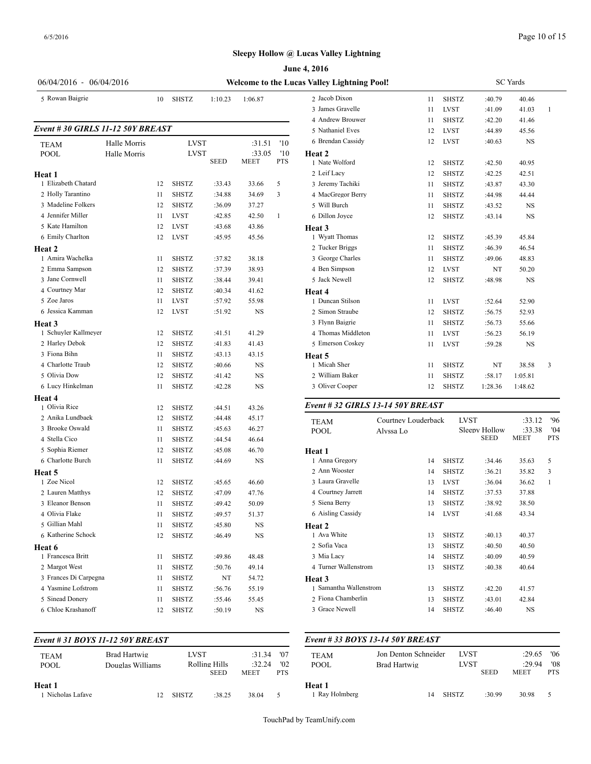6/5/2016

## **Sleepy Hollow @ Lucas Valley Lightning**

|                                      |              | June 4, 2016<br>Welcome to the Lucas Valley Lightning Pool! |              |             |             |            |                                   |                     |  |  |  |  |
|--------------------------------------|--------------|-------------------------------------------------------------|--------------|-------------|-------------|------------|-----------------------------------|---------------------|--|--|--|--|
| 06/04/2016 - 06/04/2016              |              |                                                             |              |             |             |            |                                   |                     |  |  |  |  |
| 5 Rowan Baigrie                      |              | 10                                                          | <b>SHSTZ</b> | 1:10.23     | 1:06.87     |            | 2 Jacob Dixon<br>3 James Gravelle | 11<br>11            |  |  |  |  |
|                                      |              |                                                             |              |             |             |            | 4 Andrew Brouwer                  | 11                  |  |  |  |  |
| Event #30 GIRLS 11-12 50Y BREAST     |              |                                                             |              |             |             |            | 5 Nathaniel Eves                  | 12                  |  |  |  |  |
|                                      | Halle Morris |                                                             | <b>LVST</b>  |             | :31.51      | '10        | 6 Brendan Cassidy                 | 12                  |  |  |  |  |
| TEAM<br><b>POOL</b>                  | Halle Morris |                                                             | <b>LVST</b>  |             | :33.05      | '10        | Heat 2                            |                     |  |  |  |  |
|                                      |              |                                                             |              | <b>SEED</b> | <b>MEET</b> | <b>PTS</b> | 1 Nate Wolford                    | 12                  |  |  |  |  |
| Heat 1                               |              |                                                             |              |             |             |            | 2 Leif Lacy                       | 12                  |  |  |  |  |
| 1 Elizabeth Chatard                  |              | 12                                                          | <b>SHSTZ</b> | :33.43      | 33.66       | 5          | 3 Jeremy Tachiki                  | 11                  |  |  |  |  |
| 2 Holly Tarantino                    |              | 11                                                          | <b>SHSTZ</b> | :34.88      | 34.69       | 3          | 4 MacGregor Berry                 | 11                  |  |  |  |  |
| 3 Madeline Folkers                   |              | 12                                                          | <b>SHSTZ</b> | :36.09      | 37.27       |            | 5 Will Burch                      | 11                  |  |  |  |  |
| 4 Jennifer Miller                    |              | 11                                                          | <b>LVST</b>  | :42.85      | 42.50       | 1          | 6 Dillon Joyce                    | 12                  |  |  |  |  |
| 5 Kate Hamilton                      |              | 12                                                          | <b>LVST</b>  | :43.68      | 43.86       |            | Heat 3                            |                     |  |  |  |  |
| 6 Emily Charlton                     |              | 12                                                          | <b>LVST</b>  | :45.95      | 45.56       |            | 1 Wyatt Thomas                    | 12                  |  |  |  |  |
| Heat 2                               |              |                                                             |              |             |             |            | 2 Tucker Briggs                   | 11                  |  |  |  |  |
| 1 Amira Wachelka                     |              | 11                                                          | <b>SHSTZ</b> | :37.82      | 38.18       |            | 3 George Charles                  | 11                  |  |  |  |  |
| 2 Emma Sampson                       |              | 12                                                          | <b>SHSTZ</b> | :37.39      | 38.93       |            | 4 Ben Simpson                     | 12                  |  |  |  |  |
| 3 Jane Cornwell                      |              | 11                                                          | <b>SHSTZ</b> | :38.44      | 39.41       |            | 5 Jack Newell                     | 12                  |  |  |  |  |
| 4 Courtney Mar                       |              | 12                                                          | <b>SHSTZ</b> | :40.34      | 41.62       |            | Heat 4                            |                     |  |  |  |  |
| 5 Zoe Jaros                          |              | 11                                                          | <b>LVST</b>  | :57.92      | 55.98       |            | 1 Duncan Stilson                  | 11                  |  |  |  |  |
| 6 Jessica Kamman                     |              | 12                                                          | <b>LVST</b>  | :51.92      | NS          |            | 2 Simon Straube                   | 12                  |  |  |  |  |
| <b>Heat 3</b>                        |              |                                                             |              |             |             |            | 3 Flynn Baigrie                   | 11                  |  |  |  |  |
| 1 Schuyler Kallmeyer                 |              | 12                                                          | <b>SHSTZ</b> | :41.51      | 41.29       |            | 4 Thomas Middleton                | 11                  |  |  |  |  |
| 2 Harley Debok                       |              | 12                                                          | <b>SHSTZ</b> | :41.83      | 41.43       |            | 5 Emerson Coskey                  | 11                  |  |  |  |  |
| 3 Fiona Bihn                         |              | 11                                                          | SHSTZ        | :43.13      | 43.15       |            | <b>Heat 5</b>                     |                     |  |  |  |  |
| 4 Charlotte Traub                    |              | 12                                                          | <b>SHSTZ</b> | :40.66      | NS          |            | 1 Micah Sher                      | 11                  |  |  |  |  |
| 5 Olivia Dow                         |              | 12                                                          | <b>SHSTZ</b> | :41.42      | NS          |            | 2 William Baker                   | 11                  |  |  |  |  |
| 6 Lucy Hinkelman                     |              | 11                                                          | <b>SHSTZ</b> | :42.28      | NS          |            | 3 Oliver Cooper                   | 12                  |  |  |  |  |
| Heat 4                               |              |                                                             |              |             |             |            | Event # 32 GIRLS 13-14 50Y BREAST |                     |  |  |  |  |
| 1 Olivia Rice                        |              | 12                                                          | <b>SHSTZ</b> | :44.51      | 43.26       |            |                                   |                     |  |  |  |  |
| 2 Anika Lundbaek                     |              | 12                                                          | <b>SHSTZ</b> | :44.48      | 45.17       |            | TEAM                              | Courtney Louderbacl |  |  |  |  |
| 3 Brooke Oswald<br>4 Stella Cico     |              | 11                                                          | <b>SHSTZ</b> | :45.63      | 46.27       |            | POOL<br>Alyssa Lo                 |                     |  |  |  |  |
|                                      |              | 11                                                          | <b>SHSTZ</b> | :44.54      | 46.64       |            |                                   |                     |  |  |  |  |
| 5 Sophia Riemer<br>6 Charlotte Burch |              | 12                                                          | <b>SHSTZ</b> | :45.08      | 46.70       |            | Heat 1<br>1 Anna Gregory          | 14                  |  |  |  |  |
|                                      |              | 11                                                          | <b>SHSTZ</b> | :44.69      | NS          |            | 2 Ann Wooster                     | 14                  |  |  |  |  |
| Heat 5<br>1 Zoe Nicol                |              | 12                                                          | <b>SHSTZ</b> | :45.65      | 46.60       |            | 3 Laura Gravelle                  | 13                  |  |  |  |  |
| 2 Lauren Matthys                     |              | 12                                                          | <b>SHSTZ</b> | :47.09      | 47.76       |            | 4 Courtney Jarrett                | 14                  |  |  |  |  |
| 3 Eleanor Benson                     |              | 11                                                          | <b>SHSTZ</b> | :49.42      | 50.09       |            | 5 Siena Berry                     | 13                  |  |  |  |  |
| 4 Olivia Flake                       |              | 11                                                          | SHSTZ        | :49.57      | 51.37       |            | 6 Aisling Cassidy                 | 14                  |  |  |  |  |
| 5 Gillian Mahl                       |              | 11                                                          | <b>SHSTZ</b> | :45.80      | NS          |            | Heat 2                            |                     |  |  |  |  |
| 6 Katherine Schock                   |              | 12                                                          | <b>SHSTZ</b> | :46.49      | NS          |            | 1 Ava White                       | 13                  |  |  |  |  |
| Heat 6                               |              |                                                             |              |             |             |            | 2 Sofia Vaca                      | 13                  |  |  |  |  |
| 1 Francesca Britt                    |              | 11                                                          | SHSTZ        | :49.86      | 48.48       |            | 3 Mia Lacy                        | 14                  |  |  |  |  |
| 2 Margot West                        |              | 11                                                          | SHSTZ        | :50.76      | 49.14       |            | 4 Turner Wallenstrom              | 13                  |  |  |  |  |
| 3 Frances Di Carpegna                |              | 11                                                          | SHSTZ        | NT          | 54.72       |            | Heat 3                            |                     |  |  |  |  |
| 4 Yasmine Lofstrom                   |              | 11                                                          | SHSTZ        | :56.76      | 55.19       |            | 1 Samantha Wallenstrom            | 13                  |  |  |  |  |
| 5 Sinead Donery                      |              | 11                                                          | SHSTZ        | :55.46      | 55.45       |            | 2 Fiona Chamberlin                | 13                  |  |  |  |  |
| 6 Chloe Krashanoff                   |              | 12                                                          | SHSTZ        | :50.19      | NS          |            | 3 Grace Newell                    | 14                  |  |  |  |  |
|                                      |              |                                                             |              |             |             |            |                                   |                     |  |  |  |  |

| <b>TEAM</b><br>POOL       | Brad Hartwig<br>Douglas Williams | <b>LVST</b>  | Rolling Hills<br><b>SEED</b> | :31.34<br>:32.24<br><b>MEET</b> | '07<br>'02<br><b>PTS</b> | <b>TEAM</b><br>POOL      |
|---------------------------|----------------------------------|--------------|------------------------------|---------------------------------|--------------------------|--------------------------|
| Heat 1<br>Nicholas Lafave |                                  | <b>SHSTZ</b> | :38.25                       | 38.04                           | 5.                       | Heat 1<br>1 Rav Holmberg |

| s Valley Lightning Pool! | <b>SC</b> Yards |              |         |           |   |  |
|--------------------------|-----------------|--------------|---------|-----------|---|--|
| 2 Jacob Dixon            | 11              | <b>SHSTZ</b> | :40.79  | 40.46     |   |  |
| 3 James Gravelle         | 11              | <b>LVST</b>  | :41.09  | 41.03     | 1 |  |
| 4 Andrew Brouwer         | 11              | <b>SHSTZ</b> | :42.20  | 41.46     |   |  |
| 5 Nathaniel Eves         | 12              | <b>LVST</b>  | :44.89  | 45.56     |   |  |
| 6 Brendan Cassidy        | 12              | <b>LVST</b>  | :40.63  | <b>NS</b> |   |  |
| Heat 2                   |                 |              |         |           |   |  |
| 1 Nate Wolford           | 12              | <b>SHSTZ</b> | :42.50  | 40.95     |   |  |
| 2 Leif Lacy              | 12              | <b>SHSTZ</b> | :42.25  | 42.51     |   |  |
| 3 Jeremy Tachiki         | 11              | <b>SHSTZ</b> | :43.87  | 43.30     |   |  |
| 4 MacGregor Berry        | 11              | <b>SHSTZ</b> | :44.98  | 44.44     |   |  |
| 5 Will Burch             | 11              | <b>SHSTZ</b> | :43.52  | <b>NS</b> |   |  |
| 6 Dillon Joyce           | 12              | <b>SHSTZ</b> | :43.14  | <b>NS</b> |   |  |
| Heat <sub>3</sub>        |                 |              |         |           |   |  |
| 1 Wyatt Thomas           | 12              | <b>SHSTZ</b> | :45.39  | 45.84     |   |  |
| 2 Tucker Briggs          | 11              | <b>SHSTZ</b> | :46.39  | 46.54     |   |  |
| 3 George Charles         | 11              | <b>SHSTZ</b> | :49.06  | 48.83     |   |  |
| 4 Ben Simpson            | 12              | <b>LVST</b>  | NT      | 50.20     |   |  |
| 5 Jack Newell            | 12              | <b>SHSTZ</b> | :48.98  | <b>NS</b> |   |  |
| Heat 4                   |                 |              |         |           |   |  |
| 1 Duncan Stilson         | 11              | <b>LVST</b>  | :52.64  | 52.90     |   |  |
| 2 Simon Straube          | 12              | <b>SHSTZ</b> | :56.75  | 52.93     |   |  |
| 3 Flynn Baigrie          | 11              | <b>SHSTZ</b> | :56.73  | 55.66     |   |  |
| 4 Thomas Middleton       | 11              | <b>LVST</b>  | :56.23  | 56.19     |   |  |
| 5 Emerson Coskey         | 11              | <b>LVST</b>  | :59.28  | <b>NS</b> |   |  |
| Heat 5                   |                 |              |         |           |   |  |
| 1 Micah Sher             | 11              | <b>SHSTZ</b> | NT      | 38.58     | 3 |  |
| 2 William Baker          | 11              | <b>SHSTZ</b> | :58.17  | 1:05.81   |   |  |
| 3 Oliver Cooper          | 12              | <b>SHSTZ</b> | 1:28.36 | 1:48.62   |   |  |

| <b>TEAM</b>            | Courtney Louderback | <b>LVST</b>  |                              | :33.12         | '96               |
|------------------------|---------------------|--------------|------------------------------|----------------|-------------------|
| <b>POOL</b>            | Alyssa Lo           |              | Sleepy Hollow<br><b>SEED</b> | :33.38<br>MEET | '04<br><b>PTS</b> |
| Heat 1                 |                     |              |                              |                |                   |
| 1 Anna Gregory         | 14                  | <b>SHSTZ</b> | :34.46                       | 35.63          | 5                 |
| 2 Ann Wooster          | 14                  | <b>SHSTZ</b> | :36.21                       | 35.82          | 3                 |
| 3 Laura Gravelle       | 13                  | <b>LVST</b>  | :36.04                       | 36.62          | 1                 |
| 4 Courtney Jarrett     | 14                  | <b>SHSTZ</b> | :37.53                       | 37.88          |                   |
| 5 Siena Berry          | 13                  | <b>SHSTZ</b> | :38.92                       | 38.50          |                   |
| 6 Aisling Cassidy      | 14                  | <b>LVST</b>  | :41.68                       | 43.34          |                   |
| <b>Heat 2</b>          |                     |              |                              |                |                   |
| 1 Ava White            | 13                  | <b>SHSTZ</b> | :40.13                       | 40.37          |                   |
| 2 Sofia Vaca           | 13                  | <b>SHSTZ</b> | :40.50                       | 40.50          |                   |
| 3 Mia Lacy             | 14                  | <b>SHSTZ</b> | :40.09                       | 40.59          |                   |
| 4 Turner Wallenstrom   | 13                  | <b>SHSTZ</b> | :40.38                       | 40.64          |                   |
| <b>Heat 3</b>          |                     |              |                              |                |                   |
| 1 Samantha Wallenstrom | 13                  | <b>SHSTZ</b> | :42.20                       | 41.57          |                   |
| 2 Fiona Chamberlin     | 13                  | <b>SHSTZ</b> | :43.01                       | 42.84          |                   |
| 3 Grace Newell         | 14                  | <b>SHSTZ</b> | :46.40                       | NS             |                   |
|                        |                     |              |                              |                |                   |

## *Event # 33 BOYS 13-14 50Y BREAST*

| <b>TEAM</b><br><b>POOL</b> | Jon Denton Schneider<br>Brad Hartwig | LVST<br><b>LVST</b> | <b>SEED</b> | :29.65<br>:29.94<br><b>MEET</b> | '06<br>'08<br><b>PTS</b> |
|----------------------------|--------------------------------------|---------------------|-------------|---------------------------------|--------------------------|
| Heat 1<br>1 Rav Holmberg   | 14                                   | <b>SHSTZ</b>        | :30.99      | 30.98                           | 5                        |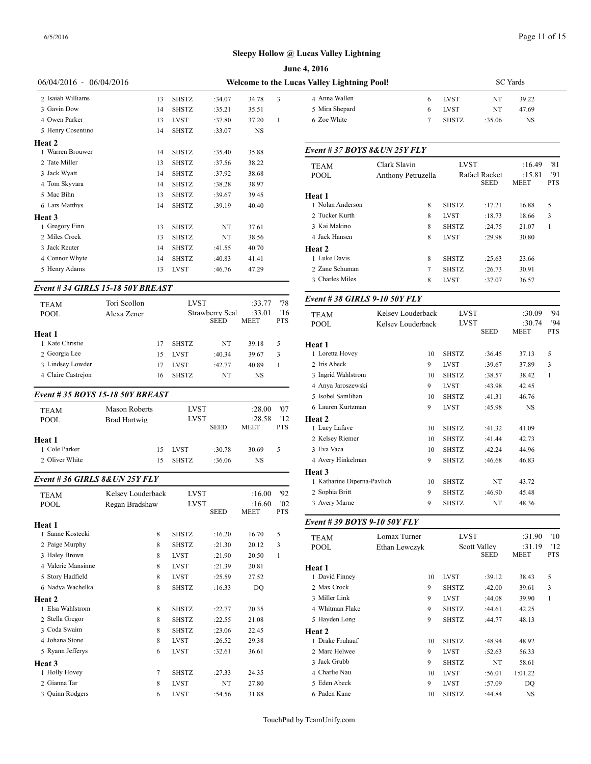|                               |                                   |                            |                  |                  |              | June 4, 2016                                |                                        |
|-------------------------------|-----------------------------------|----------------------------|------------------|------------------|--------------|---------------------------------------------|----------------------------------------|
| 06/04/2016 - 06/04/2016       |                                   |                            |                  |                  |              | Welcome to the Lucas Valley Lightning Pool! |                                        |
| 2 Isaiah Williams             | 13                                | <b>SHSTZ</b>               | :34.07           | 34.78            | 3            | 4 Anna Wallen                               | 6                                      |
| 3 Gavin Dow                   | 14                                | <b>SHSTZ</b>               | :35.21           | 35.51            |              | 5 Mira Shepard                              | 6                                      |
| 4 Owen Parker                 | 13                                | <b>LVST</b>                | :37.80           | 37.20            | 1            | 6 Zoe White                                 | 7                                      |
| 5 Henry Cosentino             | 14                                | <b>SHSTZ</b>               | :33.07           | NS               |              |                                             |                                        |
| Heat 2                        |                                   |                            |                  |                  |              |                                             |                                        |
| 1 Warren Brouwer              | 14                                | <b>SHSTZ</b>               | :35.40           | 35.88            |              | Event # 37 BOYS 8& UN 25Y FLY               |                                        |
| 2 Tate Miller                 | 13                                | <b>SHSTZ</b>               | :37.56           | 38.22            |              | TEAM                                        | Clark Slavin                           |
| 3 Jack Wyatt                  | 14                                | <b>SHSTZ</b>               | :37.92           | 38.68            |              | POOL                                        | <b>Anthony Petruzella</b>              |
| 4 Tom Skyvara                 | 14                                | <b>SHSTZ</b>               | :38.28           | 38.97            |              |                                             |                                        |
| 5 Mac Bihn                    | 13                                | <b>SHSTZ</b>               | :39.67           | 39.45            |              | Heat 1                                      |                                        |
| 6 Lars Matthys                | 14                                | <b>SHSTZ</b>               | :39.19           | 40.40            |              | 1 Nolan Anderson                            | 8                                      |
| Heat 3                        |                                   |                            |                  |                  |              | 2 Tucker Kurth                              | 8                                      |
| 1 Gregory Finn                | 13                                | <b>SHSTZ</b>               | NT               | 37.61            |              | 3 Kai Makino                                | 8                                      |
| 2 Miles Crock                 | 13                                | <b>SHSTZ</b>               | NT               | 38.56            |              | 4 Jack Hansen                               | 8                                      |
| 3 Jack Reuter                 | 14                                | <b>SHSTZ</b>               | :41.55           | 40.70            |              | Heat 2                                      |                                        |
| 4 Connor Whyte                | 14                                | <b>SHSTZ</b>               | :40.83           | 41.41            |              | 1 Luke Davis                                | 8                                      |
| 5 Henry Adams                 | 13                                | <b>LVST</b>                | :46.76           | 47.29            |              | 2 Zane Schuman                              | 7                                      |
|                               |                                   |                            |                  |                  |              | 3 Charles Miles                             | 8                                      |
|                               | Event # 34 GIRLS 15-18 50Y BREAST |                            |                  |                  |              | Event #38 GIRLS 9-10 50Y FLY                |                                        |
| <b>TEAM</b>                   | Tori Scollon                      | <b>LVST</b>                | Strawberry Seal  | :33.77<br>:33.01 | '78<br>'16   |                                             |                                        |
| <b>POOL</b>                   | Alexa Zener                       |                            | <b>SEED</b>      | <b>MEET</b>      | <b>PTS</b>   | TEAM<br><b>POOL</b>                         | Kelsey Louderback<br>Kelsev Louderback |
| Heat 1<br>1 Kate Christie     | 17                                | <b>SHSTZ</b>               | NT               | 39.18            | 5            |                                             |                                        |
| 2 Georgia Lee                 | 15                                | <b>LVST</b>                |                  |                  | 3            | Heat 1<br>1 Loretta Hovey                   | 10                                     |
| 3 Lindsey Lowder              | 17                                | <b>LVST</b>                | :40.34<br>:42.77 | 39.67<br>40.89   | 1            | 2 Iris Abeck                                | 9                                      |
| 4 Claire Castrejon            |                                   | <b>SHSTZ</b>               |                  | <b>NS</b>        |              | 3 Ingrid Wahlstrom                          | 10                                     |
|                               | 16                                |                            | NT               |                  |              | 4 Anya Jaroszewski                          | 9                                      |
|                               | Event #35 BOYS 15-18 50Y BREAST   |                            |                  |                  |              | 5 Isobel Samlihan                           | 10                                     |
|                               |                                   |                            |                  |                  | '07          | 6 Lauren Kurtzman                           | 9                                      |
| <b>TEAM</b>                   | <b>Mason Roberts</b>              | <b>LVST</b><br><b>LVST</b> |                  | :28.00<br>:28.58 | '12          | Heat 2                                      |                                        |
| <b>POOL</b>                   | Brad Hartwig                      |                            | SEED             | <b>MEET</b>      | <b>PTS</b>   | 1 Lucy Lafave                               | 10                                     |
| Heat 1                        |                                   |                            |                  |                  |              | 2 Kelsey Riemer                             | 10                                     |
| 1 Cole Parker                 | 15                                | <b>LVST</b>                | :30.78           | 30.69            | 5            | 3 Eva Vaca                                  | 10                                     |
| 2 Oliver White                | 15                                | <b>SHSTZ</b>               | :36.06           | NS               |              | 4 Avery Hinkelman                           | 9                                      |
| Event #36 GIRLS 8& UN 25Y FLY |                                   |                            |                  |                  |              | Heat 3<br>1 Katharine Diperna-Pavlich       | 10                                     |
|                               |                                   |                            |                  |                  |              | 2 Sophia Britt                              | 9                                      |
| TEAM                          | Kelsey Louderback                 | <b>LVST</b><br>LVST        |                  | :16.00<br>:16.60 | '92<br>'02   | 3 Avery Marne                               | 9                                      |
| POOL                          | Regan Bradshaw                    |                            | <b>SEED</b>      | <b>MEET</b>      | PTS          |                                             |                                        |
| Heat 1                        |                                   |                            |                  |                  |              | Event #39 BOYS 9-10 50Y FLY                 |                                        |
| 1 Sanne Kostecki              | 8                                 | SHSTZ                      | :16.20           | 16.70            | 5            | TEAM                                        | Lomax Turner                           |
| 2 Paige Murphy                | 8                                 | SHSTZ                      | :21.30           | 20.12            | 3            | <b>POOL</b>                                 | Ethan Lewczyk                          |
| 3 Haley Brown                 | 8                                 | <b>LVST</b>                | :21.90           | 20.50            | $\mathbf{1}$ |                                             |                                        |
| 4 Valerie Mansinne            | 8                                 | <b>LVST</b>                | :21.39           | 20.81            |              | Heat 1                                      |                                        |
| 5 Story Hadfield              | 8                                 | LVST                       | :25.59           | 27.52            |              | 1 David Finney                              | 10                                     |
| 6 Nadya Wachelka              | 8                                 | SHSTZ                      | :16.33           | DQ               |              | 2 Max Crock                                 | 9                                      |
| Heat 2                        |                                   |                            |                  |                  |              | 3 Miller Link                               | 9                                      |

 Elsa Wahlstrom 8 SHSTZ :22.77 20.35 Stella Gregor 8 SHSTZ :22.55 21.08 Coda Swaim 8 SHSTZ :23.06 22.45 Johana Stone 8 LVST :26.52 29.38 5 Ryann Jefferys 6 LVST :32.61 36.61

1 Holly Hovey 7 SHSTZ :27.33 24.35 2 Gianna Tar 8 LVST NT 27.80 3 Quinn Rodgers 6 LVST :54.56 31.88

**Heat 3**

| e 4, 2016                 |   |              |                 |           |  |
|---------------------------|---|--------------|-----------------|-----------|--|
| as Valley Lightning Pool! |   |              | <b>SC</b> Yards |           |  |
| 4 Anna Wallen             | 6 | LVST         | NT              | 39.22     |  |
| 5 Mira Shepard            | 6 | <b>LVST</b>  | NT              | 47.69     |  |
| 6 Zoe White               |   | <b>SHSTZ</b> | :35.06          | <b>NS</b> |  |
|                           |   |              |                 |           |  |

#### *Event # 37 BOYS 8&UN 25Y FLY*

| <b>TEAM</b><br><b>POOL</b> | Clark Slavin<br>Anthony Petruzella | <b>LVST</b>  | Rafael Racket<br><b>SEED</b> | :16.49<br>:15.81<br><b>MEET</b> | '81<br>'91<br><b>PTS</b> |  |
|----------------------------|------------------------------------|--------------|------------------------------|---------------------------------|--------------------------|--|
| Heat 1                     |                                    |              |                              |                                 |                          |  |
| 1 Nolan Anderson           | 8                                  | <b>SHSTZ</b> | :17.21                       | 16.88                           | 5                        |  |
| 2 Tucker Kurth             | 8                                  | <b>LVST</b>  | :18.73                       | 18.66                           | 3                        |  |
| 3 Kai Makino               | 8                                  | <b>SHSTZ</b> | :24.75                       | 21.07                           | 1                        |  |
| 4 Jack Hansen              | 8                                  | <b>LVST</b>  | :29.98                       | 30.80                           |                          |  |
| Heat 2                     |                                    |              |                              |                                 |                          |  |
| 1 Luke Davis               | 8                                  | <b>SHSTZ</b> | :25.63                       | 23.66                           |                          |  |
| 2. Zane Schuman            | 7                                  | <b>SHSTZ</b> | :26.73                       | 30.91                           |                          |  |
| 3 Charles Miles            | 8                                  | <b>LVST</b>  | :37.07                       | 36.57                           |                          |  |
|                            |                                    |              |                              |                                 |                          |  |

#### *Event # 38 GIRLS 9-10 50Y FLY*

| <b>TEAM</b><br><b>POOL</b>  | Kelsey Louderback<br>Kelsev Louderback | <b>LVST</b><br><b>LVST</b> |             | :30.09<br>:30.74 | 94<br>'94    |
|-----------------------------|----------------------------------------|----------------------------|-------------|------------------|--------------|
|                             |                                        |                            | <b>SEED</b> | <b>MEET</b>      | <b>PTS</b>   |
| Heat 1                      |                                        |                            |             |                  |              |
| 1 Loretta Hovey             | 10                                     | <b>SHSTZ</b>               | :36.45      | 37.13            | 5            |
| 2 Iris Abeck                | 9                                      | <b>LVST</b>                | :39.67      | 37.89            | 3            |
| 3 Ingrid Wahlstrom          | 10                                     | <b>SHSTZ</b>               | :38.57      | 38.42            | $\mathbf{1}$ |
| 4 Anya Jaroszewski          | 9                                      | <b>LVST</b>                | :43.98      | 42.45            |              |
| 5 Isobel Samlihan           | 10                                     | <b>SHSTZ</b>               | :41.31      | 46.76            |              |
| 6 Lauren Kurtzman           | 9                                      | <b>LVST</b>                | :45.98      | <b>NS</b>        |              |
| Heat 2                      |                                        |                            |             |                  |              |
| 1 Lucy Lafave               | 10                                     | <b>SHSTZ</b>               | :41.32      | 41.09            |              |
| 2 Kelsey Riemer             | 10                                     | <b>SHSTZ</b>               | :41.44      | 42.73            |              |
| 3 Eva Vaca                  | 10                                     | <b>SHSTZ</b>               | :42.24      | 44.96            |              |
| 4 Avery Hinkelman           | 9                                      | <b>SHSTZ</b>               | :46.68      | 46.83            |              |
| <b>Heat 3</b>               |                                        |                            |             |                  |              |
| 1 Katharine Diperna-Pavlich | 10                                     | <b>SHSTZ</b>               | NT          | 43.72            |              |
| 2 Sophia Britt              | 9                                      | <b>SHSTZ</b>               | :46.90      | 45.48            |              |
| 3 Avery Marne               | 9                                      | <b>SHSTZ</b>               | NT          | 48.36            |              |
|                             |                                        |                            |             |                  |              |

# *Event # 39 BOYS 9-10 50Y FLY*

| <b>TEAM</b>     | Lomax Turner  | <b>LVST</b>  |                                    | :31.90         | '10               |  |
|-----------------|---------------|--------------|------------------------------------|----------------|-------------------|--|
| <b>POOL</b>     | Ethan Lewczyk |              | <b>Scott Valley</b><br><b>SEED</b> | :31.19<br>MEET | '12<br><b>PTS</b> |  |
| Heat 1          |               |              |                                    |                |                   |  |
| 1 David Finney  | 10            | <b>LVST</b>  | :39.12                             | 38.43          | 5                 |  |
| 2 Max Crock     | 9             | <b>SHSTZ</b> | :42.00                             | 39.61          | 3                 |  |
| 3 Miller Link   | 9             | <b>LVST</b>  | :44.08                             | 39.90          | 1                 |  |
| 4 Whitman Flake | 9             | <b>SHSTZ</b> | :44.61                             | 42.25          |                   |  |
| 5 Hayden Long   | 9             | <b>SHSTZ</b> | :44.77                             | 48.13          |                   |  |
| Heat 2          |               |              |                                    |                |                   |  |
| 1 Drake Fruhauf | 10            | <b>SHSTZ</b> | :48.94                             | 48.92          |                   |  |
| 2 Marc Helwee   | 9             | <b>LVST</b>  | :52.63                             | 56.33          |                   |  |
| 3 Jack Grubb    | 9             | <b>SHSTZ</b> | NT                                 | 58.61          |                   |  |
| 4 Charlie Nau   | 10            | <b>LVST</b>  | :56.01                             | 1:01.22        |                   |  |
| 5 Eden Abeck    | 9             | <b>LVST</b>  | :57.09                             | DO             |                   |  |
| 6 Paden Kane    | 10            | <b>SHSTZ</b> | :44.84                             | <b>NS</b>      |                   |  |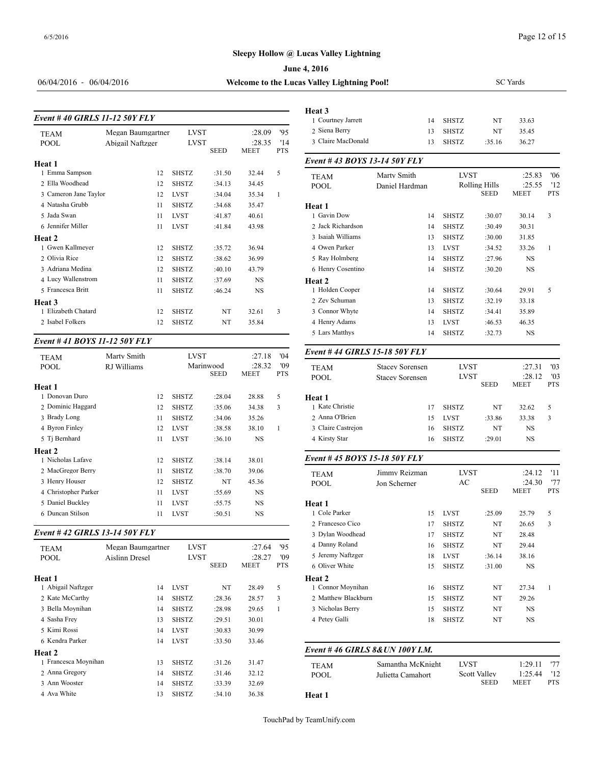#### **June 4, 2016**

06/04/2016 - 06/04/2016 **W** 

| Velcome to the Lucas Valley Lightning Poo |  |  |
|-------------------------------------------|--|--|

| Event #40 GIRLS 11-12 50Y FLY |                                       | Heat 3<br>1 Courtney Jarrett |             |                                 |                         |                                   |
|-------------------------------|---------------------------------------|------------------------------|-------------|---------------------------------|-------------------------|-----------------------------------|
| <b>TEAM</b><br><b>POOL</b>    | Megan Baumgartner<br>Abigail Naftzger | LVST<br><b>LVST</b>          | <b>SEED</b> | :28.09<br>:28.35<br><b>MEET</b> | 95<br>'14<br><b>PTS</b> | 2 Siena Berry<br>3 Claire MacDona |
| Heat 1                        |                                       |                              |             |                                 |                         | Event #43 BOY                     |
| 1 Emma Sampson                | 12                                    | <b>SHSTZ</b>                 | :31.50      | 32.44                           | 5                       | <b>TEAM</b>                       |
| 2 Ella Woodhead               | 12                                    | <b>SHSTZ</b>                 | :34.13      | 34.45                           |                         | <b>POOL</b>                       |
| 3 Cameron Jane Taylor         | 12                                    | <b>LVST</b>                  | :34.04      | 35.34                           | 1                       |                                   |
| 4 Natasha Grubb               | 11                                    | <b>SHSTZ</b>                 | :34.68      | 35.47                           |                         | Heat 1                            |
| 5 Jada Swan                   | 11                                    | <b>LVST</b>                  | :41.87      | 40.61                           |                         | 1 Gavin Dow                       |
| 6 Jennifer Miller             | 11                                    | <b>LVST</b>                  | :41.84      | 43.98                           |                         | 2 Jack Richardson                 |
| Heat 2                        |                                       |                              |             |                                 |                         | 3 Isaiah Williams                 |
| 1 Gwen Kallmeyer              | 12                                    | <b>SHSTZ</b>                 | :35.72      | 36.94                           |                         | 4 Owen Parker                     |
| 2 Olivia Rice                 | 12                                    | <b>SHSTZ</b>                 | :38.62      | 36.99                           |                         | 5 Ray Holmberg                    |
| 3 Adriana Medina              | 12                                    | <b>SHSTZ</b>                 | :40.10      | 43.79                           |                         | 6 Henry Cosentino                 |
| 4 Lucy Wallenstrom            | 11                                    | <b>SHSTZ</b>                 | :37.69      | <b>NS</b>                       |                         | Heat 2                            |
| 5 Francesca Britt             | 11                                    | <b>SHSTZ</b>                 | :46.24      | <b>NS</b>                       |                         | 1 Holden Cooper                   |
| Heat 3                        |                                       |                              |             |                                 |                         | 2 Zev Schuman                     |
| 1 Elizabeth Chatard           | 12                                    | <b>SHSTZ</b>                 | NT          | 32.61                           | 3                       | 3 Connor Whyte                    |
| 2 Isabel Folkers              | 12                                    | <b>SHSTZ</b>                 | NT          | 35.84                           |                         | 4 Henry Adams                     |
|                               |                                       |                              |             |                                 |                         |                                   |

#### *Event # 41 BOYS 11-12 50Y FLY*

| <b>TEAM</b>          | Marty Smith |    | <b>LVST</b>  |                          | :27.18         | '04               | Event #44 GIRI             |
|----------------------|-------------|----|--------------|--------------------------|----------------|-------------------|----------------------------|
| <b>POOL</b>          | RJ Williams |    |              | Marinwood<br><b>SEED</b> | :28.32<br>MEET | '09<br><b>PTS</b> | <b>TEAM</b><br><b>POOL</b> |
| Heat 1               |             |    |              |                          |                |                   |                            |
| 1 Donovan Duro       |             | 12 | <b>SHSTZ</b> | :28.04                   | 28.88          | 5                 | Heat 1                     |
| 2 Dominic Haggard    |             | 12 | <b>SHSTZ</b> | :35.06                   | 34.38          | 3                 | 1 Kate Christie            |
| 3 Brady Long         |             | 11 | <b>SHSTZ</b> | :34.06                   | 35.26          |                   | 2 Anna O'Brien             |
| 4 Byron Finley       |             | 12 | <b>LVST</b>  | :38.58                   | 38.10          | 1                 | 3 Claire Castrejon         |
| 5 Tj Bernhard        |             | 11 | <b>LVST</b>  | :36.10                   | <b>NS</b>      |                   | 4 Kirsty Star              |
| Heat 2               |             |    |              |                          |                |                   |                            |
| 1 Nicholas Lafave    |             | 12 | <b>SHSTZ</b> | :38.14                   | 38.01          |                   | Event #45 $BOY$            |
| 2 MacGregor Berry    |             | 11 | <b>SHSTZ</b> | :38.70                   | 39.06          |                   | <b>TEAM</b>                |
| 3 Henry Houser       |             | 12 | <b>SHSTZ</b> | NT                       | 45.36          |                   | <b>POOL</b>                |
| 4 Christopher Parker |             | 11 | <b>LVST</b>  | :55.69                   | NS             |                   |                            |
| 5 Daniel Buckley     |             | 11 | <b>LVST</b>  | :55.75                   | <b>NS</b>      |                   | Heat 1                     |
| 6 Duncan Stilson     |             | 11 | <b>LVST</b>  | :50.51                   | NS             |                   | 1 Cole Parker              |
|                      |             |    |              |                          |                |                   |                            |

#### *Event # 42 GIRLS 13-14 50Y FLY*

| <b>TEAM</b><br><b>POOL</b> | Megan Baumgartner<br>Aislinn Dresel | <b>LVST</b><br><b>LVST</b> |             | :27.64<br>:28.27 | '95<br>'09 | 4 Danny Roland<br>5 Jeremy Naftzger |
|----------------------------|-------------------------------------|----------------------------|-------------|------------------|------------|-------------------------------------|
|                            |                                     |                            | <b>SEED</b> | <b>MEET</b>      | <b>PTS</b> | 6 Oliver White                      |
| Heat 1                     |                                     |                            |             |                  |            | Heat 2                              |
| 1 Abigail Naftzger         | 14                                  | <b>LVST</b>                | NT          | 28.49            | 5          | 1 Connor Moynih                     |
| 2 Kate McCarthy            | 14                                  | <b>SHSTZ</b>               | :28.36      | 28.57            | 3          | 2 Matthew Blackb                    |
| 3 Bella Movnihan           | 14                                  | <b>SHSTZ</b>               | :28.98      | 29.65            | 1          | 3 Nicholas Berry                    |
| 4 Sasha Frey               | 13                                  | <b>SHSTZ</b>               | :29.51      | 30.01            |            | 4 Petey Galli                       |
| 5 Kimi Rossi               | 14                                  | <b>LVST</b>                | :30.83      | 30.99            |            |                                     |
| 6 Kendra Parker            | 14                                  | <b>LVST</b>                | :33.50      | 33.46            |            |                                     |
| <b>Heat 2</b>              |                                     |                            |             |                  |            | Event #46 GIRI                      |
| 1 Francesca Moynihan       | 13                                  | <b>SHSTZ</b>               | :31.26      | 31.47            |            | <b>TEAM</b>                         |
| 2 Anna Gregory             | 14                                  | <b>SHSTZ</b>               | :31.46      | 32.12            |            | <b>POOL</b>                         |
| 3 Ann Wooster              | 14                                  | <b>SHSTZ</b>               | :33.39      | 32.69            |            |                                     |
| 4 Ava White                | 13                                  | <b>SHSTZ</b>               | :34.10      | 36.38            |            | Heat 1                              |
|                            |                                     |                            |             |                  |            |                                     |

| s Valley Lightning Pool!        |                        |                            | <b>SC</b> Yards              |                       |                   |  |  |  |
|---------------------------------|------------------------|----------------------------|------------------------------|-----------------------|-------------------|--|--|--|
|                                 |                        |                            |                              |                       |                   |  |  |  |
| Heat 3<br>1 Courtney Jarrett    |                        | <b>SHSTZ</b>               | NT                           |                       |                   |  |  |  |
| 2 Siena Berry                   | 14<br>13               | <b>SHSTZ</b>               | NT                           | 33.63<br>35.45        |                   |  |  |  |
| 3 Claire MacDonald              | 13                     | <b>SHSTZ</b>               | :35.16                       | 36.27                 |                   |  |  |  |
| Event #43 BOYS 13-14 50Y FLY    |                        |                            |                              |                       |                   |  |  |  |
| <b>TEAM</b>                     | Marty Smith            | <b>LVST</b>                |                              | :25.83                | '06               |  |  |  |
| <b>POOL</b>                     | Daniel Hardman         |                            | Rolling Hills<br><b>SEED</b> | :25.55<br>MEET        | '12<br><b>PTS</b> |  |  |  |
| Heat 1                          |                        |                            |                              |                       |                   |  |  |  |
| 1 Gavin Dow                     | 14                     | <b>SHSTZ</b>               | :30.07                       | 30.14                 | 3                 |  |  |  |
| 2 Jack Richardson               | 14                     | <b>SHSTZ</b>               | :30.49                       | 30.31                 |                   |  |  |  |
| 3 Isaiah Williams               | 13                     | <b>SHSTZ</b>               | :30.00                       | 31.85                 |                   |  |  |  |
| 4 Owen Parker                   | 13                     | LVST                       | :34.52                       | 33.26                 | 1                 |  |  |  |
| 5 Ray Holmberg                  | 14                     | <b>SHSTZ</b>               | :27.96                       | NS                    |                   |  |  |  |
| 6 Henry Cosentino               | 14                     | <b>SHSTZ</b>               | :30.20                       | NS                    |                   |  |  |  |
| Heat 2<br>1 Holden Cooper       | 14                     | <b>SHSTZ</b>               | :30.64                       | 29.91                 | 5                 |  |  |  |
| 2 Zev Schuman                   | 13                     | <b>SHSTZ</b>               | :32.19                       | 33.18                 |                   |  |  |  |
| 3 Connor Whyte                  | 14                     | <b>SHSTZ</b>               | :34.41                       | 35.89                 |                   |  |  |  |
| 4 Henry Adams                   | 13                     | LVST                       | :46.53                       | 46.35                 |                   |  |  |  |
| 5 Lars Matthys                  | 14                     | <b>SHSTZ</b>               | :32.73                       | NS                    |                   |  |  |  |
| Event # 44 GIRLS 15-18 50Y FLY  |                        |                            |                              |                       |                   |  |  |  |
| <b>TEAM</b>                     | <b>Stacey Sorensen</b> | <b>LVST</b>                |                              | :27.31                | '03               |  |  |  |
| <b>POOL</b>                     | <b>Stacey Sorensen</b> | <b>LVST</b><br><b>SEED</b> |                              | :28.12<br><b>MEET</b> | '03<br><b>PTS</b> |  |  |  |
| Heat 1                          |                        |                            |                              |                       |                   |  |  |  |
| 1 Kate Christie                 | 17                     | <b>SHSTZ</b>               | NT                           | 32.62                 | 5                 |  |  |  |
| 2 Anna O'Brien                  | 15                     | LVST                       | :33.86                       | 33.38                 | 3                 |  |  |  |
| 3 Claire Castrejon              | 16                     | <b>SHSTZ</b>               | NT                           | NS                    |                   |  |  |  |
| 4 Kirsty Star                   | 16                     | <b>SHSTZ</b>               | :29.01                       | NS                    |                   |  |  |  |
| Event #45 BOYS 15-18 50Y FLY    |                        |                            |                              |                       |                   |  |  |  |
| <b>TEAM</b>                     | Jimmy Reizman          | LVST                       |                              | :24.12                | '11               |  |  |  |
| <b>POOL</b>                     | Jon Scherner           | АC                         | <b>SEED</b>                  | :24.30<br>MEET        | '77<br><b>PTS</b> |  |  |  |
| Heat 1                          |                        |                            |                              |                       |                   |  |  |  |
| 1 Cole Parker                   | 15                     | LVST                       | :25.09                       | 25.79                 | 5                 |  |  |  |
| 2 Francesco Cico                | 17                     | <b>SHSTZ</b>               | NT                           | 26.65                 | 3                 |  |  |  |
| 3 Dylan Woodhead                | 17                     | SHSTZ                      | NT                           | 28.48                 |                   |  |  |  |
| 4 Danny Roland                  | 16                     | SHSTZ                      | NT                           | 29.44                 |                   |  |  |  |
| 5 Jeremy Naftzger               | 18                     | LVST                       | :36.14                       | 38.16                 |                   |  |  |  |
| 6 Oliver White                  | 15                     | SHSTZ                      | :31.00                       | NS                    |                   |  |  |  |
| Heat 2                          |                        |                            |                              |                       |                   |  |  |  |
| 1 Connor Moynihan               | 16                     | SHSTZ                      | NT                           | 27.34                 | $\mathbf{1}$      |  |  |  |
| 2 Matthew Blackburn             | 15                     | SHSTZ                      | NT                           | 29.26                 |                   |  |  |  |
| 3 Nicholas Berry                | 15                     | SHSTZ                      | NT                           | NS                    |                   |  |  |  |
| 4 Petey Galli                   | 18                     | <b>SHSTZ</b>               | NT                           | NS                    |                   |  |  |  |
| Event #46 GIRLS 8& UN 100Y I.M. |                        |                            |                              |                       |                   |  |  |  |
|                                 | Samantha McKnight      | <b>LVST</b>                |                              | 1:29.11               | '77               |  |  |  |
| TEAM<br>POOL                    | Julietta Camahort      |                            | Scott Valley                 | 1:25.44               | '12               |  |  |  |
|                                 |                        |                            | SEED                         | MEET                  | PTS               |  |  |  |

**Heat 1**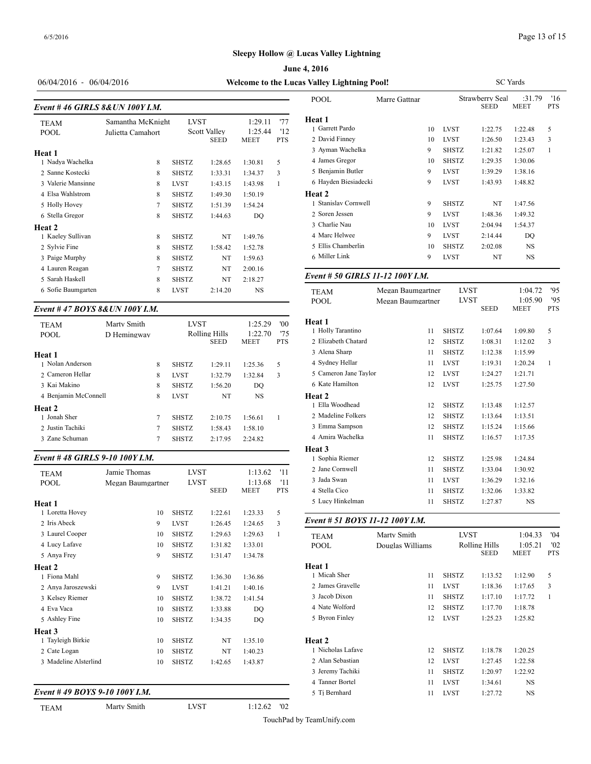**June 4, 2016**

06/04/2016 - 06/04/2016 **Welcome to the Lucas** 

## *Event # 46 GIRLS 8&UN 100Y I.M.*

| <b>TEAM</b><br><b>POOL</b> | Samantha McKnight<br>Julietta Camahort | <b>LVST</b>  | <b>Scott Valley</b><br><b>SEED</b> | 1:29.11<br>1:25.44<br><b>MEET</b> | '77<br>12<br><b>PTS</b> | <b>Heat 1</b><br>1 Garrett Pardo<br>2 David Finney |
|----------------------------|----------------------------------------|--------------|------------------------------------|-----------------------------------|-------------------------|----------------------------------------------------|
| Heat 1                     |                                        |              |                                    |                                   |                         | 3 Ayman Wachelk                                    |
| 1 Nadya Wachelka           | 8                                      | <b>SHSTZ</b> | 1:28.65                            | 1:30.81                           | 5                       | 4 James Gregor                                     |
| 2 Sanne Kostecki           | 8                                      | <b>SHSTZ</b> | 1:33.31                            | 1:34.37                           | 3                       | 5 Benjamin Butler                                  |
| 3 Valerie Mansinne         | 8                                      | <b>LVST</b>  | 1:43.15                            | 1:43.98                           | $\mathbf{1}$            | 6 Hayden Biesiad                                   |
| 4 Elsa Wahlstrom           | 8                                      | <b>SHSTZ</b> | 1:49.30                            | 1:50.19                           |                         | <b>Heat 2</b>                                      |
| 5 Holly Hovey              | 7                                      | <b>SHSTZ</b> | 1:51.39                            | 1:54.24                           |                         | 1 Stanislav Cornw                                  |
| 6 Stella Gregor            | 8                                      | <b>SHSTZ</b> | 1:44.63                            | DQ                                |                         | 2 Soren Jessen                                     |
| <b>Heat 2</b>              |                                        |              |                                    |                                   |                         | 3 Charlie Nau                                      |
| 1 Kaeley Sullivan          | 8                                      | <b>SHSTZ</b> | NT                                 | 1:49.76                           |                         | 4 Marc Helwee                                      |
| 2 Sylvie Fine              | 8                                      | <b>SHSTZ</b> | 1:58.42                            | 1:52.78                           |                         | 5 Ellis Chamberlin                                 |
| 3 Paige Murphy             | 8                                      | <b>SHSTZ</b> | NT                                 | 1:59.63                           |                         | 6 Miller Link                                      |
| 4 Lauren Reagan            | $\overline{7}$                         | <b>SHSTZ</b> | NT                                 | 2:00.16                           |                         |                                                    |
| 5 Sarah Haskell            | 8                                      | <b>SHSTZ</b> | NT                                 | 2:18.27                           |                         | Event # 50 GIRI                                    |
| 6 Sofie Baumgarten         | 8                                      | <b>LVST</b>  | 2:14.20                            | <b>NS</b>                         |                         | <b>TEAM</b>                                        |
|                            |                                        |              |                                    |                                   |                         |                                                    |

### *Event # 47 BOYS 8&UN 100Y I.M.*

| <b>TEAM</b><br><b>POOL</b> | Marty Smith<br>D Hemingway |   | <b>LVST</b>  | Rolling Hills<br><b>SEED</b> | 1:25.29<br>1:22.70<br><b>MEET</b> | '00<br>75<br><b>PTS</b> | Heat 1<br>1 Holly Tarantino<br>2 Elizabeth Chatar |
|----------------------------|----------------------------|---|--------------|------------------------------|-----------------------------------|-------------------------|---------------------------------------------------|
| Heat 1                     |                            |   |              |                              |                                   |                         | 3 Alena Sharp                                     |
| 1 Nolan Anderson           |                            | 8 | <b>SHSTZ</b> | 1:29.11                      | 1:25.36                           | 5                       | 4 Sydney Hellar                                   |
| 2 Cameron Hellar           |                            | 8 | <b>LVST</b>  | 1:32.79                      | 1:32.84                           | 3                       | 5 Cameron Jane T                                  |
| 3 Kai Makino               |                            | 8 | <b>SHSTZ</b> | 1:56.20                      | DO.                               |                         | 6 Kate Hamilton                                   |
| 4 Benjamin McConnell       |                            | 8 | <b>LVST</b>  | NT                           | NS                                |                         | Heat 2                                            |
| Heat 2                     |                            |   |              |                              |                                   |                         | 1 Ella Woodhead                                   |
| 1 Jonah Sher               |                            | 7 | <b>SHSTZ</b> | 2:10.75                      | 1:56.61                           |                         | 2 Madeline Folker                                 |
| 2 Justin Tachiki           |                            | 7 | <b>SHSTZ</b> | 1:58.43                      | 1:58.10                           |                         | 3 Emma Sampson                                    |
| 3 Zane Schuman             |                            | 7 | <b>SHSTZ</b> | 2:17.95                      | 2:24.82                           |                         | 4 Amira Wachelka                                  |
|                            |                            |   |              |                              |                                   |                         |                                                   |

#### *Event # 48 GIRLS 9-10 100Y I.M.*

| <b>TEAM</b>                   | Jamie Thomas      | LVST         |             | 1:13.62                | '11               | 2 Jane Cornwell<br>3 Jada Swan |
|-------------------------------|-------------------|--------------|-------------|------------------------|-------------------|--------------------------------|
| <b>POOL</b>                   | Megan Baumgartner | <b>LVST</b>  | <b>SEED</b> | 1:13.68<br><b>MEET</b> | '11<br><b>PTS</b> | 4 Stella Cico                  |
| Heat 1                        |                   |              |             |                        |                   | 5 Lucy Hinkelmar               |
| 1 Loretta Hovey               | 10                | <b>SHSTZ</b> | 1:22.61     | 1:23.33                | 5                 |                                |
| 2 Iris Abeck                  | 9                 | <b>LVST</b>  | 1:26.45     | 1:24.65                | 3                 | Event # 51 $BOY$               |
| 3 Laurel Cooper               | 10                | <b>SHSTZ</b> | 1:29.63     | 1:29.63                | $\mathbf{1}$      | <b>TEAM</b>                    |
| 4 Lucy Lafave                 | 10                | <b>SHSTZ</b> | 1:31.82     | 1:33.01                |                   | <b>POOL</b>                    |
| 5 Anya Frey                   | 9                 | <b>SHSTZ</b> | 1:31.47     | 1:34.78                |                   |                                |
| Heat 2                        |                   |              |             |                        |                   | Heat 1                         |
| 1 Fiona Mahl                  | 9                 | <b>SHSTZ</b> | 1:36.30     | 1:36.86                |                   | 1 Micah Sher                   |
| 2 Anya Jaroszewski            | 9                 | <b>LVST</b>  | 1:41.21     | 1:40.16                |                   | 2 James Gravelle               |
| 3 Kelsey Riemer               | 10                | <b>SHSTZ</b> | 1:38.72     | 1:41.54                |                   | 3 Jacob Dixon                  |
| 4 Eva Vaca                    | 10                | <b>SHSTZ</b> | 1:33.88     | DO                     |                   | 4 Nate Wolford                 |
| 5 Ashley Fine                 | 10                | <b>SHSTZ</b> | 1:34.35     | DO                     |                   | 5 Byron Finley                 |
| Heat 3                        |                   |              |             |                        |                   |                                |
| 1 Tayleigh Birkie             | 10                | <b>SHSTZ</b> | NT          | 1:35.10                |                   | Heat 2                         |
| 2 Cate Logan                  | 10                | <b>SHSTZ</b> | NT          | 1:40.23                |                   | 1 Nicholas Lafave              |
| 3 Madeline Alsterlind         | 10                | <b>SHSTZ</b> | 1:42.65     | 1:43.87                |                   | 2 Alan Sebastian               |
|                               |                   |              |             |                        |                   | 3 Jeremy Tachiki               |
|                               |                   |              |             |                        |                   | 4 Tanner Bortel                |
| Event #49 BOYS 9-10 100Y I.M. |                   |              |             |                        |                   | 5 Ti Bernhard                  |
|                               |                   |              |             |                        |                   |                                |

TouchPad by TeamUnify.com

| s Valley Lightning Pool!         |                                             |    |              | <b>SC</b> Yards                |                       |                  |  |  |  |
|----------------------------------|---------------------------------------------|----|--------------|--------------------------------|-----------------------|------------------|--|--|--|
| <b>POOL</b>                      | Marre Gattnar                               |    |              | Strawberry Seal<br><b>SEED</b> | :31.79<br><b>MEET</b> | 16<br><b>PTS</b> |  |  |  |
| Heat 1                           |                                             |    |              |                                |                       |                  |  |  |  |
| 1 Garrett Pardo                  |                                             | 10 | <b>LVST</b>  | 1:22.75                        | 1:22.48               | 5                |  |  |  |
| 2 David Finney                   |                                             | 10 | <b>LVST</b>  | 1:26.50                        | 1:23.43               | 3                |  |  |  |
| 3 Ayman Wachelka                 |                                             | 9  | <b>SHSTZ</b> | 1:21.82                        | 1:25.07               | 1                |  |  |  |
| 4 James Gregor                   |                                             | 10 | <b>SHSTZ</b> | 1:29.35                        | 1:30.06               |                  |  |  |  |
| 5 Benjamin Butler                |                                             | 9  | <b>LVST</b>  | 1:39.29                        | 1:38.16               |                  |  |  |  |
| 6 Hayden Biesiadecki             |                                             | 9  | <b>LVST</b>  | 1:43.93                        | 1:48.82               |                  |  |  |  |
| Heat 2                           |                                             |    |              |                                |                       |                  |  |  |  |
| 1 Stanislav Cornwell             |                                             | 9  | <b>SHSTZ</b> | NT                             | 1:47.56               |                  |  |  |  |
| 2 Soren Jessen                   |                                             | 9  | <b>LVST</b>  | 1:48.36                        | 1:49.32               |                  |  |  |  |
| 3 Charlie Nau                    |                                             | 10 | <b>LVST</b>  | 2:04.94                        | 1:54.37               |                  |  |  |  |
| 4 Marc Helwee                    |                                             | 9  | <b>LVST</b>  | 2:14.44                        | DO                    |                  |  |  |  |
| 5 Ellis Chamberlin               |                                             | 10 | <b>SHSTZ</b> | 2:02.08                        | <b>NS</b>             |                  |  |  |  |
| 6 Miller Link                    |                                             | 9  | <b>LVST</b>  | NT                             | <b>NS</b>             |                  |  |  |  |
| Event # 50 GIRLS 11-12 100Y I.M. |                                             |    |              |                                |                       |                  |  |  |  |
| <b>TEAM</b>                      | Megan Baumgartner                           |    | <b>LVST</b>  |                                | 1:04.72               | 95               |  |  |  |
| $R \cap T$                       | $\mathbf{v}$ . The contract of $\mathbf{v}$ |    | <b>TIZOT</b> |                                | 1.05.00               | 10F              |  |  |  |

| <b>POOL</b>           | Megan Baumgartner | <b>LVST</b>  | <b>SEED</b> | 1:05.90<br><b>MEET</b> | 95<br><b>PTS</b> |  |
|-----------------------|-------------------|--------------|-------------|------------------------|------------------|--|
| Heat 1                |                   |              |             |                        |                  |  |
| 1 Holly Tarantino     | 11                | <b>SHSTZ</b> | 1:07.64     | 1:09.80                | 5                |  |
| 2 Elizabeth Chatard   | 12                | <b>SHSTZ</b> | 1:08.31     | 1:12.02                | 3                |  |
| 3 Alena Sharp         | 11                | <b>SHSTZ</b> | 1:12.38     | 1:15.99                |                  |  |
| 4 Sydney Hellar       | 11                | <b>LVST</b>  | 1:19.31     | 1:20.24                | 1                |  |
| 5 Cameron Jane Taylor | 12                | <b>LVST</b>  | 1:24.27     | 1:21.71                |                  |  |
| 6 Kate Hamilton       | 12                | <b>LVST</b>  | 1:25.75     | 1:27.50                |                  |  |
| Heat 2                |                   |              |             |                        |                  |  |
| 1 Ella Woodhead       | 12                | <b>SHSTZ</b> | 1:13.48     | 1:12.57                |                  |  |
| 2 Madeline Folkers    | 12                | <b>SHSTZ</b> | 1:13.64     | 1:13.51                |                  |  |
| 3 Emma Sampson        | 12                | <b>SHSTZ</b> | 1:15.24     | 1:15.66                |                  |  |
| 4 Amira Wachelka      | 11                | <b>SHSTZ</b> | 1:16.57     | 1:17.35                |                  |  |
| <b>Heat 3</b>         |                   |              |             |                        |                  |  |
| 1 Sophia Riemer       | 12                | <b>SHSTZ</b> | 1:25.98     | 1:24.84                |                  |  |
| 2 Jane Cornwell       | 11                | <b>SHSTZ</b> | 1:33.04     | 1:30.92                |                  |  |
| 3 Jada Swan           | 11                | <b>LVST</b>  | 1:36.29     | 1:32.16                |                  |  |
| 4 Stella Cico         | 11                | <b>SHSTZ</b> | 1:32.06     | 1:33.82                |                  |  |
| 5 Lucy Hinkelman      | 11                | <b>SHSTZ</b> | 1:27.87     | NS                     |                  |  |
|                       |                   |              |             |                        |                  |  |

#### *Event # 51 BOYS 11-12 100Y I.M.*

| <b>TEAM</b><br><b>POOL</b> | Marty Smith<br>Douglas Williams | <b>LVST</b>  | Rolling Hills<br><b>SEED</b> | 1:04.33<br>1:05.21<br><b>MEET</b> | 04'<br>'02<br><b>PTS</b> |
|----------------------------|---------------------------------|--------------|------------------------------|-----------------------------------|--------------------------|
| Heat 1                     |                                 |              |                              |                                   |                          |
| 1 Micah Sher               | 11                              | <b>SHSTZ</b> | 1:13.52                      | 1:12.90                           | 5                        |
| 2 James Gravelle           | 11                              | <b>LVST</b>  | 1:18.36                      | 1:17.65                           | 3                        |
| 3 Jacob Dixon              | 11                              | <b>SHSTZ</b> | 1:17.10                      | 1:17.72                           | 1                        |
| 4 Nate Wolford             | 12                              | <b>SHSTZ</b> | 1:17.70                      | 1:18.78                           |                          |
| 5 Byron Finley             | 12                              | <b>LVST</b>  | 1:25.23                      | 1:25.82                           |                          |
| Heat 2                     |                                 |              |                              |                                   |                          |
| 1 Nicholas Lafave          | 12                              | <b>SHSTZ</b> | 1:18.78                      | 1:20.25                           |                          |
| 2 Alan Sebastian           | 12                              | <b>LVST</b>  | 1:27.45                      | 1:22.58                           |                          |
| 3 Jeremy Tachiki           | 11                              | <b>SHSTZ</b> | 1:20.97                      | 1:22.92                           |                          |
| 4 Tanner Bortel            | 11                              | <b>LVST</b>  | 1:34.61                      | <b>NS</b>                         |                          |
| 5 Ti Bernhard              | 11                              | <b>LVST</b>  | 1:27.72                      | NS                                |                          |
|                            |                                 |              |                              |                                   |                          |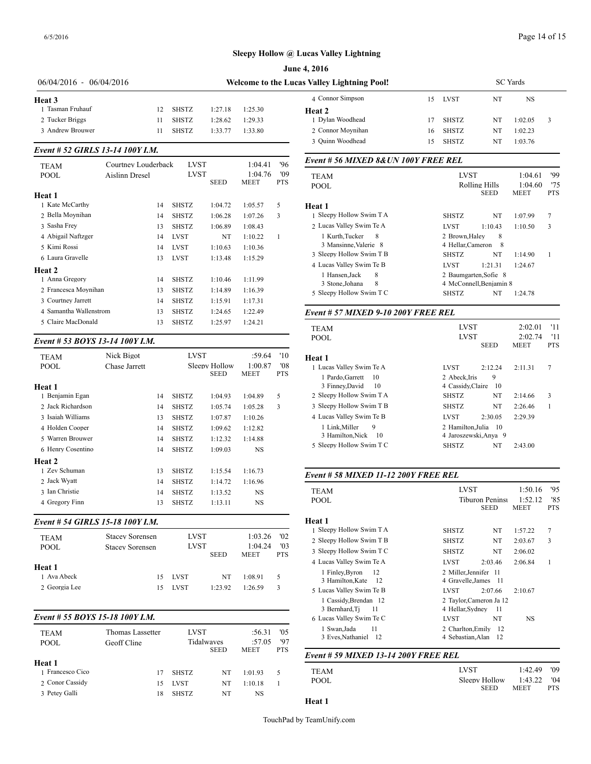#### **Sleepy Hollow @ Lucas Valley Lightning**

|                           |                                  |    |              |                              |                        |                   | <b>June 4, 2016</b>                          |    |                                      |                              |                        |                   |
|---------------------------|----------------------------------|----|--------------|------------------------------|------------------------|-------------------|----------------------------------------------|----|--------------------------------------|------------------------------|------------------------|-------------------|
| $06/04/2016 - 06/04/2016$ |                                  |    |              |                              |                        |                   | Welcome to the Lucas Valley Lightning Pool!  |    | <b>SC</b> Yards                      |                              |                        |                   |
| Heat <sub>3</sub>         |                                  |    |              |                              |                        |                   | 4 Connor Simpson                             | 15 | LVST                                 | NT                           | <b>NS</b>              |                   |
| 1 Tasman Fruhauf          |                                  | 12 | <b>SHSTZ</b> | 1:27.18                      | 1:25.30                |                   | Heat <sub>2</sub>                            |    |                                      |                              |                        |                   |
| 2 Tucker Briggs           |                                  | 11 | <b>SHSTZ</b> | 1:28.62                      | 1:29.33                |                   | 1 Dylan Woodhead                             | 17 | <b>SHSTZ</b>                         | NT                           | 1:02.05                | 3                 |
| 3 Andrew Brouwer          |                                  | 11 | <b>SHSTZ</b> | 1:33.77                      | 1:33.80                |                   | 2 Connor Moynihan                            | 16 | <b>SHSTZ</b>                         | NT                           | 1:02.23                |                   |
|                           |                                  |    |              |                              |                        |                   | 3 Quinn Woodhead                             | 15 | <b>SHSTZ</b>                         | NT                           | 1:03.76                |                   |
|                           | Event # 52 GIRLS 13-14 100Y I.M. |    |              |                              |                        |                   | Event # 56 MIXED 8& UN 100Y FREE REL         |    |                                      |                              |                        |                   |
| <b>TEAM</b>               | Courtney Louderback              |    | <b>LVST</b>  |                              | 1:04.41                | '96               |                                              |    |                                      |                              |                        |                   |
| <b>POOL</b>               | Aislinn Dresel                   |    | <b>LVST</b>  | <b>SEED</b>                  | 1:04.76<br><b>MEET</b> | '09<br><b>PTS</b> | <b>TEAM</b>                                  |    | <b>LVST</b>                          |                              | 1:04.61                | '99               |
|                           |                                  |    |              |                              |                        |                   | <b>POOL</b>                                  |    |                                      | Rolling Hills<br><b>SEED</b> | 1:04.60<br><b>MEET</b> | '75<br><b>PTS</b> |
| Heat 1<br>1 Kate McCarthy |                                  | 14 | <b>SHSTZ</b> | 1:04.72                      | 1:05.57                | 5                 |                                              |    |                                      |                              |                        |                   |
| 2 Bella Moynihan          |                                  | 14 | <b>SHSTZ</b> | 1:06.28                      | 1:07.26                | 3                 | Heat 1<br>1 Sleepy Hollow Swim T A           |    | <b>SHSTZ</b>                         | NT                           | 1:07.99                | $\overline{7}$    |
| 3 Sasha Frey              |                                  | 13 | <b>SHSTZ</b> | 1:06.89                      | 1:08.43                |                   | 2 Lucas Valley Swim Te A                     |    | <b>LVST</b>                          | 1:10.43                      | 1:10.50                | 3                 |
| 4 Abigail Naftzger        |                                  | 14 | <b>LVST</b>  | NT                           | 1:10.22                |                   | 1 Kurth.Tucker<br>8                          |    | 2 Brown, Haley                       | 8                            |                        |                   |
| 5 Kimi Rossi              |                                  | 14 | <b>LVST</b>  | 1:10.63                      | 1:10.36                |                   | 3 Mansinne, Valerie 8                        |    |                                      | 4 Hellar, Cameron 8          |                        |                   |
| 6 Laura Gravelle          |                                  |    |              |                              |                        |                   | 3 Sleepy Hollow Swim T B                     |    | <b>SHSTZ</b>                         | NT                           | 1:14.90                | $\overline{1}$    |
|                           |                                  | 13 | <b>LVST</b>  | 1:13.48                      | 1:15.29                |                   | 4 Lucas Valley Swim Te B                     |    | <b>LVST</b>                          | 1:21.31                      | 1:24.67                |                   |
| Heat 2<br>1 Anna Gregory  |                                  | 14 | <b>SHSTZ</b> | 1:10.46                      | 1:11.99                |                   | 1 Hansen, Jack<br>8                          |    |                                      | 2 Baumgarten, Sofie 8        |                        |                   |
| 2 Francesca Moynihan      |                                  | 13 | <b>SHSTZ</b> | 1:14.89                      | 1:16.39                |                   | 8<br>3 Stone, Johana                         |    |                                      | 4 McConnell, Benjamin 8      |                        |                   |
| 3 Courtney Jarrett        |                                  | 14 | <b>SHSTZ</b> | 1:15.91                      | 1:17.31                |                   | 5 Sleepy Hollow Swim T C                     |    | <b>SHSTZ</b>                         | NT                           | 1:24.78                |                   |
| 4 Samantha Wallenstrom    |                                  | 13 | <b>SHSTZ</b> | 1:24.65                      | 1:22.49                |                   |                                              |    |                                      |                              |                        |                   |
| 5 Claire MacDonald        |                                  | 13 | <b>SHSTZ</b> | 1:25.97                      | 1:24.21                |                   | Event # 57 MIXED 9-10 200Y FREE REL          |    |                                      |                              |                        |                   |
|                           |                                  |    |              |                              |                        |                   | <b>TEAM</b>                                  |    | <b>LVST</b>                          |                              | 2:02.01                | -11               |
|                           | Event # 53 BOYS 13-14 100Y I.M.  |    |              |                              |                        |                   | <b>POOL</b>                                  |    | <b>LVST</b>                          |                              | 2:02.74                | '11               |
|                           |                                  |    |              |                              |                        |                   |                                              |    |                                      | <b>SEED</b>                  | <b>MEET</b>            | <b>PTS</b>        |
| <b>TEAM</b>               | Nick Bigot                       |    | <b>LVST</b>  |                              | :59.64                 | '10               | Heat 1                                       |    |                                      |                              |                        |                   |
| <b>POOL</b>               | Chase Jarrett                    |    |              | Sleepy Hollow<br><b>SEED</b> | 1:00.87<br><b>MEET</b> | '08<br>PTS        | 1 Lucas Valley Swim Te A                     |    | <b>LVST</b>                          | 2:12.24                      | 2:11.31                | 7                 |
|                           |                                  |    |              |                              |                        |                   | 1 Pardo, Garrett 10<br>3 Finney, David<br>10 |    | 2 Abeck.Iris<br>4 Cassidy, Claire 10 | 9                            |                        |                   |
| Heat 1<br>1 Benjamin Egan |                                  | 14 | <b>SHSTZ</b> | 1:04.93                      | 1:04.89                | 5                 | 2 Sleepy Hollow Swim T A                     |    | <b>SHSTZ</b>                         | NT                           | 2:14.66                | 3                 |
|                           |                                  |    |              |                              |                        |                   |                                              |    |                                      |                              |                        |                   |

## 2 Jack Richardson 14 SHSTZ 1:05.74 1:05.28 3 3 Isaiah Williams 13 SHSTZ 1:07.87 1:10.26 4 Holden Cooper 14 SHSTZ 1:09.62 1:12.82 5 Warren Brouwer 14 SHSTZ 1:12.32 1:14.88 6 Henry Cosentino 14 SHSTZ 1:09.03 NS 1 Zev Schuman 13 SHSTZ 1:15.54 1:16.73 2 Jack Wyatt 14 SHSTZ 1:14.72 1:16.96 3 Ian Christie 14 SHSTZ 1:13.52 NS 4 Gregory Finn 13 SHSTZ 1:13.11 NS

#### *Event # 54 GIRLS 15-18 100Y I.M.*

**Heat 2**

| <b>TEAM</b><br><b>POOL</b> | <b>Stacey Sorensen</b><br><b>Stacey Sorensen</b> | <b>LVST</b><br><b>LVST</b> | <b>SEED</b> | 1:03.26<br>1:04.24<br><b>MEET</b> | '02<br>$^{\prime}$ 03<br><b>PTS</b> | 1 Sleepy Hollow S<br>2 Sleepy Hollow S<br>3 Sleepy Hollow S<br>4 Lucas Valley Sw |
|----------------------------|--------------------------------------------------|----------------------------|-------------|-----------------------------------|-------------------------------------|----------------------------------------------------------------------------------|
| Heat 1<br>1 Ava Abeck      | 15.                                              | LVST                       | NT          | 1:08.91                           | 5.                                  | 1 Finley, Byron<br>3 Hamilton, Ka                                                |
| 2 Georgia Lee              |                                                  | <b>LVST</b>                | 1:23.92     | 1.2659                            | 3                                   | 5 Lucas Valley Sw                                                                |

#### *Event # 55 BOYS 15-18 100Y I.M.*

| <b>TEAM</b><br><b>POOL</b> | Thomas Lassetter<br>Geoff Cline | LVST         | Tidalwaves<br><b>SEED</b> | :56.31<br>:57.05<br><b>MEET</b> | '0.5<br>'97<br><b>PTS</b> | 1 Swan, Jada<br>3 Eves, Nathan |
|----------------------------|---------------------------------|--------------|---------------------------|---------------------------------|---------------------------|--------------------------------|
| Heat 1                     |                                 |              |                           |                                 |                           | Event # 59 MIX.                |
| 1 Francesco Cico           | 17                              | <b>SHSTZ</b> | NT                        | 1:01.93                         | 5                         | <b>TEAM</b>                    |
| 2 Conor Cassidy            | 15                              | <b>LVST</b>  | NT                        | 1:10.18                         |                           | POOL                           |
| 3 Petey Galli              | 18                              | <b>SHSTZ</b> | NT                        | NS                              |                           | -- -                           |

# SEED MEET PTS 1 Sleepy Hollow Swim T A SHSTZ NT 1:07.99 7 2 Lucas Valley Swim Te A LVST 1:10.43 1:10.50 3 1 Kurth,Tucker 8 2 Brown,Haley 8 3 Mansinne,Valerie 8 4 Hellar,Cameron 8 3 Sleepy Hollow Swim T B SHSTZ NT 1:14.90 1 4 Lucas Valley Swim Te B LVST 1:21.31 1:24.67 1 Hansen,Jack 8 2 Baumgarten,Sofie 8 Benjamin 8 5 Sleepy Hollow Swim T C SHSTZ NT 1:24.78 *Event # 57 MIXED 9-10 200Y FREE REL* TEAM LVST 2:02.01 '11 POOL LVST 2:02.74 '11 SEED MEET PTS

| неат г                                             |                                   |          |         |   |
|----------------------------------------------------|-----------------------------------|----------|---------|---|
| 1 Lucas Valley Swim Te A                           | <b>LVST</b>                       | 2:12.24  | 2:11.31 | 7 |
| 1 Pardo Garrett<br>- 10<br>3 Finney, David<br>- 10 | 2 Abeck.Iris<br>4 Cassidy, Claire | 9<br>-10 |         |   |
| 2 Sleepy Hollow Swim T A                           | <b>SHSTZ</b>                      | NT       | 2:14.66 | 3 |
| 3 Sleepy Hollow Swim T B                           | <b>SHSTZ</b>                      | NT       | 2:26.46 |   |
| 4 Lucas Valley Swim Te B                           | <b>LVST</b>                       | 2:30.05  | 2:29.39 |   |
| 1 Link.Miller<br>9                                 | 2 Hamilton.Julia 10               |          |         |   |
| 3 Hamilton, Nick 10                                | 4 Jaroszewski, Anya 9             |          |         |   |
| 5 Sleepy Hollow Swim T C                           | <b>SHSTZ</b>                      | NT       | 2:43.00 |   |
|                                                    |                                   |          |         |   |

#### *Event # 58 MIXED 11-12 200Y FREE REL*

| <b>TEAM</b>                                                                   | <b>LVST</b>                                                  |                                       | 1:50.16                | 95                |
|-------------------------------------------------------------------------------|--------------------------------------------------------------|---------------------------------------|------------------------|-------------------|
| POOL                                                                          |                                                              | <b>Tiburon Peninsi</b><br><b>SEED</b> | 1:52.12<br><b>MEET</b> | '85<br><b>PTS</b> |
| Heat 1                                                                        |                                                              |                                       |                        |                   |
| 1 Sleepy Hollow Swim T A                                                      | <b>SHSTZ</b>                                                 | NT                                    | 1:57.22                | 7                 |
| 2 Sleepy Hollow Swim T B                                                      | <b>SHSTZ</b>                                                 | NT                                    | 2:03.67                | 3                 |
| 3 Sleepy Hollow Swim T C                                                      | <b>SHSTZ</b>                                                 | NT                                    | 2:06.02                |                   |
| 4 Lucas Valley Swim Te A                                                      | <b>LVST</b>                                                  | 2:03.46                               | 2:06.84                | 1                 |
| 1 Finley, Byron<br>12<br>3 Hamilton, Kate<br>- 12<br>5 Lucas Valley Swim Te B | 2 Miller, Jennifer 11<br>4 Gravelle, James 11<br><b>LVST</b> | 2:07.66                               | 2:10.67                |                   |
| 1 Cassidy, Brendan 12<br>3 Bernhard, Tj<br>11<br>6 Lucas Valley Swim Te C     | 2 Taylor.Cameron Ja 12<br>4 Hellar, Sydney<br><b>LVST</b>    | - 11<br>NT                            | <b>NS</b>              |                   |
| 11<br>1 Swan, Jada<br>3 Eves, Nathaniel 12                                    | 2 Charlton, Emily<br>4 Sebastian, Alan                       | -12<br>-12                            |                        |                   |

# SEED MEET PTS *Event # 59 MIXED 13-14 200Y FREE REL*

|                                                                              | TEAM | 1:42.49<br>LVST |
|------------------------------------------------------------------------------|------|-----------------|
| Sleepy Hollow<br>1:43.22<br>'04<br><b>POOL</b><br><b>SEED</b><br>PTS<br>MEET |      |                 |

**Heat 1**